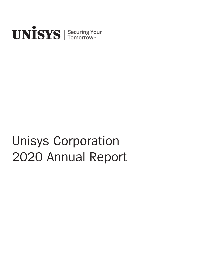

# Unisys Corporation 2020 Annual Report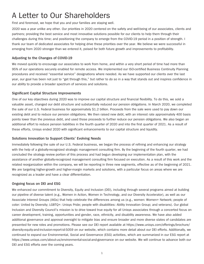# A Letter to Our Shareholders

First and foremost, we hope that you and your families are staying well.

2020 was a year unlike any other. Our priorities in 2020 centered on the safety and well-being of our associates, clients and partners; providing the best service and most innovative solutions possible for our clients to help them through their challenges during this time; and positioning the company to emerge from the COVID-19 period in a position of strength. I thank our team of dedicated associates for helping drive these priorities over the year. We believe we were successful in emerging from 2020 stronger than we entered it, poised for both future growth and improvements to profitability.

# **Adjusting to the Changes of COVID-19**

We moved quickly to encourage our associates to work from home, and within a very short period of time had more than 95% of our operations securely enabled for remote access. We implemented our ISO-certified Business Continuity Planning procedures and received "essential service" designations where needed. As we have supported our clients over the last year, our goal has been not just to "get through this," but rather to do so in a way that stands out and inspires confidence in our ability to provide a broader spectrum of services and solutions.

### **Significant Capital Structure Improvements**

One of our key objectives during 2020 was to improve our capital structure and financial flexibility. To do this, we sold a valuable asset, changed our debt structure and substantially reduced our pension obligations. In March 2020, we completed the sale of our U.S. Federal business for approximately \$1.2 billion. Proceeds from the sale were used to pay down our existing debt and to reduce our pension obligations. We then raised new debt, with an interest rate approximately 400 basis points lower than the previous debt, and used those proceeds to further reduce our pension obligations. We also began an additional effort to reduce pension liabilities in the fourth quarter of 2020 and into the first quarter of 2021. As a result of these efforts, Unisys ended 2020 with significant enhancements to our capital structure and liquidity.

# **Solutions Innovation to Support Clients' Evolving Needs**

Immediately following the sale of our U.S. Federal business, we began the process of refining and enhancing our strategy with the help of a globally-recognized strategic management consulting firm. By the beginning of the fourth quarter, we had concluded the strategy review portion of this process and had begun developing our implementation plan, with the assistance of another globally-recognized management consulting firm focused on execution. As a result of this work and the related reorganization within the company, we will be reporting in three new segments, effective as of the beginning of 2021. We are targeting higher-growth and higher-margin markets and solutions, with a particular focus on areas where we are recognized as a leader and have a clear differentiation.

### **Ongoing focus on DEI and ESG**

We enhanced our commitment to Diversity, Equity and Inclusion (DEI), including through several programs aimed at building our pipeline of diverse talent (e.g., Women in Action, Women in Technology, and our Diversity Accelerator), as well as our Associate Interest Groups (AIGs) that help celebrate the differences among us (e.g., women: Women+ Network; people of color: United by Diversity; LGBTQ+: Unisys Pride; people with disabilities: Ability Innovation Group; and veterans). Our global Inclusion and Diversity Council's mission is to drive toward true equity for all Unisys associates through a concerted focus on career development, training, opportunities and gender, race, ethnicity, and disability awareness. We have also added additional governance and approval oversight to mitigate bias and ensure broader and more diverse slates of candidates are presented for new roles and promotions. Please see our DEI report available at https://www.unisys.com/offerings/brochure/ diversity-equity-and-inclusion-report-id-5059 on our website, which contains more detail about our DEI efforts. Additionally, we continued to expand our Environmental, Social and Governance (ESG) activities, which are summarized in our ESG report at https://www.unisys.com/about-us/environmental-social-and-governance on our website. We will continue to advance both our DEI and ESG efforts over the coming years.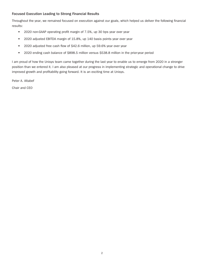# **Focused Execution Leading to Strong Financial Results**

Throughout the year, we remained focused on execution against our goals, which helped us deliver the following financial results:

- 2020 non-GAAP operating profit margin of 7.5%, up 30 bps year over year
- 2020 adjusted EBITDA margin of 15.8%, up 140 basis points year over year
- 2020 adjusted free cash flow of \$42.6 million, up 59.6% year over year
- 2020 ending cash balance of \$898.5 million versus \$538.8 million in the prior-year period

I am proud of how the Unisys team came together during the last year to enable us to emerge from 2020 in a stronger position than we entered it. I am also pleased at our progress in implementing strategic and operational change to drive improved growth and profitability going forward. It is an exciting time at Unisys.

Peter A. Altabef

Chair and CEO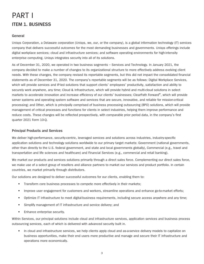# PART I **ITEM 1. BUSINESS**

### **General**

Unisys Corporation, a Delaware corporation (Unisys, we, our, or the company), is a global information technology (IT) services company that delivers successful outcomes for the most demanding businesses and governments. Unisys offerings include digital workplace services; cloud and infrastructure services; and software operating environments for high-intensity enterprise computing. Unisys integrates security into all of its solutions.

As of December 31, 2020, we operated in two business segments – Services and Technology. In January 2021, the company decided to make a number of changes to its organizational structure to more effectively address evolving client needs. With these changes, the company revised its reportable segments, but this did not impact the consolidated financial statements as of December 31, 2020. The company's reportable segments will be as follows: Digital Workplace Services, which will provide services and IP-led solutions that support clients' employees' productivity, satisfaction and ability to securely work anywhere, any time; Cloud & Infrastructure, which will provide hybrid and multi-cloud solutions in select markets to accelerate innovation and increase efficiency of our clients' businesses; ClearPath Forward®, which will provide server systems and operating system software and services that are secure, innovative, and reliable for mission-critical processing; and Other, which is principally comprised of business processing outsourcing (BPO) solutions, which will provide management of critical processes and functions for clients in select industries, helping them improve performance and reduce costs. These changes will be reflected prospectively, with comparable prior period data, in the company's first quarter 2021 Form 10-Q.

#### **Principal Products and Services**

We deliver high-performance, security-centric, leveraged services and solutions across industries, industry-specific application solutions and technology solutions worldwide to our primary target markets: Government (national governments, other than directly to the U.S. federal government, and state and local governments globally), Commercial (e.g., travel and transportation and life sciences and healthcare) and Financial Services (e.g., commercial and retail banking).

We market our products and services solutions primarily through a direct sales force. Complementing our direct sales force, we make use of a select group of resellers and alliance partners to market our services and product portfolio. In certain countries, we market primarily through distributors.

Our solutions are designed to deliver successful outcomes for our clients, enabling them to:

- Transform core business processes to compete more effectively in their markets;
- Improve user engagement for customers and workers, streamline operations and enhance go-to-market efforts;
- Optimize IT infrastructure to meet digital-business requirements, including secure access anywhere and any time;
- Simplify management of IT infrastructure and service delivery; and
- Enhance enterprise security.

Within Services, our principal solutions include cloud and infrastructure services, application services and business process outsourcing services, each of which is delivered with advanced security built in.

In cloud and infrastructure services, we help clients apply cloud and as-a-service delivery models to capitalize on business opportunities, make their end users more productive and manage and secure their IT infrastructure and operations more economically.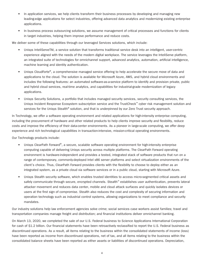- In application services, we help clients transform their business processes by developing and managing new leading-edge applications for select industries, offering advanced data analytics and modernizing existing enterprise applications.
- In business process outsourcing solutions, we assume management of critical processes and functions for clients in target industries, helping them improve performance and reduce costs.

We deliver some of these capabilities through our leveraged Services solutions, which include:

- Unisys InteliServeTM, a service solution that transforms traditional service desk into an intelligent, user-centric experience aligned with the needs of the modern digital workplace. The service leverages the InteliServe platform, an integrated suite of technologies for omnichannel support, advanced analytics, automation, artificial intelligence, machine learning and identity authentication.
- Unisys CloudForte®, a comprehensive managed service offering to help accelerate the secure move of data and applications to the cloud. The solution is available for Microsoft Azure, AWS, and hybrid cloud environments and includes the following features: an automated software-as-a-service platform to identify and provision private, public and hybrid cloud services, real-time analytics, and capabilities for industrial-grade modernization of legacy applications.
- Unisys Security Solutions, a portfolio that includes managed security services, security consulting services, the Unisys Incident Response Ecosystem subscription service and the TrustCheck™ cyber risk management solution and services for the Unisys Stealth<sup>®</sup> solution, and that is underpinned by our Zero Trust security approach.

In Technology, we offer a software operating environment and related applications for high-intensity enterprise computing, including the procurement of hardware and other related products to help clients improve security and flexibility, reduce costs and improve the efficiency of their data-center environments. As a pioneer in large-scale computing, we offer deep experience and rich technological capabilities in transaction-intensive, mission-critical operating environments.

Our Technology products include:

- Unisys ClearPath Forward®, a secure, scalable software operating environment for high-intensity enterprise computing capable of delivering Unisys security across multiple platforms. The ClearPath Forward operating environment is hardware-independent and provides a tested, integrated stack of software products that run on a range of contemporary, commonly-deployed Intel x86 server platforms and select virtualization environments of the client's choice. Thus, ClearPath Forward provides clients with the flexibility to choose to deploy either as an integrated system, as a private cloud via software services or in a public cloud, starting with Microsoft Azure.
- Unisys Stealth security software, which enables trusted identities to access micro-segmented critical assets and safely communicate through secure, encrypted channels. Stealth™ establishes user authentication, prevents lateral attacker movement and reduces data center, mobile and cloud attack surfaces and quickly isolates devices or users at the first sign of compromise. Stealth also reduces the cost and complexity of securing information and operation technology such as industrial control systems, allowing organizations to meet compliance and security mandates.

Our industry solutions help law enforcement agencies solve crime; social services case workers assist families; travel and transportation companies manage freight and distribution; and financial institutions deliver omnichannel banking.

On March 13, 2020, we completed the sale of our U.S. Federal business to Science Applications International Corporation for cash of \$1.2 billion. Our financial statements have been retroactively reclassified to report the U.S. Federal business as discontinued operations. As a result, all items relating to the business within the consolidated statements of income (loss) have been reported as income from discontinued operations, net of tax, and all items relating to the business within the consolidated balance sheets have been reported as either assets or liabilities of discontinued operations. Depreciation,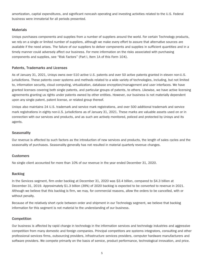amortization, capital expenditures, and significant noncash operating and investing activities related to the U.S. Federal business were immaterial for all periods presented.

### **Materials**

Unisys purchases components and supplies from a number of suppliers around the world. For certain Technology products, we rely on a single or limited number of suppliers, although we make every effort to assure that alternative sources are available if the need arises. The failure of our suppliers to deliver components and supplies in sufficient quantities and in a timely manner could adversely affect our business. For more information on the risks associated with purchasing components and supplies, see "Risk Factors" (Part I, Item 1A of this Form 10-K).

#### **Patents, Trademarks and Licenses**

As of January 31, 2021, Unisys owns over 510 active U.S. patents and over 50 active patents granted in eleven non-U.S. jurisdictions. These patents cover systems and methods related to a wide variety of technologies, including, but not limited to, information security, cloud computing, virtualization, database encryption/management and user interfaces. We have granted licenses covering both single patents, and particular groups of patents, to others. Likewise, we have active licensing agreements granting us rights under patents owned by other entities. However, our business is not materially dependent upon any single patent, patent license, or related group thereof.

Unisys also maintains 24 U.S. trademark and service mark registrations, and over 500 additional trademark and service mark registrations in eighty non-U.S. jurisdictions as of January 31, 2021. These marks are valuable assets used on or in connection with our services and products, and as such are actively monitored, policed and protected by Unisys and its agents.

#### **Seasonality**

Our revenue is affected by such factors as the introduction of new services and products, the length of sales cycles and the seasonality of purchases. Seasonality generally has not resulted in material quarterly revenue changes.

#### **Customers**

No single client accounted for more than 10% of our revenue in the year ended December 31, 2020.

#### **Backlog**

In the Services segment, firm order backlog at December 31, 2020 was \$3.4 billion, compared to \$4.3 billion at December 31, 2019. Approximately \$1.3 billion (39%) of 2020 backlog is expected to be converted to revenue in 2021. Although we believe that this backlog is firm, we may, for commercial reasons, allow the orders to be cancelled, with or without penalty.

Because of the relatively short cycle between order and shipment in our Technology segment, we believe that backlog information for this segment is not material to the understanding of our business.

#### **Competition**

Our business is affected by rapid change in technology in the information services and technology industries and aggressive competition from many domestic and foreign companies. Principal competitors are systems integrators, consulting and other professional services firms, outsourcing providers, infrastructure services providers, computer hardware manufacturers and software providers. We compete primarily on the basis of service, product performance, technological innovation, and price.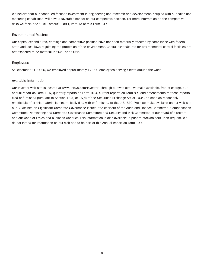We believe that our continued focused investment in engineering and research and development, coupled with our sales and marketing capabilities, will have a favorable impact on our competitive position. For more information on the competitive risks we face, see "Risk Factors" (Part I, Item 1A of this Form 10-K).

#### **Environmental Matters**

Our capital expenditures, earnings and competitive position have not been materially affected by compliance with federal, state and local laws regulating the protection of the environment. Capital expenditures for environmental control facilities are not expected to be material in 2021 and 2022.

#### **Employees**

At December 31, 2020, we employed approximately 17,200 employees serving clients around the world.

#### **Available Information**

Our Investor web site is located at www.unisys.com/investor. Through our web site, we make available, free of charge, our annual report on Form 10-K, quarterly reports on Form 10-Q, current reports on Form 8-K, and amendments to those reports filed or furnished pursuant to Section 13(a) or 15(d) of the Securities Exchange Act of 1934, as soon as reasonably practicable after this material is electronically filed with or furnished to the U.S. SEC. We also make available on our web site our Guidelines on Significant Corporate Governance Issues, the charters of the Audit and Finance Committee, Compensation Committee, Nominating and Corporate Governance Committee and Security and Risk Committee of our board of directors, and our Code of Ethics and Business Conduct. This information is also available in print to stockholders upon request. We do not intend for information on our web site to be part of this Annual Report on Form 10-K.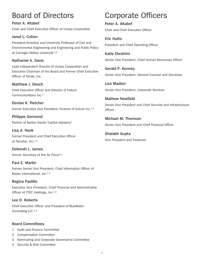# Board of Directors

**Peter A. Altabef** Chair and Chief Executive Officer of Unisys Corporation

**Jared L. Cohon** President Emeritus and University Professor of Civil and Environmental Engineering and Engineering and Public Policy at Carnegie Mellon University 2,3

# **Nathaniel A. Davis**

Lead Independent Director of Unisys Corporation and Executive Chairman of the Board and Former Chief Executive Officer of Stride, Inc.

# **Matthew J. Desch**

Chief Executive Officer and Director of Iridium Communications Inc.2

**Denise K. Fletcher** Former Executive Vice President, Finance of Vulcan Inc.<sup>1,4</sup>

**Philippe Germond** Partner at Barber Hauler Capital Advisers<sup>3</sup>

**Lisa A. Hook** Former President and Chief Executive Officer at Neustar, Inc.1,4

**Deborah L. James** Former Secretary of the Air Force<sup>2,3</sup>

**Paul E. Martin** Former Senior Vice President, Chief Information Officer of Baxter International, Inc.1,4

# **Regina Paolillo**

Executive Vice President, Chief Financial and Administrative Officer of TTEC Holdings, Inc.1,4

**Lee D. Roberts** Chief Executive Officer and President of BlueWater Consulting LLC 2,3

# **Board Committees**

- 1 Audit and Finance Committee
- 2 Compensation Committee
- 3 Nominating and Corporate Governance Committee
- 4 Security & Risk Committee

# Corporate Officers

**Peter A. Altabef** Chair and Chief Executive Officer

**Eric Hutto** President and Chief Operating Officer

**Katie Ebrahimi** Senior Vice President, Chief Human Resources Officer

**Gerald P. Kenney** Senior Vice President, General Counsel and Secretary

**Lisa Madion** Senior Vice President, Corporate Services

**Mathew Newfield** Senior Vice President and Chief Security and Infrastructure **Officer** 

**Michael M. Thomson** Senior Vice President and Chief Financial Officer

**Shalabh Gupta** Vice President and Treasurer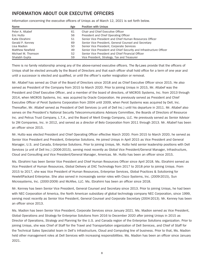# **INFORMATION ABOUT OUR EXECUTIVE OFFICERS**

Name **Name Age Position with Unisys** Peter A. Altabef **61** Chair and Chief Executive Officer Eric Hutto 56 President and Chief Operating Officer Katie Ebrahimi 51 Senior Vice President and Chief Human Resources Officer Gerald P. Kenney **69** Senior Vice President, General Counsel and Secretary Lisa Madion 50 Senior Vice President, Corporate Services Matthew Newfield 49 Senior Vice President and Chief Security and Infrastructure Officer Michael M. Thomson 52 Senior Vice President and Chief Financial Officer Shalabh Gupta 59 Vice President, Strategy, Tax and Treasurer

Information concerning the executive officers of Unisys as of March 12, 2021 is set forth below.

There is no family relationship among any of the above-named executive officers. The By-Laws provide that the officers of Unisys shall be elected annually by the Board of Directors and that each officer shall hold office for a term of one year and until a successor is elected and qualified, or until the officer's earlier resignation or removal.

Mr. Altabef has served as Chair of the Board of Directors since 2018 and as Chief Executive Officer since 2015. He also served as President of the Company from 2015 to March 2020. Prior to joining Unisys in 2015, Mr. Altabef was the President and Chief Executive Officer, and a member of the board of directors, of MICROS Systems, Inc. from 2013 through 2014, when MICROS Systems, Inc. was acquired by Oracle Corporation. He previously served as President and Chief Executive Officer of Perot Systems Corporation from 2004 until 2009, when Perot Systems was acquired by Dell, Inc. Thereafter, Mr. Altabef served as President of Dell Services (a unit of Dell Inc.) until his departure in 2011. Mr. Altabef also serves on the President's National Security Telecommunications Advisory Committee, the Boards of Directors of Resource Inc. and Petrus Trust Company, L.T.A., and the Board of Merit Energy Company, LLC. He previously served as Senior Advisor to 2M Companies, Inc. in 2012, and served as a director of Belo Corporation from 2011 through 2013. Mr. Altabef has been an officer since 2015.

Mr. Hutto was elected President and Chief Operating Officer effective March 2020. From 2015 to March 2020, he served as Senior Vice President and President, Enterprise Solutions. He joined Unisys in April 2015 as Vice President and General Manager, U.S. and Canada, Enterprise Solutions. Prior to joining Unisys, Mr. Hutto held senior leadership positions with Dell Services (a unit of Dell Inc.) (2006-2015), serving most recently as Global Vice President/General Manager, Infrastructure, Cloud and Consulting and Vice President/General Manager, Americas. Mr. Hutto has been an officer since 2015.

Ms. Ebrahimi has been Senior Vice President and Chief Human Resources Officer since April 2018. Ms. Ebrahimi served as Vice President of Human Resources, Global Delivery at DXC Technology from 2017 to 2018 prior to joining Unisys. From 2015 to 2017, she was Vice President of Human Resources, Enterprise Services, Global Practices & Solutioning for HewlettPackard Enterprise. She also served in increasingly senior roles with Cisco Systems, Inc. (2009-2015), Sun Microsystems, Inc. (2000-2009) and McAfee, LLC. Ms. Ebrahimi has been an officer since 2018.

Mr. Kenney has been Senior Vice President, General Counsel and Secretary since 2013. Prior to joining Unisys, he had been with NEC Corporation of America, the North American subsidiary of global technology company NEC Corporation, since 1999, serving most recently as Senior Vice President, General Counsel and Corporate Secretary (2004-2013). Mr. Kenney has been an officer since 2013.

Ms. Madion has been Senior Vice President, Corporate Services since January 2021. Ms. Madion served as Vice President, Global Operations and Strategy for Enterprise Solutions from 2016 to December 2020 after joining Unisys in 2015 as Director of Operations, Strategy and Planning for the U.S. and Canada region of the Enterprise Solutions organization. Prior to joining Unisys, she was Chief of Staff for the Travel and Transportation organization of Dell Services, and Chief of Staff for the Technical Sales Specialist team in Dell's Infrastructure, Cloud and Computing line of business. Prior to that, Ms. Madion held other management roles at Dell Services with increasing responsibilities. Ms. Madion has been an officer since January 2021.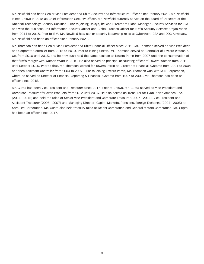Mr. Newfield has been Senior Vice President and Chief Security and Infrastructure Officer since January 2021. Mr. Newfield joined Unisys in 2018 as Chief Information Security Officer. Mr. Newfield currently serves on the Board of Directors of the National Technology Security Coalition. Prior to joining Unisys, he was Director of Global Managed Security Services for IBM and was the Business Unit Information Security Officer and Global Process Officer for IBM's Security Services Organization from 2014 to 2018. Prior to IBM, Mr. Newfield held senior security leadership roles at Cybertrust, RSA and DDC Advocacy. Mr. Newfield has been an officer since January 2021.

Mr. Thomson has been Senior Vice President and Chief Financial Officer since 2019. Mr. Thomson served as Vice President and Corporate Controller from 2015 to 2019. Prior to joining Unisys, Mr. Thomson served as Controller of Towers Watson & Co. from 2010 until 2015, and he previously held the same position at Towers Perrin from 2007 until the consummation of that firm's merger with Watson Wyatt in 2010. He also served as principal accounting officer of Towers Watson from 2012 until October 2015. Prior to that, Mr. Thomson worked for Towers Perrin as Director of Financial Systems from 2001 to 2004 and then Assistant Controller from 2004 to 2007. Prior to joining Towers Perrin, Mr. Thomson was with RCN Corporation, where he served as Director of Financial Reporting & Financial Systems from 1997 to 2001. Mr. Thomson has been an officer since 2015.

Mr. Gupta has been Vice President and Treasurer since 2017. Prior to Unisys, Mr. Gupta served as Vice President and Corporate Treasurer for Avon Products from 2012 until 2016. He also served as Treasurer for Evraz North America, Inc. (2011 - 2012) and held the roles of Senior Vice President and Corporate Treasurer (2007 - 2011), Vice President and Assistant Treasurer (2005 - 2007) and Managing Director, Capital Markets, Pensions, Foreign Exchange (2004 - 2005) at Sara Lee Corporation. Mr. Gupta also held treasury roles at Delphi Corporation and General Motors Corporation. Mr. Gupta has been an officer since 2017.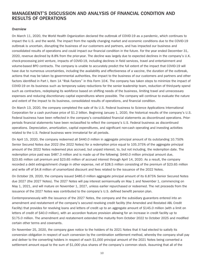# **MANAGEMENT'S DISCUSSION AND ANALYSIS OF FINANCIAL CONDITION AND RESULTS OF OPERATIONS**

#### **Overview**

On March 11, 2020, the World Health Organization declared the outbreak of COVID-19 as a pandemic, which continues to impact the U.S. and the world. The impact from the rapidly changing market and economic conditions due to the COVID-19 outbreak is uncertain, disrupting the business of our customers and partners, and has impacted our business and consolidated results of operations and could impact our financial condition in the future. For the year ended December 31, 2020, revenue declined by 8.8% from the prior-year. The decline was largely due to expected declines in the company's U.K. check-processing joint venture, impacts of COVID-19, including declines in field services, travel and entertainment and volume-based BPO contracts. The company is unable to accurately predict the full extent of the impact that COVID-19 will have due to numerous uncertainties, including the availability and effectiveness of a vaccine, the duration of the outbreak, actions that may be taken by governmental authorities, the impact to the business of our customers and partners and other factors identified in Part I, Item 1A "Risk Factors" in this Form 10-K. The company has taken steps to minimize the impact of COVID-19 on its business such as temporary salary reductions for the senior leadership team, reduction of third-party spend such as contractors, redeploying its workforce based on shifting needs of the business, limiting travel and unnecessary expenses and reducing discretionary capital expenditures where possible. The company will continue to evaluate the nature and extent of the impact to its business, consolidated results of operations, and financial condition.

On March 13, 2020, the company completed the sale of its U.S. Federal business to Science Applications International Corporation for a cash purchase price of \$1.2 billion. Beginning January 1, 2020, the historical results of the company's U.S. Federal business have been reflected in the company's consolidated financial statements as discontinued operations. Priorperiods financial statements have been reclassified to reflect the company's U.S. Federal business as discontinued operations. Depreciation, amortization, capital expenditures, and significant non-cash operating and investing activities related to the U.S. Federal business were immaterial for all periods.

On April 15, 2020, the company redeemed all \$440.0 million in aggregate principal amount of its outstanding 10.750% Senior Secured Notes due 2022 (the 2022 Notes) for a redemption price equal to 105.375% of the aggregate principal amount of the 2022 Notes redeemed plus accrued, but unpaid interest, to, but not including, the redemption date. The redemption price paid was \$487.3 million and is made up of the following: \$440.0 million principal amount due, \$23.65 million call premium and \$23.65 million of accrued interest through April 14, 2020. As a result, the company recorded a debt extinguishment charge in other expense, net of \$28.5 million consisting of the premium of \$23.65 million and write off of \$4.8 million of unamortized discount and fees related to the issuance of the 2022 Notes.

On October 29, 2020, the company issued \$485.0 million aggregate principal amount of its 6.875% Senior Secured Notes due 2027 (the 2027 Notes). The 2027 Notes will pay interest semiannually on May 1 and November 1, commencing on May 1, 2021, and will mature on November 1, 2027, unless earlier repurchased or redeemed. The net proceeds from the issuance of the 2027 Notes was contributed to the company's U.S. defined benefit pension plan.

Contemporaneously with the issuance of the 2027 Notes, the company and the subsidiary guarantors entered into an amendment and restatement of the company's secured revolving credit facility (the Amended and Restated ABL Credit Facility) that provides for revolving loans and letters of credit up to an aggregate amount of \$145.0 million (with a limit on letters of credit of \$40.0 million), with an accordion feature provision allowing for an increase in credit facility up to \$175.0 million. The amendment and restatement extended the maturity from October 2022 to October 2025 and modified certain other terms and covenants.

On November 25, 2020, the company gave notice to the holders of its 2021 Notes that it had elected to satisfy its conversion obligation in respect of such conversion by the combination settlement method, whereby the company shall pay and deliver to the converting holders in respect of each \$1,000 principal amount of the 2021 Notes being converted a settlement amount equal to the sum of \$1,000 plus shares of the company's common stock. Assuming that all of the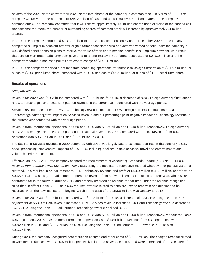holders of the 2021 Notes convert their 2021 Notes into shares of the company's common stock, in March of 2021, the company will deliver to the note holders \$84.2 million of cash and approximately 4.6 million shares of the company's common stock. The company estimates that it will receive approximately 1.2 million shares upon exercise of the capped call transactions; therefore, the number of outstanding shares of common stock will increase by approximately 3.4 million shares.

In 2020, the company contributed \$791.1 million to its U.S. qualified pension plans. In December 2020, the company completed a lump-sum cash-out offer for eligible former associates who had deferred vested benefit under the company's U.S. defined benefit pension plans to receive the value of their entire pension benefit in a lump-sum payment. As a result, the pension plan trust made lump sum payments to approximately 3,500 former associates of \$276.0 million and the company recorded a non-cash pre-tax settlement charge of \$142.1 million.

In 2020, the company reported a net loss from continuing operations attributable to Unisys Corporation of \$317.7 million, or a loss of \$5.05 per diluted share, compared with a 2019 net loss of \$92.2 million, or a loss of \$1.65 per diluted share.

#### **Results of operations**

#### *Company results*

Revenue for 2020 was \$2.03 billion compared with \$2.22 billion for 2019, a decrease of 8.8%. Foreign currency fluctuations had a 1-percentage-point negative impact on revenue in the current year compared with the year-ago period.

Services revenue decreased 10.6% and Technology revenue increased 1.0%. Foreign currency fluctuations had a 1-percentage-point negative impact on Services revenue and a 1-percentage-point negative impact on Technology revenue in the current year compared with the year-ago period.

Revenue from international operations in 2020 and 2019 was \$1.24 billion and \$1.40 billion, respectively. Foreign currency had a 2-percentage-point negative impact on international revenue in 2020 compared with 2019. Revenue from U.S. operations was \$0.78 billion in 2020 and \$0.82 billion in 2019.

The decline in Services revenue in 2020 compared with 2019 was largely due to expected declines in the company's U.K. check-processing joint venture; impacts of COVID-19, including declines in field services, travel and entertainment and volume-based BPO contracts.

Effective January 1, 2018, the company adopted the requirements of Accounting Standards Update (ASU) No. 2014-09, *Revenue from Contracts with Customers (Topic 606)* using the modified retrospective method whereby prior periods were not restated. This resulted in an adjustment to 2018 Technology revenue and profit of \$53.0 million (\$47.7 million, net of tax, or \$0.65 per diluted share). The adjustment represents revenue from software license extensions and renewals, which were contracted for in the fourth quarter of 2017 and properly recorded as revenue at that time under the revenue recognition rules then in effect (Topic 605). Topic 606 requires revenue related to software license renewals or extensions to be recorded when the new license term begins, which in the case of the \$53.0 million, was January 1, 2018.

Revenue for 2019 was \$2.22 billion compared with \$2.25 billion for 2018, a decrease of 1.3%. Excluding the Topic 606 adjustment of \$53.0 million, revenue increased 1.1%. Services revenue increased 1.9% and Technology revenue decreased 16.1%. Excluding the Topic 606 adjustment, Technology revenue declined 3.1%.

Revenue from international operations in 2019 and 2018 was \$1.40 billion and \$1.59 billion, respectively. Without the Topic 606 adjustment, 2018 revenue from international operations was \$1.54 billion. Revenue from U.S. operations was \$0.82 billion in 2019 and \$0.67 billion in 2018. Excluding the Topic 606 adjustment, U.S. revenue in 2018 was \$0.66 billion.

During 2020, the company recognized cost-reduction charges and other costs of \$95.5 million. The charges (credits) related to work-force reductions were \$25.5 million, principally related to severance costs, and were comprised of: (a) a charge of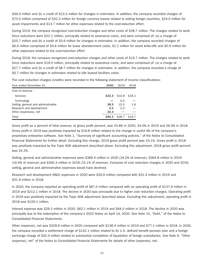\$39.0 million and (b) a credit of \$13.5 million for changes in estimates. In addition, the company recorded charges of \$70.0 million comprised of \$32.3 million for foreign currency losses related to exiting foreign countries, \$24.0 million for asset impairments and \$13.7 million for other expenses related to the cost-reduction effort.

During 2019, the company recognized cost-reduction charges and other costs of \$28.7 million. The charges related to workforce reductions were \$22.1 million, principally related to severance costs, and were comprised of: (a) a charge of \$25.7 million and (b) a credit of \$3.6 million for changes in estimates. In addition, the company recorded charges of \$6.6 million comprised of \$4.6 million for lease abandonment costs, \$1.1 million for asset write-offs and \$0.9 million for other expenses related to the cost-reduction effort.

During 2018, the company recognized cost-reduction charges and other costs of \$19.7 million. The charges related to workforce reductions were \$19.0 million, principally related to severance costs, and were comprised of: (a) a charge of \$27.7 million and (b) a credit of \$8.7 million for changes in estimates. In addition, the company recorded a charge of \$0.7 million for changes in estimates related to idle leased facilities costs.

The cost reduction charges (credits) were recorded in the following statement of income classifications:

| Year ended December 31,             | 2020         | 2019                 | 2018         |
|-------------------------------------|--------------|----------------------|--------------|
| Cost of revenue                     |              |                      |              |
| Services                            |              | \$22.2 \$10.8 \$18.1 |              |
| Technology                          |              | 0.2                  |              |
| Selling, general and administrative | 38.5         | 15.5                 | 1.6          |
| Research and development            | 2.5          | 2.2                  |              |
| Other (expenses), net               | 32.3         |                      |              |
| Total                               | <b>S95.5</b> | \$28.7               | <b>S19.7</b> |

Gross profit as a percent of total revenue, or gross profit percent, was 23.8% in 2020, 24.0% in 2019 and 26.0% in 2018. Gross profit in 2019 was positively impacted by \$19.8 million related to the change in useful life of the company's proprietary enterprise software. See Note 1, "Summary of significant accounting policies," of the Notes to Consolidated Financial Statements for further detail. Excluding this change, 2019 gross profit percent was 23.1%. Gross profit in 2018 was positively impacted by the Topic 606 adjustment described above. Excluding this adjustment, 2018 gross profit percent was 24.2%.

Selling, general and administrative expenses were \$369.4 million in 2020 (18.2% of revenue), \$364.8 million in 2019 (16.4% of revenue) and \$340.3 million in 2018 (15.1% of revenue). Exclusive of cost reduction charges in 2020 and 2019, selling, general and administrative expenses would have declined.

Research and development (R&D) expenses in 2020 were \$26.6 million compared with \$31.3 million in 2019 and \$31.9 million in 2018.

In 2020, the company reported an operating profit of \$87.0 million compared with an operating profit of \$137.9 million in 2019 and \$212.1 million in 2018. The decline in 2020 was principally due to higher cost reduction charges. Operating profit in 2018 was positively impacted by the Topic 606 adjustment described above. Excluding this adjustment, operating profit in 2018 was \$159.1 million.

Interest expense was \$29.2 million in 2020, \$62.1 million in 2019 and \$64.0 million in 2018. The decline in 2020 was principally due to the redemption of the company's 2022 Notes on April 14, 2020. See Note 15, "Debt," of the Notes to Consolidated Financial Statements.

Other (expense), net was \$329.6 million in 2020 compared with \$136.4 million in 2019 and \$77.1 million in 2018. In 2020, the company recorded a settlement charge of \$142.1 million related to its U.S. defined benefit pension plan and a foreign exchange charge of \$32.3 million related to substantial completion of liquidation of foreign subsidiaries. See Note 6, "Other (expense), net" of the Notes to Consolidated Financial Statements for details of other (expense), net.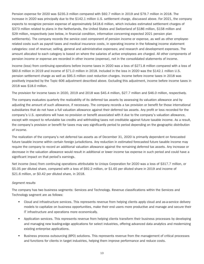Pension expense for 2020 was \$235.3 million compared with \$92.7 million in 2019 and \$79.7 million in 2018. The increase in 2020 was principally due to the \$142.1 million U.S. settlement charge, discussed above. For 2021, the company expects to recognize pension expense of approximately \$418.6 million, which includes estimated settlement charges of \$373 million related to plans in the Netherlands, the United States and Switzerland of \$186 million, \$158 million and \$29 million, respectively (see below, in financial condition, information concerning expected 2021 pension plan settlements). The company records the service cost component of pension income or expense, as well as other employeerelated costs such as payroll taxes and medical insurance costs, in operating income in the following income statement categories: cost of revenue; selling, general and administrative expenses; and research and development expenses. The amount allocated to each category is based on where the salaries of active employees are charged. All other components of pension income or expense are recorded in other income (expense), net in the consolidated statements of income.

Income (loss) from continuing operations before income taxes in 2020 was a loss of \$271.8 million compared with a loss of \$60.6 million in 2019 and income of \$71.0 million in 2018. Included in the loss in 2020 was the \$142.1 million U.S. pension settlement charge as well as \$95.5 million cost reduction charges. Income before income taxes in 2018 was positively impacted by the Topic 606 adjustment described above. Excluding this adjustment, income before income taxes in 2018 was \$18.0 million.

The provision for income taxes in 2020, 2019 and 2018 was \$45.4 million, \$27.7 million and \$46.0 million, respectively.

The company evaluates quarterly the realizability of its deferred tax assets by assessing its valuation allowance and by adjusting the amount of such allowance, if necessary. The company records a tax provision or benefit for those international subsidiaries that do not have a full valuation allowance against their deferred tax assets. Any profit or loss recorded for the company's U.S. operations will have no provision or benefit associated with it due to the company's valuation allowance, except with respect to refundable tax credits and withholding taxes not creditable against future taxable income. As a result, the company's provision or benefit for taxes may vary significantly period to period depending on the geographic distribution of income.

The realization of the company's net deferred tax assets as of December 31, 2020 is primarily dependent on forecasted future taxable income within certain foreign jurisdictions. Any reduction in estimated forecasted future taxable income may require the company to record an additional valuation allowance against the remaining deferred tax assets. Any increase or decrease in the valuation allowance would result in additional or lower income tax expense in such period and could have a significant impact on that period's earnings.

Net income (loss) from continuing operations attributable to Unisys Corporation for 2020 was a loss of \$317.7 million, or \$5.05 per diluted share, compared with a loss of \$92.2 million, or \$1.65 per diluted share in 2019 and income of \$21.6 million, or \$0.42 per diluted share, in 2018.

#### *Segment results*

The company has two business segments: Services and Technology. Revenue classifications within the Services and Technology segment are as follows:

- Cloud and infrastructure services. This represents revenue from helping clients apply cloud and as-a-service delivery models to capitalize on business opportunities, make their end users more productive and manage and secure their IT infrastructure and operations more economically.
- Application services. This represents revenue from helping clients transform their business processes by developing and managing new leading-edge applications for select industries, offering advanced data analytics and modernizing existing enterprise applications.
- Business process outsourcing (BPO) solutions. This represents revenue from the management of critical processes and functions for clients in target industries, helping them improve performance and reduce costs.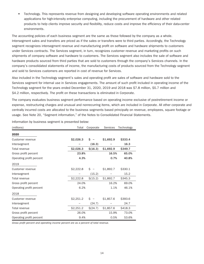• Technology. This represents revenue from designing and developing software operating environments and related applications for high-intensity enterprise computing, including the procurement of hardware and other related products to help clients improve security and flexibility, reduce costs and improve the efficiency of their data-center environments.

The accounting policies of each business segment are the same as those followed by the company as a whole. Intersegment sales and transfers are priced as if the sales or transfers were to third parties. Accordingly, the Technology segment recognizes intersegment revenue and manufacturing profit on software and hardware shipments to customers under Services contracts. The Services segment, in turn, recognizes customer revenue and marketing profits on such shipments of company software and hardware to customers. The Services segment also includes the sale of software and hardware products sourced from third parties that are sold to customers through the company's Services channels. In the company's consolidated statements of income, the manufacturing costs of products sourced from the Technology segment and sold to Services customers are reported in cost of revenue for Services.

Also included in the Technology segment's sales and operating profit are sales of software and hardware sold to the Services segment for internal use in Services engagements. The amount of such profit included in operating income of the Technology segment for the years ended December 31, 2020, 2019 and 2018 was \$7.8 million, \$5.7 million and \$4.2 million, respectively. The profit on these transactions is eliminated in Corporate.

The company evaluates business segment performance based on operating income exclusive of postretirement income or expense, restructuring charges and unusual and nonrecurring items, which are included in Corporate. All other corporate and centrally incurred costs are allocated to the business segments based principally on revenue, employees, square footage or usage. See Note 20, "Segment information," of the Notes to Consolidated Financial Statements.

Information by business segment is presented below:

| (millions)               | Total     | Corporate               | Services  | Technology |
|--------------------------|-----------|-------------------------|-----------|------------|
| 2020                     |           |                         |           |            |
| Customer revenue         | \$2,026.3 | $s -$                   | \$1,692.9 | \$333.4    |
| Intersegment             |           | (16.3)                  |           | 16.3       |
| Total revenue            | \$2,026.3 | \$(16.3)                | \$1,692.9 | \$349.7    |
| Gross profit percent     | 23.8%     |                         | 16.5%     | 65.0%      |
| Operating profit percent | 4.3%      |                         | 0.7%      | 40.8%      |
| 2019                     |           |                         |           |            |
| Customer revenue         | \$2,222.8 | \$.                     | \$1,892.7 | \$330.1    |
| Intersegment             |           | (15.2)                  |           | 15.2       |
| Total revenue            | \$2,222.8 | $\frac{\sin 2}{\sin 2}$ | \$1,892.7 | \$345.3    |
| Gross profit percent     | 24.0%     |                         | 16.2%     | 69.0%      |
| Operating profit percent | 6.2%      |                         | 1.1%      | 46.1%      |
| 2018                     |           |                         |           |            |
| Customer revenue         | \$2,251.2 | S.                      | \$1,857.6 | \$393.6    |
| Intersegment             |           | (24.7)                  |           | 24.7       |
| Total revenue            | \$2,251.2 | \$(24.7)                | \$1,857.6 | \$418.3    |
| Gross profit percent     | 26.0%     |                         | 15.9%     | 73.0%      |
| Operating profit percent | 9.4%      |                         | 0.5%      | 53.6%      |

*Gross profit percent and operating income percent are as a percent of total revenue.*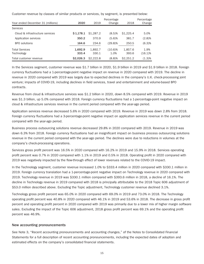Customer revenue by classes of similar products or services, by segment, is presented below:

|                                   |           |           | Percentage |           | Percentage |
|-----------------------------------|-----------|-----------|------------|-----------|------------|
| Year ended December 31 (millions) | 2020      | 2019      | Change     | 2018      | Change     |
| Services                          |           |           |            |           |            |
| Cloud & infrastructure services   | \$1,178.1 | \$1,287.2 | (8.5)%     | \$1,225.4 | 5.0%       |
| Application services              | 350.2     | 370.9     | (5.6)%     | 381.7     | (2.8)%     |
| <b>BPO</b> solutions              | 164.6     | 234.6     | $(29.8)\%$ | 250.5     | (6.3)%     |
| <b>Total Services</b>             | 1,692.9   | 1,892.7   | $(10.6)\%$ | 1,857.6   | 1.9%       |
| Technology                        | 333.4     | 330.1     | 1.0%       | 393.6     | (16.1)%    |
| Total customer revenue            | \$2,026.3 | \$2,222.8 | (8.8)%     | \$2,251.2 | (1.3)%     |

In the Services segment, customer revenue was \$1.7 billion in 2020, \$1.9 billion in 2019 and \$1.9 billion in 2018. Foreign currency fluctuations had a 1-percentage-point negative impact on revenue in 2020 compared with 2019. The decline in revenue in 2020 compared with 2019 was largely due to expected declines in the company's U.K. check-processing joint venture; impacts of COVID-19, including declines in field services, travel and entertainment and volume-based BPO contracts.

Revenue from cloud & infrastructure services was \$1.2 billion in 2020, down 8.5% compared with 2019. Revenue in 2019 was \$1.3 billion, up 5.0% compared with 2018. Foreign currency fluctuations had a 1-percentage-point negative impact on cloud & infrastructure services revenue in the current period compared with the year-ago period.

Application services revenue decreased 5.6% in 2020 compared with 2019. Revenue in 2019 was down 2.8% from 2018. Foreign currency fluctuations had a 3-percentage-point negative impact on application services revenue in the current period compared with the year-ago period.

Business process outsourcing solutions revenue decreased 29.8% in 2020 compared with 2019. Revenue in 2019 was down 6.3% from 2018. Foreign currency fluctuations had an insignificant impact on business process outsourcing solutions revenue in the current period compared with the year-ago period. The declines were due to reductions in volumes at the company's check-processing operations.

Services gross profit percent was 16.5% in 2020 compared with 16.2% in 2019 and 15.9% in 2018. Services operating profit percent was 0.7% in 2020 compared with 1.1% in 2019 and 0.5% in 2018. Operating profit in 2020 compared with 2019 was negatively impacted by the flow-through effect of lower revenues related to the COVID-19 impact.

In the Technology segment, customer revenue increased 1.0% to \$333.4 million in 2020 compared with \$330.1 million in 2019. Foreign currency translation had a 1-percentage-point negative impact on Technology revenue in 2020 compared with 2019. Technology revenue in 2019 was \$330.1 million compared with \$393.6 million in 2018, a decline of 16.1%. The decline in Technology revenue in 2019 compared with 2018 is principally attributable to the 2018 Topic 606 adjustment of \$53.0 million described above. Excluding the Topic adjustment, Technology customer revenue declined 3.1%.

Technology gross profit percent was 65.0% in 2020 compared with 69.0% in 2019 and 73.0% in 2018. The Technology operating profit percent was 40.8% in 2020 compared with 46.1% in 2019 and 53.6% in 2018. The decrease in gross profit percent and operating profit percent in 2020 compared with 2019 was primarily due to a lower mix of higher margin software sales. Excluding the impact of the Topic 606 adjustment, 2018 gross profit percent was 69.1% and the operating profit percent was 46.9%.

#### **New accounting pronouncements**

See Note 3, "Recent accounting pronouncements and accounting changes," of the Notes to Consolidated Financial Statements for a full description of recent accounting pronouncements, including the expected dates of adoption and estimated effects on the company's consolidated financial statements.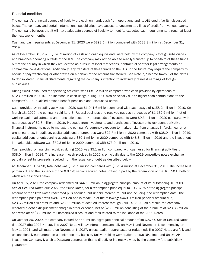#### **Financial condition**

The company's principal sources of liquidity are cash on hand, cash from operations and its ABL credit facility, discussed below. The company and certain international subsidiaries have access to uncommitted lines of credit from various banks. The company believes that it will have adequate sources of liquidity to meet its expected cash requirements through at least the next twelve months.

Cash and cash equivalents at December 31, 2020 were \$898.5 million compared with \$538.8 million at December 31, 2019.

As of December 31, 2020, \$326.3 million of cash and cash equivalents were held by the company's foreign subsidiaries and branches operating outside of the U.S. The company may not be able to readily transfer up to one-third of these funds out of the country in which they are located as a result of local restrictions, contractual or other legal arrangements or commercial considerations. Additionally, any transfers of these funds to the U.S. in the future may require the company to accrue or pay withholding or other taxes on a portion of the amount transferred. See Note 7, "Income taxes," of the Notes to Consolidated Financial Statements regarding the company's intention to indefinitely reinvest earnings of foreign subsidiaries.

During 2020, cash used for operating activities was \$681.2 million compared with cash provided by operations of \$123.9 million in 2019. The increase in cash usage during 2020 was principally due to higher cash contributions to the company's U.S. qualified defined benefit pension plans, discussed above.

Cash provided by investing activities in 2020 was \$1,041.6 million compared with cash usage of \$158.2 million in 2019. On March 13, 2020, the company sold its U.S. Federal business and received net cash proceeds of \$1,162.9 million (net of working capital adjustments and transaction costs). Net proceeds of investments were \$9.3 million in 2020 compared with net proceeds of \$2.8 million in 2019. Proceeds from investments and purchases of investments represent derivative financial instruments used to manage the company's currency exposure to market risks from changes in foreign currency exchange rates. In addition, capital additions of properties were \$27.7 million in 2020 compared with \$38.0 million in 2019, capital additions of outsourcing assets were \$30.1 million in 2020 compared with \$48.8 million in 2019 and the investment in marketable software was \$72.3 million in 2020 compared with \$73.0 million in 2019.

Cash provided by financing activities during 2020 was \$5.1 million compared with cash used for financing activities of \$38.0 million in 2019. The increase in cash provided in 2020 is principally due to the 2019 convertible notes exchange partially offset by proceeds received from the issuance of debt as described below.

At December 31, 2020, total debt was \$629.9 million compared with \$579.4 million at December 31, 2019. The increase is primarily due to the issuance of the 6.875% senior secured notes, offset in part by the redemption of the 10.750%, both of which are described below.

On April 15, 2020, the company redeemed all \$440.0 million in aggregate principal amount of its outstanding 10.750% Senior Secured Notes due 2022 (the 2022 Notes) for a redemption price equal to 105.375% of the aggregate principal amount of the 2022 Notes redeemed plus accrued, but unpaid interest, to, but not including, the redemption date. The redemption price paid was \$487.3 million and is made up of the following: \$440.0 million principal amount due, \$23.65 million call premium and \$23.65 million of accrued interest through April 14, 2020. As a result, the company recorded a debt extinguishment charge in other expense, net of \$28.5 million consisting of the premium of \$23.65 million and write off of \$4.8 million of unamortized discount and fees related to the issuance of the 2022 Notes.

On October 29, 2020, the company issued \$485.0 million aggregate principal amount of its 6.875% Senior Secured Notes due 2027 (the 2027 Notes). The 2027 Notes will pay interest semiannually on May 1 and November 1, commencing on May 1, 2021, and will mature on November 1, 2027, unless earlier repurchased or redeemed. The 2027 Notes are fully and unconditionally guaranteed on a senior secured basis by Unisys Holding Corporation, Unisys NPL, Inc., and Unisys AP Investment Company I, each a Delaware corporation that is directly or indirectly owned by the company (the subsidiary guarantors).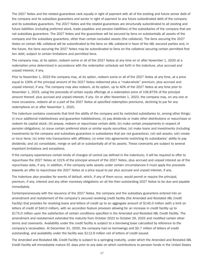The 2027 Notes and the related guarantees rank equally in right of payment with all of the existing and future senior debt of the company and its subsidiary guarantors and senior in right of payment to any future subordinated debt of the company and its subsidiary guarantors. The 2027 Notes and the related guarantees are structurally subordinated to all existing and future liabilities (including preferred stock, trade payables and pension liabilities) of the subsidiaries of the company that are not subsidiary guarantors. The 2027 Notes and the guarantees will be secured by liens on substantially all assets of the company and the subsidiary guarantors, other than certain excluded assets (the collateral). The liens securing the 2027 Notes on certain ABL collateral will be subordinated to the liens on ABL collateral in favor of the ABL secured parties and, in the future, the liens securing the 2027 Notes may be subordinated to liens on the collateral securing certain permitted first lien debt, subject to certain limitations and permitted liens.

The company may, at its option, redeem some or all of the 2027 Notes at any time on or after November 1, 2020 at a redemption price determined in accordance with the redemption schedule set forth in the indenture, plus accrued and unpaid interest, if any.

Prior to November 1, 2023 the company may, at its option, redeem some or all of the 2027 Notes at any time, at a price equal to 100% of the principal amount of the 2027 Notes redeemed plus a "make-whole" premium, plus accrued and unpaid interest, if any. The company may also redeem, at its option, up to 40% of the 2027 Notes at any time prior to November 1, 2023, using the proceeds of certain equity offerings at a redemption price of 106.875% of the principal amount thereof, plus accrued and unpaid interest, if any. On or after November 1, 2023, the company may, on any one or more occasions, redeem all or a part of the 2027 Notes at specified redemption premiums, declining to par for any redemptions on or after November 1, 2025.

The indenture contains covenants that limit the ability of the company and its restricted subsidiaries to, among other things: (i) incur additional indebtedness and guarantee indebtedness; (ii) pay dividends or make other distributions or repurchase or redeem its capital stock; (iii) prepay, redeem or repurchase certain debt; (iv) make certain prepayments in respect of pension obligations; (v) issue certain preferred stock or similar equity securities; (vi) make loans and investments (including investments by the company and subsidiary guarantors in subsidiaries that are not guarantors); (vii) sell assets; (viii) create or incur liens; (ix) enter into transactions with affiliates; (x) enter into agreements restricting its subsidiaries' ability to pay dividends; and (xi) consolidate, merge or sell all or substantially all of its assets. These covenants are subject to several important limitations and exceptions.

If the company experiences certain kinds of changes of control (as defined in the indenture), it will be required to offer to repurchase the 2027 Notes at 101% of the principal amount of the 2027 Notes, plus accrued and unpaid interest as of the repurchase date, if any. In addition, if the company sells assets under certain circumstances it must apply the proceeds towards an offer to repurchase the 2027 Notes at a price equal to par plus accrued and unpaid interest, if any.

The indenture also provides for events of default, which, if any of them occur, would permit or require the principal, premium, if any, interest and any other monetary obligations on all the then outstanding 2027 Notes to be due and payable immediately.

Contemporaneously with the issuance of the 2027 Notes, the company and the subsidiary guarantors entered into an amendment and restatement of the company's secured revolving credit facility (the Amended and Restated ABL Credit Facility) that provides for revolving loans and letters of credit up to an aggregate amount of \$145.0 million (with a limit on letters of credit of \$40.0 million), with an accordion feature provision allowing for an increase in credit facility up to \$175.0 million upon the satisfaction of certain conditions specified in the Amended and Restated ABL Credit Facility. The amendment and restatement extended the maturity from October 2022 to October 29, 2025 and modified certain other terms and covenants. Availability under the credit facility is subject to a borrowing base calculated by reference to the company's receivables. At December 31, 2020, the company had no borrowings and \$5.7 million of letters of credit outstanding, and availability under the facility was \$112.9 million net of letters of credit issued.

The Amended and Restated ABL Credit Facility is subject to a springing maturity, under which the Amended and Restated ABL Credit Facility will immediately mature 91 days prior to any date on which contributions to pension funds in the United States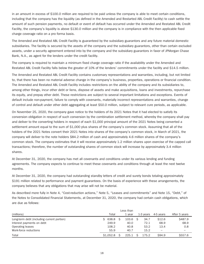in an amount in excess of \$100.0 million are required to be paid unless the company is able to meet certain conditions, including that the company has the liquidity (as defined in the Amended and Restarted ABL Credit Facility) to cash settle the amount of such pension payments, no default or event of default has occurred under the Amended and Restated ABL Credit Facility, the company's liquidity is above \$130.0 million and the company is in compliance with the then applicable fixed charge coverage ratio on a pro forma basis.

The Amended and Restated ABL Credit Facility is guaranteed by the subsidiary guarantors and any future material domestic subsidiaries. The facility is secured by the assets of the company and the subsidiary guarantors, other than certain excluded assets, under a security agreement entered into by the company and the subsidiary guarantors in favor of JPMorgan Chase Bank, N.A., as agent for the lenders under the credit facility.

The company is required to maintain a minimum fixed charge coverage ratio if the availability under the Amended and Restated ABL Credit Facility falls below the greater of 10% of the lenders' commitments under the facility and \$14.5 million.

The Amended and Restated ABL Credit Facility contains customary representations and warranties, including, but not limited to, that there has been no material adverse change in the company's business, properties, operations or financial condition. The Amended and Restated ABL Credit Facility includes restrictions on the ability of the company and its subsidiaries to, among other things, incur other debt or liens, dispose of assets and make acquisitions, loans and investments, repurchase its equity, and prepay other debt. These restrictions are subject to several important limitations and exceptions. Events of default include non-payment, failure to comply with covenants, materially incorrect representations and warranties, change of control and default under other debt aggregating at least \$50.0 million, subject to relevant cure periods, as applicable.

On November 25, 2020, the company gave notice to the holders of its 2021 Notes that it had elected to satisfy its conversion obligation in respect of such conversion by the combination settlement method, whereby the company shall pay and deliver to the converting holders in respect of each \$1,000 principal amount of the 2021 Notes being converted a settlement amount equal to the sum of \$1,000 plus shares of the company's common stock. Assuming that all of the holders of the 2021 Notes convert their 2021 Notes into shares of the company's common stock, in March of 2021, the company will deliver to the note holders \$84.2 million of cash and approximately 4.6 million shares of the company's common stock. The company estimates that it will receive approximately 1.2 million shares upon exercise of the capped call transactions; therefore, the number of outstanding shares of common stock will increase by approximately 3.4 million shares.

At December 31, 2020, the company has met all covenants and conditions under its various lending and funding agreements. The company expects to continue to meet these covenants and conditions through at least the next twelve months.

At December 31, 2020, the company had outstanding standby letters of credit and surety bonds totaling approximately \$191 million related to performance and payment guarantees. On the basis of experience with these arrangements, the company believes that any obligations that may arise will not be material.

As described more fully in Note 4, "Cost-reduction actions," Note 5, "Leases and commitments" and Note 15, "Debt," of the Notes to Consolidated Financial Statements, at December 31, 2020, the company had certain cash obligations, which are due as follows:

|                                            | Less than |  |        |  |           |               |               |
|--------------------------------------------|-----------|--|--------|--|-----------|---------------|---------------|
| (millions)                                 | Total     |  | 1 year |  | 1-3 years | 4-5 vears     | After 5 years |
| Long-term debt (including current portion) | 638.8     |  | 103.6  |  | 34.7      | \$12.6        | \$487.9       |
| Interest payments on debt                  | 249.9     |  | 40.0   |  | 72.1      | 68.9          | 68.9          |
| Operating leases                           | 108.2     |  | 40.8   |  | 53.2      | 13.4          | 0.8           |
| Work-force reductions                      | 55.9      |  | 40.7   |  | 15.2      | -             |               |
| Total                                      | \$1,052.8 |  | 225.1  |  | 175.2     | <b>\$94.9</b> | \$557.6       |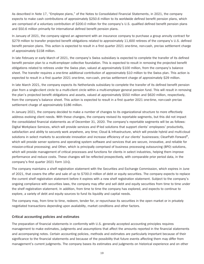As described in Note 17, "Employee plans," of the Notes to Consolidated Financial Statements, in 2021, the company expects to make cash contributions of approximately \$250.6 million to its worldwide defined benefit pension plans, which are comprised of a voluntary contribution of \$200.0 million for the company's U.S. qualified defined benefit pension plans and \$50.6 million primarily for international defined benefit pension plans.

In January of 2021, the company signed an agreement with an insurance company to purchase a group annuity contract for \$279 million to transfer projected benefit obligations related to approximately 11,600 retirees of the company's U.S. defined benefit pension plans. This action is expected to result in a first quarter 2021 one-time, non-cash, pre-tax settlement charge of approximately \$158 million.

In late February or early March of 2021, the company's Swiss subsidiary is expected to complete the transfer of its defined benefit pension plan to a multi-employer collective foundation. This is expected to result in removing the projected benefit obligations related to retirees under the Swiss plan, valued at approximately \$100 million, from the company's balance sheet. The transfer requires a one-time additional contribution of approximately \$10 million to the Swiss plan. This action is expected to result in a first quarter 2021 one-time, non-cash, pre-tax settlement charge of approximately \$29 million.

In late March 2021, the company expects its Netherlands subsidiary to complete the transfer of its defined benefit pension plan from a single-client circle to a multi-client circle within a multi-employer general pension fund. This will result in removing the plan's projected benefit obligations and assets, valued at approximately \$550 million and \$620 million, respectively, from the company's balance sheet. This action is expected to result in a first quarter 2021 one-time, non-cash pre-tax settlement charge of approximately \$186 million.

In January 2021, the company decided to make a number of changes to its organizational structure to more effectively address evolving client needs. With these changes, the company revised its reportable segments, but this did not impact the consolidated financial statements as of December 31, 2020. The company's reportable segments will be as follows: Digital Workplace Services, which will provide services and IP-led solutions that support clients' employees' productivity, satisfaction and ability to securely work anywhere, any time; Cloud & Infrastructure, which will provide hybrid and multi-cloud solutions in select markets to accelerate innovation and increase efficiency of our clients' businesses; ClearPath Forward®, which will provide server systems and operating system software and services that are secure, innovative, and reliable for mission-critical processing; and Other, which is principally comprised of business processing outsourcing (BPO) solutions, which will provide management of critical processes and functions for clients in select industries, helping them improve performance and reduce costs. These changes will be reflected prospectively, with comparable prior period data, in the company's first quarter 2021 Form 10-Q.

The company maintains a shelf registration statement with the Securities and Exchange Commission, which expires in June of 2021, that covers the offer and sale of up to \$700.0 million of debt or equity securities. The company expects to replace the current shelf registration statement before it expires with a new shelf registration statement. Subject to the company's ongoing compliance with securities laws, the company may offer and sell debt and equity securities from time to time under the shelf registration statement. In addition, from time to time the company has explored, and expects to continue to explore, a variety of debt and equity sources to fund its liquidity and capital needs.

The company may, from time to time, redeem, tender for, or repurchase its securities in the open market or in privately negotiated transactions depending upon availability, market conditions and other factors.

#### **Critical accounting policies and estimates**

The preparation of financial statements in conformity with U.S. generally accepted accounting principles requires management to make estimates, judgments and assumptions that affect the amounts reported in the financial statements and accompanying notes. Certain accounting policies, methods and estimates are particularly important because of their significance to the financial statements and because of the possibility that future events affecting them may differ from management's current judgments. The company bases its estimates and judgments on historical experience and on other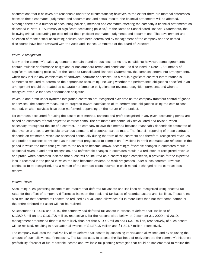assumptions that it believes are reasonable under the circumstances; however, to the extent there are material differences between these estimates, judgments and assumptions and actual results, the financial statements will be affected. Although there are a number of accounting policies, methods and estimates affecting the company's financial statements as described in Note 1, "Summary of significant accounting policies," of the Notes to Consolidated Financial Statements, the following critical accounting policies reflect the significant estimates, judgments and assumptions. The development and selection of these critical accounting policies have been determined by management of the company and the related disclosures have been reviewed with the Audit and Finance Committee of the Board of Directors.

#### *Revenue recognition*

Many of the company's sales agreements contain standard business terms and conditions; however, some agreements contain multiple performance obligations or non-standard terms and conditions. As discussed in Note 1, "Summary of significant accounting policies," of the Notes to Consolidated Financial Statements, the company enters into arrangements, which may include any combination of hardware, software or services. As a result, significant contract interpretation is sometimes required to determine the appropriate accounting, including whether the performance obligations specified in an arrangement should be treated as separate performance obligations for revenue recognition purposes, and when to recognize revenue for each performance obligation.

Revenue and profit under systems integration contracts are recognized over time as the company transfers control of goods or services. The company measures its progress toward satisfaction of its performance obligations using the cost-to-cost method, or when services have been performed, depending on the nature of the project.

For contracts accounted for using the cost-to-cost method, revenue and profit recognized in any given accounting period are based on estimates of total projected contract costs. The estimates are continually reevaluated and revised, when necessary, throughout the life of a contract. The company follows this method because reasonably dependable estimates of the revenue and costs applicable to various elements of a contract can be made. The financial reporting of these contracts depends on estimates, which are assessed continually during the term of the contracts and therefore, recognized revenues and profit are subject to revisions as the contract progresses to completion. Revisions in profit estimates are reflected in the period in which the facts that give rise to the revision become known. Accordingly, favorable changes in estimates result in additional revenue and profit recognition, and unfavorable changes in estimates result in a reduction of recognized revenue and profit. When estimates indicate that a loss will be incurred on a contract upon completion, a provision for the expected loss is recorded in the period in which the loss becomes evident. As work progresses under a loss contract, revenue continues to be recognized, and a portion of the contract costs incurred in each period is charged to the contract loss reserve.

#### *Income Taxes*

Accounting rules governing income taxes require that deferred tax assets and liabilities be recognized using enacted tax rates for the effect of temporary differences between the book and tax bases of recorded assets and liabilities. These rules also require that deferred tax assets be reduced by a valuation allowance if it is more likely than not that some portion or the entire deferred tax asset will not be realized.

At December 31, 2020 and 2019, the company had deferred tax assets in excess of deferred tax liabilities of \$1,380.8 million and \$1,617.8 million, respectively. For the reasons cited below, at December 31, 2020 and 2019, management determined that it is more likely than not that \$109.3 million and \$93.1 million, respectively, of such assets will be realized, resulting in a valuation allowance of \$1,271.5 million and \$1,524.7 million, respectively.

The company evaluates the realizability of its deferred tax assets by assessing its valuation allowance and by adjusting the amount of such allowance, if necessary. The factors used to assess the likelihood of realization are the company's historical profitability, forecast of future taxable income and available tax-planning strategies that could be implemented to realize the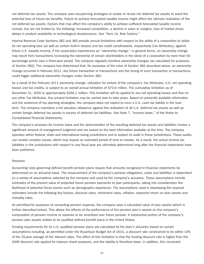net deferred tax assets. The company uses tax-planning strategies to realize or renew net deferred tax assets to avoid the potential loss of future tax benefits. Failure to achieve forecasted taxable income might affect the ultimate realization of the net deferred tax assets. Factors that may affect the company's ability to achieve sufficient forecasted taxable income include, but are not limited to, the following: increased competition, a decline in sales or margins, loss of market share, delays in product availability or technological obsolescence. See "Item 1A. Risk Factors."

Internal Revenue Code Sections 382 and 383 provide annual limitations with respect to the ability of a corporation to utilize its net operating loss (as well as certain built-in losses) and tax credit carryforwards, respectively (Tax Attributes), against future U.S. taxable income, if the corporation experiences an "ownership change." In general terms, an ownership change may result from transactions increasing the ownership of certain stockholders in the stock of a corporation by more than 50 percentage points over a three-year period. The company regularly monitors ownership changes (as calculated for purposes of Section 382). The company has determined that, for purposes of the rules of Section 382 described above, an ownership change occurred in February 2011. Any future transaction or transactions and the timing of such transaction or transactions could trigger additional ownership changes under Section 382.

As a result of the February 2011 ownership change, utilization for certain of the company's Tax Attributes, U.S. net operating losses and tax credits, is subject to an overall annual limitation of \$70.6 million. The cumulative limitation as of December 31, 2020 is approximately \$346.1 million. This limitation will be applied to any net operating losses and then to any other Tax Attributes. Any unused limitation may be carried over to later years. Based on presently available information and the existence of tax planning strategies, the company does not expect to incur a U.S. cash tax liability in the near term. The company maintains a full valuation allowance against the realization of all U.S. deferred tax assets as well as certain foreign deferred tax assets in excess of deferred tax liabilities. See Note 7, "Income taxes," of the Notes to Consolidated Financial Statements.

The company's provision for income taxes and the determination of the resulting deferred tax assets and liabilities involve a significant amount of management judgment and are based on the best information available at the time. The company operates within federal, state and international taxing jurisdictions and is subject to audit in these jurisdictions. These audits can involve complex issues, which may require an extended period of time to resolve. As a result, the actual income tax liabilities in the jurisdictions with respect to any fiscal year are ultimately determined long after the financial statements have been published.

#### *Pensions*

Accounting rules governing defined benefit pension plans require that amounts recognized in financial statements be determined on an actuarial basis. The measurement of the company's pension obligations, costs and liabilities is dependent on a variety of assumptions selected by the company and used by the company's actuaries. These assumptions include estimates of the present value of projected future pension payments to plan participants, taking into consideration the likelihood of potential future events such as demographic experience. The assumptions used in developing the required estimates include the following key factors: discount rates, retirement rates, inflation, expected return on plan assets and mortality rates.

As permitted for purposes of computing pension expense, the company uses a calculated value of plan assets (which is further described below). This allows the effects of the performance of the pension plan's assets on the company's computation of pension income or expense to be amortized over future periods. A substantial portion of the company's pension plan assets relates to its qualified defined benefit plans in the United States.

Funding requirements for its U.S. qualified pension plans are calculated by the plan's actuaries based on certain assumptions including, as permitted under the Bi-partisan Budget Act of 2015, a discount rate constrained to be within 10% of the 25-year average of the relevant rates. The effect of this limitation is that the funding discount rate is higher than the GAAP discount rate applied for balance sheet purposes, and the liability is therefore lower. In addition, this constraint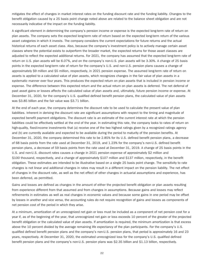mitigates the effect of changes in market interest rates on the funding discount rate and the funding liability. Changes to the benefit obligation caused by a 25 basis point change noted above are related to the balance sheet obligation and are not necessarily indicative of the impact on the funding liability.

A significant element in determining the company's pension income or expense is the expected long-term rate of return on plan assets. The company sets the expected long-term rate of return based on the expected long-term return of the various asset categories in which it invests. The company considers the current expectations for future returns and the actual historical returns of each asset class. Also, because the company's investment policy is to actively manage certain asset classes where the potential exists to outperform the broader market, the expected returns for those asset classes are adjusted to reflect the expected additional returns. For 2021, the company has assumed that the expected long-term rate of return on U.S. plan assets will be 6.07%, and on the company's non-U.S. plan assets will be 3.30%. A change of 25 basis points in the expected long-term rate of return for the company's U.S. and non-U.S. pension plans causes a change of approximately \$9 million and \$5 million, respectively, in 2021 pension expense. The assumed long-term rate of return on assets is applied to a calculated value of plan assets, which recognizes changes in the fair value of plan assets in a systematic manner over four years. This produces the expected return on plan assets that is included in pension income or expense. The difference between this expected return and the actual return on plan assets is deferred. The net deferral of past asset gains or losses affects the calculated value of plan assets and, ultimately, future pension income or expense. At December 31, 2020, for the company's U.S. qualified defined benefit pension plans, the calculated value of plan assets was \$3.85 billion and the fair value was \$3.71 billion.

At the end of each year, the company determines the discount rate to be used to calculate the present value of plan liabilities. Inherent in deriving the discount rate are significant assumptions with respect to the timing and magnitude of expected benefit payment obligations. The discount rate is an estimate of the current interest rate at which the pension liabilities could be effectively settled at the end of the year. In estimating this rate, the company looks to rates of return on high-quality, fixed-income investments that (a) receive one of the two highest ratings given by a recognized ratings agency and (b) are currently available and expected to be available during the period to maturity of the pension benefits. At December 31, 2020, the company determined this rate to be 2.85% for its U.S. defined benefit pension plans, a decrease of 68 basis points from the rate used at December 31, 2019, and 1.23% for the company's non-U.S. defined benefit pension plans, a decrease of 59 basis points from the rate used at December 31, 2019. A change of 25 basis points in the U.S. and non-U.S. discount rates causes a change in 2021 pension expense of approximately \$2 million and \$100 thousand, respectively, and a change of approximately \$107 million and \$137 million, respectively, in the benefit obligation. These estimates are intended to be illustrative based on a single 25 basis point change. The sensitivity to rate changes is not linear and additional changes in rates may result in a different impact on the pension liability. The net effect of changes in the discount rate, as well as the net effect of other changes in actuarial assumptions and experience, has been deferred, as permitted.

Gains and losses are defined as changes in the amount of either the projected benefit obligation or plan assets resulting from experience different from that assumed and from changes in assumptions. Because gains and losses may reflect refinements in estimates as well as real changes in economic values and because some gains in one period may be offset by losses in another and vice versa, the accounting rules do not require recognition of gains and losses as components of net pension cost of the period in which they arise.

At a minimum, amortization of an unrecognized net gain or loss must be included as a component of net pension cost for a year if, as of the beginning of the year, that unrecognized net gain or loss exceeds 10 percent of the greater of the projected benefit obligation or the calculated value of plan assets. If amortization is required, the minimum amortization is that excess above the 10 percent divided by the average remaining life expectancy of the plan participants. For the company's U.S. qualified defined benefit pension plans and the company's non-U.S. pension plans, that period is approximately 16 and 23 years, respectively. At December 31, 2020, the estimated unrecognized loss for the company's U.S. qualified defined benefit pension plans and the company's non-U.S. pension plans was \$2.35 billion and \$1.13 billion, respectively.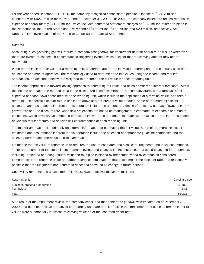For the year ended December 31, 2020, the company recognized consolidated pension expense of \$235.3 million, compared with \$92.7 million for the year ended December 31, 2019. For 2021, the company expects to recognize pension expense of approximately \$418.6 million, which includes estimated settlement charges of \$373 million related to plans in the Netherlands, the United States and Switzerland of \$186 million, \$158 million and \$29 million, respectively. See Note 17, "Employee plans," of the Notes to Consolidated Financial Statements.

#### *Goodwill*

Accounting rules governing goodwill require a company test goodwill for impairment at least annually, as well as whenever there are events or changes in circumstances (triggering events) which suggest that the carrying amount may not be recoverable.

When determining the fair value of a reporting unit, as appropriate for the individual reporting unit, the company uses both an income and market approach. The methodology used to determine the fair values using the income and market approaches, as described below, are weighted to determine the fair value for each reporting unit.

The income approach is a forward-looking approach to estimating fair value and relies primarily on internal forecasts. Within the income approach, the method used is the discounted cash flow method. The company starts with a forecast of all expected net cash flows associated with the reporting unit, which includes the application of a terminal value, and then a reporting unit-specific discount rate is applied to arrive at a net present value amount. Some of the more significant estimates and assumptions inherent in this approach include the amount and timing of projected net cash flows, long-term growth rate and the discount rate. Cash flow projections are based on management's estimates of economic and market conditions, which drive key assumptions of revenue growth rates and operating margins. The discount rate in turn is based on various market factors and specific risk characteristics of each reporting unit.

The market approach relies primarily on external information for estimating the fair value. Some of the more significant estimates and assumptions inherent in this approach include the selection of appropriate guideline companies and the selected performance metric used in this approach.

Estimating the fair value of reporting units requires the use of estimates and significant judgments about key assumptions. There are a number of factors including potential events and changes in circumstances that could change in future periods, including: projected operating results; valuation multiples exhibited by the company and by companies considered comparable to the reporting units; and other macro-economic factors that could impact the discount rate. It is reasonably possible that the judgments and estimates described above could change in future periods.

Goodwill by reporting unit at December 31, 2020, was as follows (dollars in millions):

| Reporting unit<br>________   | <b>Carrying Value</b> |
|------------------------------|-----------------------|
| Business process outsourcing | \$10.3                |
| Technology                   | 98.3                  |
| Total                        | \$108.6               |

As a result of the impairment review, the company concluded that none of its goodwill was impaired as of December 31, 2020, and does not believe that any of its reporting units are at risk of failing the impairment test since all reporting unit fair values were substantially in excess of carrying value as of the last impairment test.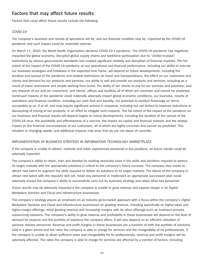# **Factors that may affect future results**

Factors that could affect future results include the following:

#### COVID-19

*The company's business and results of operations will be, and our financial condition may be, impacted by the COVID-19 pandemic and such impact could be materially adverse.*

On March 11, 2020, the World Health Organization declared COVID-19 a pandemic. The COVID-19 pandemic has negatively impacted the global economy, disrupted global supply chains and workforce participation due to "shelter-in-place" restrictions by various governments worldwide and created significant volatility and disruption of financial markets. The full extent of the impact of the COVID-19 pandemic on our operational and financial performance, including our ability to execute our business strategies and initiatives in the expected time frame, will depend on future developments, including the duration and spread of the pandemic and related restrictions on travel and transportations, the effect on our customers and clients and demand for our products and services; our ability to sell and provide our products and services, including as a result of travel restrictions and people working from home; the ability of our clients to pay for our services and solutions; and any closures of our and our customers' and clients' offices and facilities all of which are uncertain and cannot be predicted. Continued impacts of the pandemic could materially adversely impact global economic conditions, our business, results of operations and financial condition, including our cash flow and liquidity, our potential to conduct financings on terms acceptable to us, if at all, and may require significant actions in response, including but not limited to expense reductions or discounting of pricing of our products, in an effort to mitigate such impacts. The full extent of the impact of the pandemic on our business and financial results will depend largely on future developments, including the duration of the spread of the COVID-19 virus, the availability and effectiveness of a vaccine, the impact on capital and financial markets and the related impact on the financial circumstances of our customers, all of which are highly uncertain and cannot be predicted. This situation is changing rapidly, and additional impacts may arise that we are not aware of currently.

### IMPLEMENTATION OF BUSINESS STRATEGY IN INFORMATION TECHNOLOGY MARKETPLACE

# *If the company is unable to attract, motivate and retain experienced personnel in key positions, its future results could be adversely impacted.*

The company's ability to retain, train and develop its existing associate base in the skills and solutions required to service its target markets with the appropriate solutions is critical to the company's future success. The company also needs to attract new talent to augment the skills required to deliver its solutions to its target markets. The failure of the company to attract new talent with the requisite skill set, retain key personnel or implement an appropriate succession plan could adversely impact the company's ability to successfully carry out its business strategy and retain other key personnel.

# *Future results may be adversely impacted if the company is unable to grow revenue and expand margin in its Digital Workplace Services and Cloud and Infrastructure businesses.*

The company's strategy places an emphasis on an industry go-to-market approach with a focus within the company's Digital Workplace Services and Cloud and Infrastructure businesses on growing revenue, including specifically on higher-value and higher-margin offerings, while growing revenue and increasing margins with its other offerings such as business process outsourcing solutions. The company's ability to grow revenue and profitability in these businesses will depend on the level of demand for projects and the portfolio of solutions the company offers. It will also depend on an efficient utilization of services delivery personnel. Revenue and profit margins in these businesses are a function of both the portfolio of solutions sold in a given period and the rates the company is able to charge for services and the chargeability of its professionals. If the company is unable to attain sufficient rates and chargeability for its professionals, revenue and profit margins will be adversely affected. The rates the company is able to charge for services are affected by a number of factors, including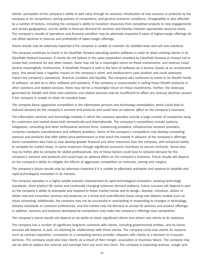clients' perception of the company's ability to add value through its services; introduction of new services or products by the company or its competitors; pricing policies of competitors; and general economic conditions. Chargeability is also affected by a number of factors, including the company's ability to transition resources from completed projects to new engagements and across geographies, and its ability to forecast demand for services and thereby maintain appropriate resource levels. The company's results of operations and financial condition may be adversely impacted if sales of higher-margin offerings do not offset declines in revenue and profitability of lower-margin offerings.

# *Future results may be adversely impacted if the company is unable to maintain its installed base and sell new solutions.*

The company continues to invest in its ClearPath Forward operating system software in order to retain existing clients in its ClearPath Forward business. If clients do not believe in the value proposition provided by ClearPath Forward or choose not to renew their contracts for any other reason, there may not be a meaningful return on these investments, and revenue could decline meaningfully. Furthermore, if ClearPath Forward is sold in the form of Software as a Service (SaaS) at an accelerated pace, this would have a negative impact on the company's short- and medium-term cash position and could adversely impact the company's operations, financial condition and liquidity. The company also continues to invest in its Stealth family of software, as well as in other software and solutions. If the company is unsuccessful in selling these Stealth products or other solutions and related services, there may not be a meaningful return on these investments. Further, the revenues generated by Stealth and other new solutions and related services may be insufficient to offset any revenue declines caused if the company is unable to retain its installed base.

# *The company faces aggressive competition in the information services and technology marketplace, which could lead to reduced demand for the company's services and products and could have an adverse effect on the company's business.*

The information services and technology markets in which the company operates include a large number of companies vying for customers and market share both domestically and internationally. The company's competitors include systems integrators, consulting and other professional services firms, outsourcing providers, infrastructure services providers, computer hardware manufacturers and software providers. Some of the company's competitors may develop competing services and products that offer better price-performance or that reach the market in advance of the company's offerings. Some competitors also have or may develop greater financial and other resources than the company, with enhanced ability to compete for market share, in some instances through significant economic incentives to secure contracts. Some also may be better able to compete for skilled professionals. Any of these factors could lead to reduced demand for the company's services and products and could have an adverse effect on the company's business. Future results will depend on the company's ability to mitigate the effects of aggressive competition on revenues, pricing and margins.

# *The company's future results may be adversely impacted if it is unable to effectively anticipate and respond to volatility and rapid technological innovation in its industry.*

The company operates in a highly volatile industry characterized by rapid technological innovation, evolving technology standards, short product life cycles and continually changing customer demand patterns. Future success will depend in part on the company's ability to anticipate and respond to these market trends and to design, develop, introduce, deliver or obtain new and innovative services and products on a timely and cost-effective basis using new delivery models such as cloud computing. Additionally, the company may not be successful in anticipating or responding to changes in technology, industry standards or customer preferences, and the market may not demand or accept its services and product offerings. In addition, services and products developed by competitors may make the company's offerings less competitive.

# *The company's future results will depend on its ability to retain significant clients and attract new clients to its solutions.*

The company has a number of significant long-term contracts with clients, including governmental entities, and its future success will depend, in part, on retaining its relationships with these clients. The company could lose clients for reasons such as contract expiration, conversion to a competing service provider, disputes with clients or a decision to in-source services. The company could also lose clients as a result of their merger, acquisition or business failure. The company may not be able to replace the revenue and earnings from any such lost client. The company is expecting revenue, margin and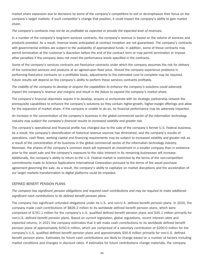market share expansion due to decisions by some of the company's competitors to exit or de-emphasize their focus on the company's target markets. If such competitor's change that position, it could impact the company's ability to gain market share.

#### *The company's contracts may not be as profitable as expected or provide the expected level of revenues.*

In a number of the company's long-term services contracts, the company's revenue is based on the volume of services and products provided. As a result, revenue levels anticipated at contract inception are not guaranteed. The company's contracts with governmental entities are subject to the availability of appropriated funds. In addition, some of these contracts may permit termination at the customer's discretion before the end of the contract term or may permit termination or impose other penalties if the company does not meet the performance levels specified in the contracts.

Some of the company's services contracts are fixed-price contracts under which the company assumes the risk for delivery of the contracted services and products at an agreed-upon fixed price. Should the company experience problems in performing fixed-price contracts on a profitable basis, adjustments to the estimated cost to complete may be required. Future results will depend on the company's ability to perform these services contracts profitably.

# *The inability of the company to develop or acquire the capabilities to enhance the company's solutions could adversely impact the company's revenue and margins and result in the failure to expand the company's market share.*

The company's financial objectives require it to develop, acquire or orchestrate with its strategic partnership network the prerequisite capabilities to enhance the company's solutions so they contain higher-growth, higher-margin offerings and allow for the expansion of market share. If the company is unable to do so, its financial performance may be adversely impacted.

# *An increase in the concentration of the company's business in the global commercial sector of the information technology industry may subject the company's financial results to increased volatility and greater risk.*

The company's operational and financial profile has changed due to the sale of the company's former U.S. Federal business. As a result, the company's diversification of historical revenue sources has diminished, and the company's results of operations, cash flows, working capital and financing requirements may be subject to increased volatility and greater risk as a result of the concentration of its business in the global commercial sector of the information technology industry. Moreover, the shares of the company's common stock will represent an investment in a smaller company than in existence prior to the asset sale and the company's exposure to the risks inherent in its remaining businesses will increase. Additionally, the company's ability to return to the U.S. Federal market is restricted by the terms of the non-competition commitments made to Science Applications International Corporation pursuant to the terms of the asset purchase agreement governing the sale. As a result, the company's ability to capitalize on market disruptions and the acceleration of our target markets transformation to digital platforms could be impeded.

### DEFINED BENEFIT PENSION PLANS

# *The company has significant pension obligations and required cash contributions and may be required to make additional significant cash contributions to its defined benefit pension plans.*

The company has significant unfunded obligations under its U.S. and non-U.S. defined benefit pension plans. In 2020, the company made cash contributions of \$826.2 million to its worldwide defined benefit pension plans, which were comprised of \$791.1 million for the company's U.S. qualified defined benefit pension plans and \$35.1 million primarily for non-U.S. defined benefit pension plans. Based on current legislation, global regulations, recent interest rates and expected returns, in 2021 the company estimates that it will make cash contributions to its worldwide defined benefit pension plans of approximately \$250.6 million, which are comprised of a voluntary contribution of \$200.0 million for the company's U.S. qualified defined benefit pension plans and approximately \$50.6 million primarily for non-U.S. defined benefit pension plans. Estimates for future cash contributions are likely to change based on a number of factors including market conditions and changes in discount rates. If estimates for future contributions change materially, the company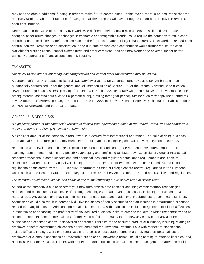may need to obtain additional funding in order to make future contributions. In this event, there is no assurance that the company would be able to obtain such funding or that the company will have enough cash on hand to pay the required cash contributions.

Deterioration in the value of the company's worldwide defined benefit pension plan assets, as well as discount rate changes, asset return changes, or changes in economic or demographic trends, could require the company to make cash contributions to its defined benefit pension plans in the future in an amount larger than currently anticipated. Increased cash contribution requirements or an acceleration in the due date of such cash contributions would further reduce the cash available for working capital, capital expenditures and other corporate uses and may worsen the adverse impact on the company's operations, financial condition and liquidity.

#### TAX ASSETS

#### *Our ability to use our net operating loss carryforwards and certain other tax attributes may be limited.*

A corporation's ability to deduct its federal NOL carryforwards and utilize certain other available tax attributes can be substantially constrained under the general annual limitation rules of Section 382 of the Internal Revenue Code (Section 382) if it undergoes an "ownership change" as defined in Section 382 (generally where cumulative stock ownership changes among material shareholders exceed 50 percent during a rolling three-year period). Similar rules may apply under state tax laws. A future tax "ownership change" pursuant to Section 382, may severely limit or effectively eliminate our ability to utilize our NOL carryforwards and other tax attributes.

#### GENERAL BUSINESS RISKS

*A significant portion of the company's revenue is derived from operations outside of the United States, and the company is subject to the risks of doing business internationally.*

A significant amount of the company's total revenue is derived from international operations. The risks of doing business internationally include foreign currency exchange rate fluctuations, changing global data privacy regulations, currency

restrictions and devaluations, changes in political or economic conditions, trade protection measures, import or export licensing requirements, multiple and possibly overlapping and conflicting tax laws, new tax legislation, weaker intellectual property protections in some jurisdictions and additional legal and regulatory compliance requirements applicable to businesses that operate internationally, including the U.S. Foreign Corrupt Practices Act, economic and trade sanctions regulations administered by the U.S. Treasury Department's Office of Foreign Assets Control, regulations in the European Union such as the General Data Protection Regulation, the U.K. Bribery Act and other U.S. and non-U.S. laws and regulations.

#### *The company could face business and financial risk in implementing future acquisitions or dispositions.*

As part of the company's business strategy, it may from time to time consider acquiring complementary technologies, products and businesses, or disposing of existing technologies, products and businesses, including transactions of a material size. Any acquisitions may result in the incurrence of substantial additional indebtedness or contingent liabilities. Acquisitions could also result in potentially dilutive issuances of equity securities and an increase in amortization expenses related to intangible assets. Additional potential risks associated with acquisitions include integration difficulties; difficulties in maintaining or enhancing the profitability of any acquired business; risks of entering markets in which the company has no or limited prior experience; potential loss of employees or failure to maintain or renew any contracts of any acquired business; and expenses of any undiscovered or potential liabilities of the acquired product or business, including relating to employee benefits contribution obligations or environmental requirements. Potential risks with respect to dispositions include difficulty finding buyers or alternative exit strategies on acceptable terms in a timely manner; potential loss of employees or clients; dispositions at unfavorable prices or on unfavorable terms, including relating to retained liabilities; and post-closing indemnity claims. Further, with respect to both acquisitions and dispositions, management's attention could be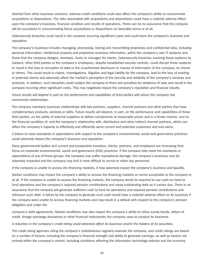diverted from other business concerns. Adverse credit conditions could also affect the company's ability to consummate acquisitions or dispositions. The risks associated with acquisitions and dispositions could have a material adverse effect upon the company's business, financial condition and results of operations. There can be no assurance that the company will be successful in consummating future acquisitions or dispositions on favorable terms or at all.

# *Cybersecurity breaches could result in the company incurring significant costs and could harm the company's business and reputation.*

The company's business includes managing, processing, storing and transmitting proprietary and confidential data, including personal information, intellectual property and proprietary business information, within the company's own IT systems and those that the company designs, develops, hosts or manages for clients. Cybersecurity breaches involving these systems by hackers, other third parties or the company's employees, despite established security controls, could disrupt these systems or result in the loss or corruption of data or the unauthorized disclosure or misuse of information of the company, its clients or others. This could result in claims, investigations, litigation and legal liability for the company, lead to the loss of existing or potential clients and adversely affect the market's perception of the security and reliability of the company's services and products. In addition, such breaches could subject the company to fines and penalties for violations of laws and result in the company incurring other significant costs. This may negatively impact the company's reputation and financial results.

# *Future results will depend in part on the performance and capabilities of third parties with whom the company has commercial relationships.*

The company maintains business relationships with key partners, suppliers, channel partners and other parties that have complementary products, services or skills. Future results will depend, in part, on the performance and capabilities of these third parties, on the ability of external suppliers to deliver components at reasonable prices and in a timely manner, and on the financial condition of, and the company's relationship with, distributors and other indirect channel partners, which can affect the company's capacity to effectively and efficiently serve current and potential customers and end users.

# *A failure to meet standards or expectations with respect to the company's environmental, social and governance practices could adversely impact the company's business and reputation.*

Many governmental bodies and current and prospective investors, clients, partners, and employees are increasing their focus on corporate environmental, social and governance (ESG) practices. If the company fails meet the standards or expectations of any of these groups, the company may suffer reputational damage, the company's business may be adversely impacted and the company may find it more difficult to recruit or retain key personnel.

#### *If the company is unable to access the financing markets, it may adversely impact the company's business and liquidity.*

Market conditions may impact the company's ability to access the financing markets on terms acceptable to the company or at all. If the company is unable to access the financing markets, the company would be required to use cash on hand to fund operations and the company's required pension contributions and repay outstanding debt as it comes due. There is no assurance that the company will generate sufficient cash to fund its operations and required pension contributions and refinance such debt. A failure by the company to generate such cash would have a material adverse effect on its business if the company were unable to access financing markets and may result in a default with respect to the company's pension obligation and under the

company's debt agreements. Market conditions may also impact the company's ability to utilize surety bonds, letters of credit, foreign exchange derivatives or other financial instruments the company uses to conduct its business.

#### *A reduction in the company's credit rating could adversely affect its business and/or the holders of its securities.*

The credit rating agencies rating the company's indebtedness regularly evaluate the company, and credit ratings are based on a number of factors, including the company's financial strength and ability to generate earnings, as well as factors not entirely within the company's control, including conditions affecting the information technology industry and the economy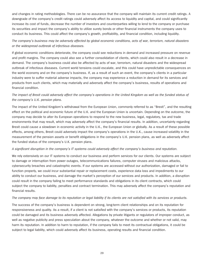and changes in rating methodologies. There can be no assurance that the company will maintain its current credit ratings. A downgrade of the company's credit ratings could adversely affect its access to liquidity and capital, and could significantly increase its cost of funds, decrease the number of investors and counterparties willing to lend to the company or purchase its securities and impact the company's ability to utilize surety bonds or other financial instruments the company uses to conduct its business. This could affect the company's growth, profitability, and financial condition, including liquidity.

# *The company's business may be adversely affected by global economic conditions, acts of war, terrorism, natural disasters or the widespread outbreak of infectious diseases.*

If global economic conditions deteriorate, the company could see reductions in demand and increased pressure on revenue and profit margins. The company could also see a further consolidation of clients, which could also result in a decrease in demand. The company's business could also be affected by acts of war, terrorism, natural disasters and the widespread outbreak of infectious diseases. Current world tensions could escalate, and this could have unpredictable consequences on the world economy and on the company's business. If, as a result of such an event, the company's clients in a particular industry were to suffer material adverse impacts, the company may experience a reduction in demand for its services and products from such clients, which may materially and adversely affect the company's business, results of operations and financial condition.

# *The impact of Brexit could adversely affect the company's operations in the United Kingdom as well as the funded status of the company's U.K. pension plans.*

The impact of the United Kingdom's withdrawal from the European Union, commonly referred to as "Brexit", and the resulting effect on the political and economic future of the U.K. and the European Union is uncertain. Depending on the outcome, the company may decide to alter its European operations to respond to the new business, legal, regulatory, tax and trade environments that may result, which may adversely affect the company's financial results. In addition, uncertainty regarding Brexit could cause a slowdown in economic activity in the U.K., the European Union or globally. As a result of these possible effects, among others, Brexit could adversely impact the company's operations in the U.K., cause increased volatility in the measurement of the pension assets or benefit obligations in the company's U.K. pension plans, as well as adversely affect the funded status of the company's U.K. pension plans.

#### *A significant disruption in the company's IT systems could adversely affect the company's business and reputation.*

We rely extensively on our IT systems to conduct our business and perform services for our clients. Our systems are subject to damage or interruption from power outages, telecommunications failures, computer viruses and malicious attacks, cybersecurity breaches and catastrophic events. If our systems are accessed without our authorization, damaged or fail to function properly, we could incur substantial repair or replacement costs, experience data loss and impediments to our ability to conduct our business, and damage the market's perception of our services and products. In addition, a disruption could result in the company failing to meet performance standards and obligations in its client contracts, which could subject the company to liability, penalties and contract termination. This may adversely affect the company's reputation and financial results.

#### *The company may face damage to its reputation or legal liability if its clients are not satisfied with its services or products.*

The success of the company's business is dependent on strong, long-term client relationships and on its reputation for responsiveness and quality. As a result, if a client is not satisfied with the company's services or products, its reputation could be damaged and its business adversely affected. Allegations by private litigants or regulators of improper conduct, as well as negative publicity and press speculation about the company, whatever the outcome and whether or not valid, may harm its reputation. In addition to harm to reputation, if the company fails to meet its contractual obligations, it could be subject to legal liability, which could adversely affect its business, operating results and financial condition.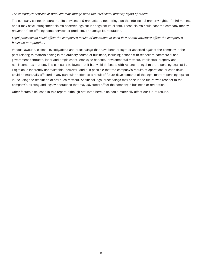#### *The company's services or products may infringe upon the intellectual property rights of others.*

The company cannot be sure that its services and products do not infringe on the intellectual property rights of third parties, and it may have infringement claims asserted against it or against its clients. These claims could cost the company money, prevent it from offering some services or products, or damage its reputation.

# *Legal proceedings could affect the company's results of operations or cash flow or may adversely affect the company's business or reputation.*

Various lawsuits, claims, investigations and proceedings that have been brought or asserted against the company in the past relating to matters arising in the ordinary course of business, including actions with respect to commercial and government contracts, labor and employment, employee benefits, environmental matters, intellectual property and non-income tax matters. The company believes that it has valid defenses with respect to legal matters pending against it. Litigation is inherently unpredictable, however, and it is possible that the company's results of operations or cash flows could be materially affected in any particular period as a result of future developments of the legal matters pending against it, including the resolution of any such matters. Additional legal proceedings may arise in the future with respect to the company's existing and legacy operations that may adversely affect the company's business or reputation.

Other factors discussed in this report, although not listed here, also could materially affect our future results.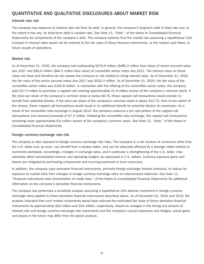# **QUANTITATIVE AND QUALITATIVE DISCLOSURES ABOUT MARKET RISK**

#### **Interest rate risk**

The company has exposure to interest rate risk from its debt. In general, the company's long-term debt is fixed rate and, to the extent it has any, its short-term debt is variable rate. See Note 15, "Debt," of the Notes to Consolidated Financial Statements for components of the company's debt. The company believes that the market risk assuming a hypothetical 10% increase in interest rates would not be material to the fair value of these financial instruments, or the related cash flows, or future results of operations.

### **Market risk**

As of December 31, 2020, the company had outstanding \$476.9 million (\$485.0 million face value) of senior secured notes due 2027 and \$83.6 million (\$84.2 million face value) of convertible senior notes due 2021. The interest rates on these notes are fixed and therefore do not expose the company to risk related to rising interest rates. As of December 31, 2020, the fair value of the senior secured notes due 2027 was \$532.3 million. As of December 31, 2020, the fair value of the convertible senior notes was \$169.8 million. In connection with the offering of the convertible senior notes, the company paid \$27.3 million to purchase a capped call covering approximately 21.9 million shares of the company's common stock. If the price per share of the company's common stock is below \$9.76, these capped call transactions would provide no benefit from potential dilution. If the price per share of the company's common stock is above \$12.75, then to the extent of the excess, these capped call transactions would result in no additional benefit for potential dilution at conversion. As a result of the convertible note exchange in August 2019, the company unwound a pro rata portion of the capped call transactions and received proceeds of \$7.2 million. Following the convertible note exchange, the capped call transactions remaining cover approximately 8.6 million shares of the company's common stock. See Note 15, "Debt," of the Notes to Consolidated Financial Statements.

### **Foreign currency exchange rate risk**

The company is also exposed to foreign currency exchange rate risks. The company is a net receiver of currencies other than the U.S. dollar and, as such, can benefit from a weaker dollar, and can be adversely affected by a stronger dollar relative to currencies worldwide. Accordingly, changes in exchange rates, and in particular a strengthening of the U.S. dollar, may adversely affect consolidated revenue and operating margins as expressed in U.S. dollars. Currency exposure gains and losses are mitigated by purchasing components and incurring expenses in local currencies.

In addition, the company uses derivative financial instruments, primarily foreign exchange forward contracts, to reduce its exposure to market risks from changes in foreign currency exchange rates on intercompany balances. See Note 12, "Financial instruments and concentration of credit risks," of the Notes to Consolidated Financial Statements for additional information on the company's derivative financial instruments.

The company has performed a sensitivity analysis assuming a hypothetical 10% adverse movement in foreign currency exchange rates applied to these derivative financial instruments described above. As of December 31, 2020 and 2019, the analysis indicated that such market movements would have reduced the estimated fair value of these derivative financial instruments by approximately \$50 million and \$44 million, respectively. Based on changes in the timing and amount of interest rate and foreign currency exchange rate movements and the company's actual exposures and hedges, actual gains and losses in the future may differ from the above analysis.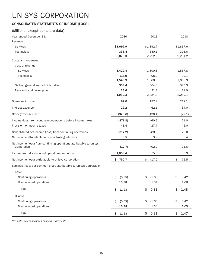# **CONSOLIDATED STATEMENTS OF INCOME (LOSS)**

# **(Millions, except per share data)**

| Year ended December 31,                                                            | 2020         | 2019         | 2018       |
|------------------------------------------------------------------------------------|--------------|--------------|------------|
| Revenue                                                                            |              |              |            |
| Services                                                                           | \$1,692.9    | \$1,892.7    | \$1,857.6  |
| Technology                                                                         | 333.4        | 330.1        | 393.6      |
|                                                                                    | 2,026.3      | 2,222.8      | 2,251.2    |
| Costs and expenses                                                                 |              |              |            |
| Cost of revenue:                                                                   |              |              |            |
| Services                                                                           | 1,429.4      | 1,590.6      | 1,567.8    |
| Technology                                                                         | 113.9        | 98.2         | 99.1       |
|                                                                                    | 1,543.3      | 1,688.8      | 1,666.9    |
| Selling, general and administrative                                                | 369.4        | 364.8        | 340.3      |
| Research and development                                                           | 26.6         | 31.3         | 31.9       |
|                                                                                    | 1,939.3      | 2,084.9      | 2,039.1    |
| Operating income                                                                   | 87.0         | 137.9        | 212.1      |
| Interest expense                                                                   | 29.2         | 62.1         | 64.0       |
| Other (expense), net                                                               | (329.6)      | (136.4)      | (77.1)     |
| Income (loss) from continuing operations before income taxes                       | (271.8)      | (60.6)       | 71.0       |
| Provision for income taxes                                                         | 45.4         | 27.7         | 46.0       |
| Consolidated net income (loss) from continuing operations                          | (317.2)      | (88.3)       | 25.0       |
| Net income attributable to noncontrolling interests                                | 0.5          | 3.9          | 3.4        |
| Net income (loss) from continuing operations attributable to Unisys<br>Corporation | (317.7)      | (92.2)       | 21.6       |
| Income from discontinued operations, net of tax                                    | 1,068.4      | 75.0         | 53.9       |
| Net income (loss) attributable to Unisys Corporation                               | 750.7<br>\$. | \$<br>(17.2) | \$<br>75.5 |
| Earnings (loss) per common share attributable to Unisys Corporation                |              |              |            |
| <b>Basic</b>                                                                       |              |              |            |
| Continuing operations                                                              | (5.05)<br>S  | S<br>(1.65)  | \$<br>0.42 |
| Discontinued operations                                                            | 16.98        | 1.34         | 1.06       |
| Total                                                                              | 11.93<br>\$  | \$<br>(0.31) | \$<br>1.48 |
| Diluted                                                                            |              |              |            |
| Continuing operations                                                              | (5.05)<br>S. | \$<br>(1.65) | \$<br>0.42 |
| Discontinued operations                                                            | 16.98        | 1.34         | 1.05       |
| Total                                                                              | 11.93<br>\$  | (0.31)<br>\$ | \$<br>1.47 |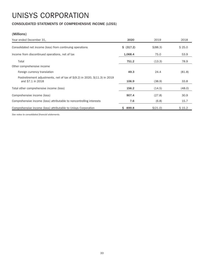# **CONSOLIDATED STATEMENTS OF COMPREHENSIVE INCOME (LOSS)**

# **(Millions)**

| Year ended December 31,                                                                                                  | 2020        | 2019      | 2018   |
|--------------------------------------------------------------------------------------------------------------------------|-------------|-----------|--------|
| Consolidated net income (loss) from continuing operations                                                                | \$ (317.2)  | \$ (88.3) | \$25.0 |
| Income from discontinued operations, net of tax                                                                          | 1,068.4     | 75.0      | 53.9   |
| Total                                                                                                                    | 751.2       | (13.3)    | 78.9   |
| Other comprehensive income                                                                                               |             |           |        |
| Foreign currency translation                                                                                             | 49.3        | 24.4      | (81.8) |
| Postretirement adjustments, net of tax of $\frac{6}{9}$ (9.2) in 2020, $\frac{6}{11}$ (1.3) in 2019<br>and \$7.1 in 2018 | 106.9       | (38.9)    | 33.8   |
| Total other comprehensive income (loss)                                                                                  | 156.2       | (14.5)    | (48.0) |
| Comprehensive income (loss)                                                                                              | 907.4       | (27.8)    | 30.9   |
| Comprehensive income (loss) attributable to noncontrolling interests                                                     | 7.6         | (6.8)     | 15.7   |
| Comprehensive income (loss) attributable to Unisys Corporation                                                           | 899.8<br>S. | \$(21.0)  | \$15.2 |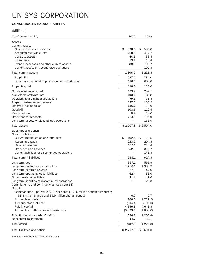# **CONSOLIDATED BALANCE SHEETS**

# **(Millions)**

| As of December 31,                                                        |    | 2020                     |    | 2019               |
|---------------------------------------------------------------------------|----|--------------------------|----|--------------------|
| Assets                                                                    |    |                          |    |                    |
| Current assets                                                            |    |                          |    |                    |
| Cash and cash equivalents                                                 | Ŝ  | 898.5                    | S  | 538.8              |
| Accounts receivable, net                                                  |    | 460.5                    |    | 417.7              |
| Contract assets                                                           |    | 44.3                     |    | 38.4               |
| Inventories                                                               |    | 13.4                     |    | 16.4               |
| Prepaid expenses and other current assets                                 |    | 89.3                     |    | 100.7              |
| Current assets of discontinued operations                                 |    | $\qquad \qquad -$        |    | 109.3              |
| Total current assets                                                      |    | 1,506.0                  |    | 1,221.3            |
| Properties                                                                |    | 727.0                    |    | 784.0              |
| Less - Accumulated depreciation and amortization                          |    | 616.5                    |    | 668.0              |
| Properties, net                                                           |    | 110.5                    |    | 116.0              |
| Outsourcing assets, net                                                   |    | 173.9                    |    | 202.1              |
| Marketable software, net                                                  |    | 193.6                    |    | 186.8              |
| Operating lease right-of-use assets                                       |    | 79.3                     |    | 71.4               |
| Prepaid postretirement assets                                             |    | 187.5                    |    | 136.2              |
| Deferred income taxes                                                     |    | 136.2                    |    | 114.0              |
| Goodwill                                                                  |    | 108.6                    |    | 110.4              |
| Restricted cash                                                           |    | 8.2<br>204.1             |    | 13.0<br>198.9      |
| Other long-term assets<br>Long-term assets of discontinued operations     |    |                          |    | 133.9              |
| Total assets                                                              |    | \$2,707.9                |    | \$2,504.0          |
|                                                                           |    |                          |    |                    |
| Liabilities and deficit                                                   |    |                          |    |                    |
| Current liabilities:                                                      | S. | 102.8                    | Ŝ. | 13.5               |
| Current maturities of long-term debt<br>Accounts payable                  |    | 223.2                    |    | 204.3              |
| Deferred revenue                                                          |    | 257.1                    |    | 246.4              |
| Other accrued liabilities                                                 |    | 352.0                    |    | 316.7              |
| Current liabilities of discontinued operations                            |    | $\overline{\phantom{0}}$ |    | 146.4              |
| Total current liabilities                                                 |    | 935.1                    |    | 927.3              |
| Long-term debt                                                            |    | 527.1                    |    | 565.9              |
| Long-term postretirement liabilities                                      |    | 1,286.1                  |    | 1,960.2            |
| Long-term deferred revenue                                                |    | 137.9                    |    | 147.0              |
| Long-term operating lease liabilities                                     |    | 62.4                     |    | 56.0               |
| Other long-term liabilities                                               |    | 71.4                     |    | 47.6               |
| Long-term liabilities of discontinued operations                          |    | $\overline{\phantom{0}}$ |    | 28.3               |
| Commitments and contingencies (see note 18)                               |    |                          |    |                    |
| Deficit:                                                                  |    |                          |    |                    |
| Common stock, par value \$.01 per share (150.0 million shares authorized; |    |                          |    |                    |
| 66.8 million shares and 65.9 million shares issued)                       |    | 0.7                      |    | 0.7                |
| Accumulated deficit                                                       |    | (960.5)                  |    | (1,711.2)          |
| Treasury stock, at cost<br>Paid-in capital                                |    | (114.4)<br>4,656.9       |    | (109.6)<br>4,643.3 |
| Accumulated other comprehensive loss                                      |    | (3,939.5)                |    | (4,088.6)          |
| Total Unisys stockholders' deficit                                        |    | (356.8)                  |    |                    |
| Noncontrolling interests                                                  |    | 44.7                     |    | (1,265.4)<br>37.1  |
| Total deficit                                                             |    | (312.1)                  |    | (1,228.3)          |
|                                                                           |    |                          |    | \$2,504.0          |
| Total liabilities and deficit                                             |    | \$2,707.9                |    |                    |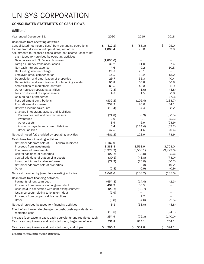# **CONSOLIDATED STATEMENTS OF CASH FLOWS**

# **(Millions)**

| Year ended December 31,                                           | 2020         | 2019         | 2018              |
|-------------------------------------------------------------------|--------------|--------------|-------------------|
| Cash flows from operating activities                              |              |              |                   |
| Consolidated net income (loss) from continuing operations         | (317.2)<br>S | \$<br>(88.3) | \$<br>25.0        |
| Income from discontinued operations, net of tax                   | 1,068.4      | 75.0         | 53.9              |
| Adjustments to reconcile consolidated net income (loss) to net    |              |              |                   |
| cash (used for) provided by operating activities:                 |              |              |                   |
| Gain on sale of U.S. Federal business                             | (1,060.0)    |              |                   |
| Foreign currency translation losses                               | 36.2         | 11.0         | 7.4               |
| Non-cash interest expense                                         | 4.6          | 9.2          | 10.5              |
| Debt extinguishment charge                                        | 28.5         | 20.1         | $\qquad \qquad -$ |
| Employee stock compensation                                       | 14.5         | 13.2         | 13.2              |
| Depreciation and amortization of properties                       | 29.7         | 35.3         | 40.4              |
| Depreciation and amortization of outsourcing assets               | 65.8         | 63.8         | 66.8              |
| Amortization of marketable software                               | 65.5         | 48.3         | 56.9              |
| Other non-cash operating activities                               | (0.3)        | (1.6)        | (4.8)             |
| Loss on disposal of capital assets                                | 4.5          | 1.5          | 0.8               |
| Gain on sale of properties                                        |              |              | (7.3)             |
| Postretirement contributions                                      | (832.2)      | (109.4)      | (138.7)           |
| Postretirement expense                                            | 239.2        | 96.6         | 84.1              |
| Deferred income taxes, net                                        | (13.4)       | 4.4          | 8.2               |
| Changes in operating assets and liabilities:                      |              |              |                   |
| Receivables, net and contract assets                              | (74.8)       | (8.3)        | (50.5)            |
| Inventories                                                       | 3.0          | 6.1          | (5.5)             |
| Other assets                                                      | 5.9          | 9.9          | (23.9)            |
| Accounts payable and current liabilities                          | 3.4          | (114.4)      | (62.2)            |
| Other liabilities                                                 | 47.5         | 51.5         | (0.4)             |
| Net cash (used for) provided by operating activities              | (681.2)      | 123.9        | 73.9              |
| Cash flows from investing activities                              |              |              |                   |
| Net proceeds from sale of U.S. Federal business                   | 1,162.9      |              |                   |
| Proceeds from investments                                         | 3,388.5      | 3,568.9      | 3,708.0           |
| Purchases of investments                                          | (3,379.2)    | (3,566.1)    | (3,722.0)         |
| Capital additions of properties                                   | (27.7)       | (38.0)       | (35.6)            |
| Capital additions of outsourcing assets                           | (30.1)       | (48.8)       | (73.0)            |
| Investment in marketable software                                 | (72.3)       | (73.0)       | (80.7)            |
| Net proceeds from sale of properties                              |              | (0.3)        | 19.2              |
| Other                                                             | (0.5)        | (0.9)        | (0.9)             |
| Net cash provided by (used for) investing activities              | 1,041.6      | (158.2)      | (185.0)           |
| Cash flows from financing activities                              |              |              |                   |
| Payments of long-term debt                                        | (454.8)      | (14.4)       | (2.3)             |
| Proceeds from issuance of long-term debt                          | 497.3        | 30.5         |                   |
| Cash paid in connection with debt extinguishment                  | (23.7)       | (56.7)       |                   |
| Issuance costs relating to long-term debt                         | (7.9)        |              |                   |
| Proceeds from capped call transactions                            |              | 7.2          |                   |
| Other                                                             | (5.8)        | (4.6)        | (2.5)             |
| Net cash provided by (used for) financing activities              | 5.1          | (38.0)       | (4.8)             |
| Effect of exchange rate changes on cash, cash equivalents and     |              |              |                   |
| restricted cash                                                   | (10.6)       |              | (24.1)            |
| Increase (decrease) in cash, cash equivalents and restricted cash | 354.9        | (72.3)       | (140.0)           |
| Cash, cash equivalents and restricted cash, beginning of year     | 551.8        | 624.1        | 764.1             |
| Cash, cash equivalents and restricted cash, end of year           | \$<br>906.7  | \$<br>551.8  | \$<br>624.1       |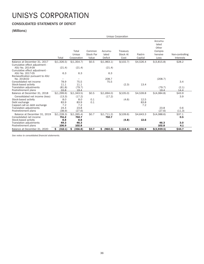# UNISYS CORPORATION

## **CONSOLIDATED STATEMENTS OF DEFICIT**

### **(Millions)**

|                                                                                                         |                              |                                |                                     |                             | Unisys Corporation           |                     |                                                         |                              |
|---------------------------------------------------------------------------------------------------------|------------------------------|--------------------------------|-------------------------------------|-----------------------------|------------------------------|---------------------|---------------------------------------------------------|------------------------------|
|                                                                                                         | Total                        | Total<br>Unisys<br>Corporation | Common<br><b>Stock Par</b><br>Value | Accumu-<br>lated<br>Deficit | Treasury<br>Stock At<br>Cost | Paid-in<br>Capital  | Accumu-<br>lated<br>Other<br>Compre-<br>hensive<br>Loss | Non-controlling<br>Interests |
| Balance at December 31, 2017                                                                            | \$(1,326.5)                  | \$(1,354.7)                    | \$0.5                               | \$(1,963.1)                 | \$(102.7)                    | \$4,526.4           | \$ (3,815.8)                                            | \$28.2                       |
| Cumulative effect adjustment -<br>ASU No. 2014-09<br>Cumulative effect adjustment -                     | (21.4)                       | (21.4)                         |                                     | (21.4)                      |                              |                     |                                                         |                              |
| ASU No. 2017-05                                                                                         | 6.3                          | 6.3                            |                                     | 6.3                         |                              |                     |                                                         |                              |
| Reclassification pursuant to ASU<br>No. 2018-02                                                         |                              | $\qquad \qquad -$              |                                     | 208.7                       |                              |                     | (208.7)                                                 |                              |
| Consolidated net income                                                                                 | 78.9<br>11.1                 | 75.5<br>11.1                   |                                     | 75.5                        |                              |                     |                                                         | 3.4                          |
| Stock-based activity<br>Translation adjustments<br>Postretirement plans                                 | (81.8)<br>33.8               | (79.7)<br>19.4                 |                                     |                             | (2.3)                        | 13.4                | (79.7)<br>19.4                                          | (2.1)<br>14.4                |
| Balance at December 31, 2018                                                                            | \$(1,299.6)                  | \$(1,343.5)                    | \$0.5                               | \$(1,694.0)                 | \$(105.0)                    | \$4,539.8           | \$(4,084.8)                                             | \$43.9                       |
| Consolidated net income (loss)<br>Stock-based activity<br>Debt exchange<br>Capped call on debt exchange | (13.3)<br>8.0<br>83.9<br>7.2 | (17.2)<br>8.0<br>83.9<br>7.2   | 0.1<br>0.1                          | (17.2)                      | (4.6)                        | 12.5<br>83.8<br>7.2 |                                                         | 3.9                          |
| Translation adjustments<br>Postretirement plans                                                         | 24.4<br>(38.9)               | 23.8<br>(27.6)                 |                                     |                             |                              |                     | 23.8<br>(27.6)                                          | 0.6<br>(11.3)                |
| Balance at December 31, 2019<br>Consolidated net income                                                 | \$(1,228.3)<br>751.2         | \$(1,265.4)<br>750.7           | \$0.7                               | \$(1,711.2)<br>750.7        | \$(109.6)                    | \$4,643.3           | \$(4,088.6)                                             | \$37.1<br>0.5                |
| Stock-based activity<br>Translation adjustments<br>Postretirement plans                                 | 8.8<br>49.3<br>106.9         | 8.8<br>46.3<br>102.8           |                                     |                             | (4.8)                        | 13.6                | 46.3<br>102.8                                           | 3.0<br>4.1                   |
| Balance at December 31, 2020                                                                            | Ś.<br>(312.1)                | (356.8)<br>Ś                   | \$0.7                               | Ś.<br>(960.5)               | \$(114.4)                    | \$4.656.9           | \$(3,939.5)                                             | \$44.7                       |

*See notes to consolidated financial statements.*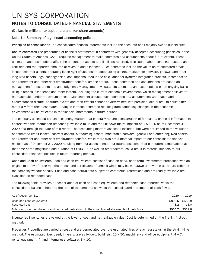## UNISYS CORPORATION **NOTES TO CONSOLIDATED FINANCIAL STATEMENTS**

#### **(Dollars in millions, except share and per share amounts)**

#### **Note 1 – Summary of significant accounting policies**

**Principles of consolidation** The consolidated financial statements include the accounts of all majority-owned subsidiaries.

**Use of estimates** The preparation of financial statements in conformity with generally accepted accounting principles in the United States of America (GAAP) requires management to make estimates and assumptions about future events. These estimates and assumptions affect the amounts of assets and liabilities reported, disclosures about contingent assets and liabilities and the reported amounts of revenue and expenses. Such estimates include the valuation of estimated credit losses, contract assets, operating lease right-of-use assets, outsourcing assets, marketable software, goodwill and other long-lived assets, legal contingencies, assumptions used in the calculation for systems integration projects, income taxes and retirement and other post-employment benefits, among others. These estimates and assumptions are based on management's best estimates and judgment. Management evaluates its estimates and assumptions on an ongoing basis using historical experience and other factors, including the current economic environment, which management believes to be reasonable under the circumstances. Management adjusts such estimates and assumptions when facts and circumstances dictate. As future events and their effects cannot be determined with precision, actual results could differ materially from these estimates. Changes in those estimates resulting from continuing changes in the economic environment will be reflected in the financial statements in future periods.

The company assessed certain accounting matters that generally require consideration of forecasted financial information in context with the information reasonably available to us and the unknown future impacts of COVID-19 as of December 31, 2020 and through the date of this report. The accounting matters assessed included, but were not limited to the valuation of estimated credit losses, contract assets, outsourcing assets, marketable software, goodwill and other long-lived assets, and retirement and other post-employment benefits. While there was not a material impact to our consolidated financial position as of December 31, 2020 resulting from our assessments, our future assessment of our current expectations at that time of the magnitude and duration of COVID-19, as well as other factors, could result in material impacts to our consolidated financial position in future reporting periods.

**Cash and Cash equivalents** Cash and cash equivalents consist of cash on hand, short-term investments purchased with an original maturity of three months or less and certificates of deposit which may be withdrawn at any time at the discretion of the company without penalty. Cash and cash equivalents subject to contractual restrictions and not readily available are classified as restricted cash.

The following table provides a reconciliation of cash and cash equivalents and restricted cash reported within the consolidated balance sheets to the total of the amounts shown in the consolidated statements of cash flows.

| As of December 31,                                                                                  | 2020   | 2019            |
|-----------------------------------------------------------------------------------------------------|--------|-----------------|
| Cash and cash equivalents                                                                           |        | \$898.5 \$538.8 |
| Restricted cash                                                                                     | 8.2    | 13.0            |
| Total cash, cash equivalents and restricted cash shown in the consolidated statements of cash flows | S906.7 | \$551.8         |

**Inventories** Inventories are valued at the lower of cost and net realizable value. Cost is determined on the first-in, first-out method.

**Properties** Properties are carried at cost and are depreciated over the estimated lives of such assets using the straight-line method. The estimated lives used, in years, are as follows: buildings,  $20 - 50$ ; machinery and office equipment,  $4 - 7$ ; rental equipment, 4; and internal-use software,  $3 - 10$ .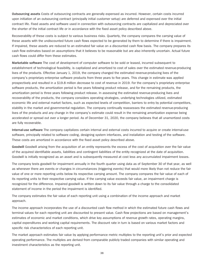**Outsourcing assets** Costs of outsourcing contracts are generally expensed as incurred. However, certain costs incurred upon initiation of an outsourcing contract (principally initial customer setup) are deferred and expensed over the initial contract life. Fixed assets and software used in connection with outsourcing contracts are capitalized and depreciated over the shorter of the initial contract life or in accordance with the fixed asset policy described above.

Recoverability of these costs is subject to various business risks. Quarterly, the company compares the carrying value of these assets with the undiscounted future cash flows expected to be generated by them to determine if there is impairment. If impaired, these assets are reduced to an estimated fair value on a discounted cash flow basis. The company prepares its cash flow estimates based on assumptions that it believes to be reasonable but are also inherently uncertain. Actual future cash flows could differ from these estimates.

**Marketable software** The cost of development of computer software to be sold or leased, incurred subsequent to establishment of technological feasibility, is capitalized and amortized to cost of sales over the estimated revenue-producing lives of the products. Effective January 1, 2019, the company changed the estimated revenue-producing lives of the company's proprietary enterprise software products from three years to five years. This change in estimate was applied prospectively and resulted in a \$19.8 million decrease to cost of revenue in 2019. For the company's proprietary enterprise software products, the amortization period is five years following product release, and for the remaining products, the amortization period is three years following product release. In assessing the estimated revenue-producing lives and recoverability of the products, the company considers operating strategies, underlying technologies utilized, estimated economic life and external market factors, such as expected levels of competition, barriers to entry by potential competitors, stability in the market and governmental regulation. The company continually reassesses the estimated revenue-producing lives of the products and any change in the company's estimate could result in the remaining amortization expense being accelerated or spread out over a longer period. As of December 31, 2020, the company believes that all unamortized costs are fully recoverable.

**Internal-use software** The company capitalizes certain internal and external costs incurred to acquire or create internal-use software, principally related to software coding, designing system interfaces, and installation and testing of the software. These costs are amortized in accordance with the fixed asset policy described above.

**Goodwill** Goodwill arising from the acquisition of an entity represents the excess of the cost of acquisition over the fair value of the acquired identifiable assets, liabilities and contingent liabilities of the entity recognized at the date of acquisition. Goodwill is initially recognized as an asset and is subsequently measured at cost less any accumulated impairment losses.

The company tests goodwill for impairment annually in the fourth quarter using data as of September 30 of that year, as well as whenever there are events or changes in circumstances (triggering events) that would more likely than not reduce the fair value of one or more reporting units below its respective carrying amount. The company compares the fair value of each of its reporting units to their respective carrying value. If the carrying value exceeds fair value, an impairment charge is recognized for the difference. Impaired goodwill is written down to its fair value through a charge to the consolidated statement of income in the period the impairment is identified.

The company estimates the fair value of each reporting unit using a combination of the income approach and market approach.

The income approach incorporates the use of a discounted cash flow method in which the estimated future cash flows and terminal values for each reporting unit are discounted to present value. Cash flow projections are based on management's estimates of economic and market conditions, which drive key assumptions of revenue growth rates, operating margins, capital expenditures and working capital requirements. The discount rate in turn is based on various market factors and specific risk characteristics of each reporting unit.

The market approach estimates fair value by applying performance metric multiples to the reporting unit's prior and expected operating performance. The multiples are derived from comparable publicly traded companies with similar operating and investment characteristics as the reporting unit.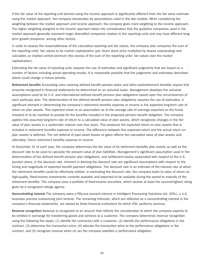If the fair value of the reporting unit derived using the income approach is significantly different from the fair value estimate using the market approach, the company reevaluates its assumptions used in the two models. When considering the weighting between the market approach and income approach, the company gives more weighting to the income approach. The higher weighting assigned to the income approach takes into consideration that the guideline companies used in the market approach generally represent larger diversified companies relative to the reporting units and may have different longterm growth prospects, among other factors.

In order to assess the reasonableness of the calculated reporting unit fair values, the company also compares the sum of the reporting units' fair values to its market capitalization (per share stock price multiplied by shares outstanding) and calculates an implied control premium (the excess of the sum of the reporting units' fair values over the market capitalization).

Estimating the fair value of reporting units requires the use of estimates and significant judgments that are based on a number of factors including actual operating results. It is reasonably possible that the judgments and estimates described above could change in future periods.

**Retirement benefits** Accounting rules covering defined benefit pension plans and other postretirement benefits require that amounts recognized in financial statements be determined on an actuarial basis. Management develops the actuarial assumptions used by its U.S. and international defined benefit pension plan obligations based upon the circumstances of each particular plan. The determination of the defined benefit pension plan obligations requires the use of estimates. A significant element in determining the company's retirement benefits expense or income is the expected long-term rate of return on plan assets. This expected return is an assumption as to the average rate of earnings expected on the funds invested or to be invested to provide for the benefits included in the projected pension benefit obligation. The company applies this assumed long-term rate of return to a calculated value of plan assets, which recognizes changes in the fair value of plan assets in a systematic manner over four years. This produces the expected return on plan assets that is included in retirement benefits expense or income. The difference between this expected return and the actual return on plan assets is deferred. The net deferral of past asset losses or gains affects the calculated value of plan assets and, ultimately, future retirement benefits expense or income.

At December 31 of each year, the company determines the fair value of its retirement benefits plan assets as well as the discount rate to be used to calculate the present value of plan liabilities. Management's significant assumption used in the determination of the defined benefit pension plan obligations, and settlement losses associated with respect to the U.S. pension plans, is the discount rate. Inherent in deriving the discount rate are significant assumptions with respect to the timing and magnitude of expected benefit payment obligations. The discount rate is an estimate of the interest rate at which the retirement benefits could be effectively settled. In estimating the discount rate, the company looks to rates of return on high-quality, fixed-income investments currently available and expected to be available during the period to maturity of the retirement benefits. The company uses a portfolio of fixed-income securities, which receive at least the second-highest rating given by a recognized ratings agency.

**Noncontrolling interest** The company owns a fifty-one percent interest in Intelligent Processing Solutions Ltd. (iPSL), a U.K. business process outsourcing joint venture. The remaining interests, which are reflected as a noncontrolling interest in the company's financial statements, are owned by three financial institutions for which iPSL performs services.

**Revenue recognition** Revenue is recognized at an amount that reflects the consideration to which the company expects to be entitled in exchange for transferring goods and services to a customer. The company determines revenue recognition using the following five steps: (1) identify the contract(s) with a customer, (2) identify the performance obligations in the contract, (3) determine the transaction price, (4) allocate the transaction price to the performance obligations in the contract, and (5) recognize revenue when (or as) the company satisfies a performance obligation.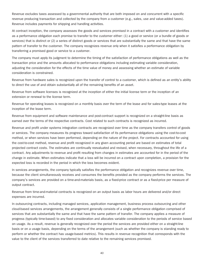Revenue excludes taxes assessed by a governmental authority that are both imposed on and concurrent with a specific revenue producing transaction and collected by the company from a customer (e.g., sales, use and value-added taxes). Revenue includes payments for shipping and handling activities.

At contract inception, the company assesses the goods and services promised in a contract with a customer and identifies as a performance obligation each promise to transfer to the customer either: (1) a good or service (or a bundle of goods or services) that is distinct or (2) a series of distinct goods or services that are substantially the same and that have the same pattern of transfer to the customer. The company recognizes revenue only when it satisfies a performance obligation by transferring a promised good or service to a customer.

The company must apply its judgment to determine the timing of the satisfaction of performance obligations as well as the transaction price and the amounts allocated to performance obligations including estimating variable consideration, adjusting the consideration for the effects of the time value of money and assessing whether an estimate of variable consideration is constrained.

Revenue from hardware sales is recognized upon the transfer of control to a customer, which is defined as an entity's ability to direct the use of and obtain substantially all of the remaining benefits of an asset.

Revenue from software licenses is recognized at the inception of either the initial license term or the inception of an extension or renewal to the license term.

Revenue for operating leases is recognized on a monthly basis over the term of the lease and for sales-type leases at the inception of the lease term.

Revenue from equipment and software maintenance and post-contract support is recognized on a straight-line basis as earned over the terms of the respective contracts. Cost related to such contracts is recognized as incurred.

Revenue and profit under systems integration contracts are recognized over time as the company transfers control of goods or services. The company measures its progress toward satisfaction of its performance obligations using the cost-to-cost method, or when services have been performed, depending on the nature of the project. For contracts accounted for using the cost-to-cost method, revenue and profit recognized in any given accounting period are based on estimates of total projected contract costs. The estimates are continually reevaluated and revised, when necessary, throughout the life of a contract. Any adjustments to revenue and profit resulting from changes in estimates are accounted for in the period of the change in estimate. When estimates indicate that a loss will be incurred on a contract upon completion, a provision for the expected loss is recorded in the period in which the loss becomes evident.

In services arrangements, the company typically satisfies the performance obligation and recognizes revenue over time, because the client simultaneously receives and consumes the benefits provided as the company performs the services. The company's services are provided on a time-and-materials basis, as a fixed-price contract or as a fixed-price per measure of output contract.

Revenue from time-and-material contracts is recognized on an output basis as labor hours are delivered and/or direct expenses are incurred.

In outsourcing contracts, including managed services, application management, business process outsourcing and other cloud-based services arrangements, the arrangement generally consists of a single performance obligation comprised of services that are substantially the same and that have the same pattern of transfer. The company applies a measure of progress (typically time-based) to any fixed consideration and allocates variable consideration to the periods of service based on usage. As a result, revenue is generally recognized over the period the services are provided either on a straight-line basis or on a usage basis, depending on the terms of the arrangement (such as whether the company is standing ready to perform or whether the contract has usage-based metrics). This results in revenue recognition that corresponds with the value to the client of the services transferred to date relative to the remaining services promised.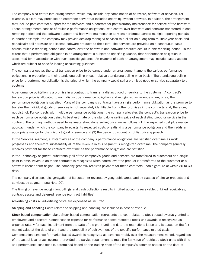The company also enters into arrangements, which may include any combination of hardware, software or services. For example, a client may purchase an enterprise server that includes operating system software. In addition, the arrangement may include post-contract support for the software and a contract for post-warranty maintenance for service of the hardware. These arrangements consist of multiple performance obligations, with control over hardware and software transferred in one reporting period and the software support and hardware maintenance services performed across multiple reporting periods. In another example, the company may provide desktop managed services to a client on a long-term multiple-year basis and periodically sell hardware and license software products to the client. The services are provided on a continuous basis across multiple reporting periods and control over the hardware and software products occurs in one reporting period. To the extent that a performance obligation in an arrangement is subject to specific guidance, that performance obligation is accounted for in accordance with such specific guidance. An example of such an arrangement may include leased assets which are subject to specific leasing accounting guidance.

The company allocates the total transaction price to be earned under an arrangement among the various performance obligations in proportion to their standalone selling prices (relative standalone selling price basis). The standalone selling price for a performance obligation is the price at which the company would sell a promised good or service separately to a customer.

A performance obligation is a promise in a contract to transfer a distinct good or service to the customer. A contract's transaction price is allocated to each distinct performance obligation and recognized as revenue when, or as, the performance obligation is satisfied. Many of the company's contracts have a single performance obligation as the promise to transfer the individual goods or services is not separately identifiable from other promises in the contracts and, therefore, not distinct. For contracts with multiple performance obligations, the company allocates the contract's transaction price to each performance obligation using its best estimate of the standalone selling price of each distinct good or service in the contract. The primary methods used to estimate standalone selling price are as follows: (1) the expected cost plus margin approach, under which the company forecasts its expected costs of satisfying a performance obligation and then adds an appropriate margin for that distinct good or service and (2) the percent discount off of list price approach.

In the Services segment, substantially all of the company's performance obligations are satisfied over time as work progresses and therefore substantially all of the revenue in this segment is recognized over time. The company generally receives payment for these contracts over time as the performance obligations are satisfied.

In the Technology segment, substantially all of the company's goods and services are transferred to customers at a single point in time. Revenue on these contracts is recognized when control over the product is transferred to the customer or a software license term begins. The company generally receives payment for these contracts upon signature or within 30 to 60 days.

The company discloses disaggregation of its customer revenue by geographic areas and by classes of similar products and services, by segment (see Note 20).

The timing of revenue recognition, billings and cash collections results in billed accounts receivable, unbilled receivables, contract assets and deferred revenue (contract liabilities).

**Advertising costs** All advertising costs are expensed as incurred.

**Shipping and handling** Costs related to shipping and handling are included in cost of revenue.

**Stock-based compensation plans** Stock-based compensation represents the cost related to stock-based awards granted to employees and directors. Compensation expense for performance-based restricted stock unit awards is recognized as expense ratably for each installment from the date of the grant until the date the restrictions lapse and is based on the fair market value at the date of grant and the probability of achievement of the specific performance-related goals. Compensation expense for market-based awards is recognized as expense ratably over the measurement period, regardless of the actual level of achievement, provided the service requirement is met. The fair value of restricted stock units with time and performance conditions is determined based on the trading price of the company's common shares on the date of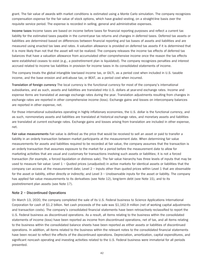grant. The fair value of awards with market conditions is estimated using a Monte Carlo simulation. The company recognizes compensation expense for the fair value of stock options, which have graded vesting, on a straight-line basis over the requisite service period. The expense is recorded in selling, general and administrative expenses.

**Income taxes** Income taxes are based on income before taxes for financial reporting purposes and reflect a current tax liability for the estimated taxes payable in the current-year tax returns and changes in deferred taxes. Deferred tax assets or liabilities are determined based on differences between financial reporting and tax bases of assets and liabilities and are measured using enacted tax laws and rates. A valuation allowance is provided on deferred tax assets if it is determined that it is more likely than not that the asset will not be realized. The company releases the income tax effects of deferred tax balances that have a valuation allowance from accumulated other comprehensive income once the reason the tax effects were established ceases to exist (e.g., a postretirement plan is liquidated). The company recognizes penalties and interest accrued related to income tax liabilities in provision for income taxes in its consolidated statements of income.

The company treats the global intangible low-taxed income tax, or GILTI, as a period cost when included in U.S. taxable income, and the base erosion and anti-abuse tax, or BEAT, as a period cost when incurred.

**Translation of foreign currency** The local currency is the functional currency for most of the company's international subsidiaries, and as such, assets and liabilities are translated into U.S. dollars at year-end exchange rates. Income and expense items are translated at average exchange rates during the year. Translation adjustments resulting from changes in exchange rates are reported in other comprehensive income (loss). Exchange gains and losses on intercompany balances are reported in other expense, net.

For those international subsidiaries operating in highly inflationary economies, the U.S. dollar is the functional currency, and as such, nonmonetary assets and liabilities are translated at historical exchange rates, and monetary assets and liabilities are translated at current exchange rates. Exchange gains and losses arising from translation are included in other expense, net.

**Fair value measurements** Fair value is defined as the price that would be received to sell an asset or paid to transfer a liability in an orderly transaction between market participants at the measurement date. When determining fair value measurements for assets and liabilities required to be recorded at fair value, the company assumes that the transaction is an orderly transaction that assumes exposure to the market for a period before the measurement date to allow for marketing activities that are usual and customary for transactions involving such assets or liabilities; it is not a forced transaction (for example, a forced liquidation or distress sale). The fair value hierarchy has three levels of inputs that may be used to measure fair value: Level 1 – Quoted prices (unadjusted) in active markets for identical assets or liabilities that the company can access at the measurement date; Level 2 – Inputs other than quoted prices within Level 1 that are observable for the asset or liability, either directly or indirectly; and Level 3 – Unobservable inputs for the asset or liability. The company has applied fair value measurements to its derivatives (see Note 12), long-term debt (see Note 15), and to its postretirement plan assets (see Note 17).

#### **Note 2 – Discontinued Operations**

On March 13, 2020, the company completed the sale of its U.S. Federal business to Science Applications International Corporation for cash of \$1.2 billion. Net cash proceeds of the sale was \$1,162.9 million (net of working capital adjustments and transaction costs). The company's consolidated financial statements have been retroactively reclassified to report the U.S. Federal business as discontinued operations. As a result, all items relating to the business within the consolidated statements of income (loss) have been reported as income from discontinued operations, net of tax, and all items relating to the business within the consolidated balance sheets have been reported as either assets or liabilities of discontinued operations. In addition, all items related to the business within the relevant notes to the consolidated financial statements have been recast to reflect the effects of the discontinued operations. Depreciation, amortization, capital expenditures, and significant noncash operating and investing activities related to the U.S. Federal business were immaterial for all periods presented.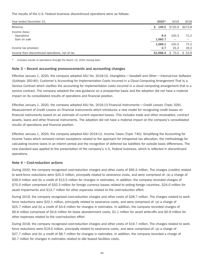#### The results of the U.S. Federal business discontinued operations were as follows:

| Year ended December 31,                         | 2020*          | 2019          | 2018    |
|-------------------------------------------------|----------------|---------------|---------|
| Revenue                                         | S.             | 149.5 \$725.9 | \$573.8 |
| Income (loss)                                   |                |               |         |
| Operations<br>Gain on sale                      | 8.4<br>1,060.7 | 100.3         | 72.2    |
|                                                 | 1,069.1        | 100.3         | 72.2    |
| Income tax provision                            | 0.7            | 25.3          | 18.3    |
| Income from discontinued operations, net of tax | \$1,068.4      | \$75.0        | \$53.9  |

\* Includes results of operations through the March 13, 2020 closing date.

#### **Note 3 – Recent accounting pronouncements and accounting changes**

Effective January 1, 2020, the company adopted ASU No. 2018-15, Intangibles—Goodwill and Other—Internal-Use Software (Subtopic 350-40): Customer's Accounting for Implementation Costs Incurred in a Cloud Computing Arrangement That Is a Service Contract which clarifies the accounting for implementation costs incurred in a cloud computing arrangement that is a service contract. The company adopted the new guidance on a prospective basis and the adoption did not have a material impact on its consolidated results of operations and financial position.

Effective January 1, 2020, the company adopted ASU No. 2016-13 Financial Instruments—Credit Losses (Topic 326): Measurement of Credit Losses on Financial Instruments which introduces a new model for recognizing credit losses on financial instruments based on an estimate of current expected losses. This includes trade and other receivables, contract assets, loans and other financial instruments. The adoption did not have a material impact on the company's consolidated results of operations and financial position.

Effective January 1, 2020, the company adopted ASU 2019-12, Income Taxes (Topic 740): Simplifying the Accounting for Income Taxes which removed certain exceptions related to the approach for intraperiod tax allocation, the methodology for calculating income taxes in an interim period and the recognition of deferred tax liabilities for outside basis differences. The new standard was applied to the presentation of the company's U.S. Federal business, which is reflected in discontinued operations.

#### **Note 4 – Cost-reduction actions**

During 2020, the company recognized cost-reduction charges and other costs of \$95.5 million. The charges (credits) related to work-force reductions were \$25.5 million, principally related to severance costs, and were comprised of: (a) a charge of \$39.0 million and (b) a credit of \$13.5 million for changes in estimates. In addition, the company recorded charges of \$70.0 million comprised of \$32.3 million for foreign currency losses related to exiting foreign countries, \$24.0 million for asset impairments and \$13.7 million for other expenses related to the cost-reduction effort.

During 2019, the company recognized cost-reduction charges and other costs of \$28.7 million. The charges related to workforce reductions were \$22.1 million, principally related to severance costs, and were comprised of: (a) a charge of \$25.7 million and (b) a credit of \$3.6 million for changes in estimates. In addition, the company recorded charges of \$6.6 million comprised of \$4.6 million for lease abandonment costs, \$1.1 million for asset write-offs and \$0.9 million for other expenses related to the cost-reduction effort.

During 2018, the company recognized cost-reduction charges and other costs of \$19.7 million. The charges related to workforce reductions were \$19.0 million, principally related to severance costs, and were comprised of: (a) a charge of \$27.7 million and (b) a credit of \$8.7 million for changes in estimates. In addition, the company recorded a charge of \$0.7 million for changes in estimates related to idle leased facilities costs.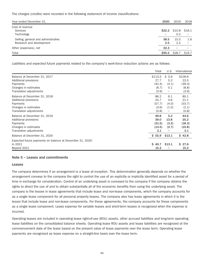The charges (credits) were recorded in the following statement of income classifications:

| Year ended December 31,                                         | 2020        | 2019                        | 2018   |
|-----------------------------------------------------------------|-------------|-----------------------------|--------|
| Cost of revenue<br>Services<br>Technology                       |             | \$22.2 \$10.8 \$18.1<br>0.2 |        |
| Selling, general and administrative<br>Research and development | 38.5<br>2.5 | 15.5<br>2.2                 | 1.6    |
| Other (expenses), net                                           | 32.3        | $\overline{\phantom{0}}$    |        |
| Total                                                           | \$95.5      | \$28.7                      | \$19.7 |

Liabilities and expected future payments related to the company's work-force reduction actions are as follows:

|                                                           | Total      | U.S.      | International |
|-----------------------------------------------------------|------------|-----------|---------------|
| Balance at December 31, 2017                              | \$113.5    | \$<br>3.9 | \$109.6       |
| Additional provisions                                     | 27.7       | 5.2       | 22.5          |
| Payments                                                  | (42.4)     | (3.1)     | (39.3)        |
| Changes in estimates                                      | (8.7)      | 0.1       | (8.8)         |
| Translation adjustments                                   | (3.9)      |           | (3.9)         |
| Balance at December 31, 2018                              | 86.2       | 6.1       | 80.1          |
| Additional provisions                                     | 25.7       | 4.6       | 21.1          |
| Payments                                                  | (57.7)     | (4.0)     | (53.7)        |
| Changes in estimates                                      | (3.6)      | (1.5)     | (2.1)         |
| Translation adjustments                                   | (0.8)      |           | (0.8)         |
| Balance at December 31, 2019                              | 49.8       | 5.2       | 44.6          |
| Additional provisions                                     | 39.0       | 13.8      | 25.2          |
| Payments                                                  | (21.5)     | (3.2)     | (18.3)        |
| Changes in estimates                                      | (13.5)     | (2.7)     | (10.8)        |
| Translation adjustments                                   | 2.1        |           | 2.1           |
| Balance at December 31, 2020                              | \$5.9      | \$13.1    | \$42.8        |
| Expected future payments on balance at December 31, 2020: |            |           |               |
| In 2021                                                   | Ŝ.<br>40.7 | \$13.1    | \$27.6        |
| Beyond 2021                                               | 15.2       |           | 15.2          |

#### **Note 5 – Leases and commitments**

#### **Leases**

The company determines if an arrangement is a lease at inception. This determination generally depends on whether the arrangement conveys to the company the right to control the use of an explicitly or implicitly identified asset for a period of time in exchange for consideration. Control of an underlying asset is conveyed to the company if the company obtains the rights to direct the use of and to obtain substantially all of the economic benefits from using the underlying asset. The company is the lessee in lease agreements that include lease and non-lease components, which the company accounts for as a single lease component for all personal property leases. The company also has lease agreements in which it is the lessor that include lease and non-lease components. For these agreements, the company accounts for these components as a single lease component. Lease expense for variable leases and short-term leases is recognized when the expense is incurred.

Operating leases are included in operating lease right-of-use (ROU) assets, other accrued liabilities and long-term operating lease liabilities on the consolidated balance sheets. Operating lease ROU assets and lease liabilities are recognized at the commencement date of the lease based on the present value of lease payments over the lease term. Operating lease payments are recognized as lease expense on a straight-line basis over the lease term.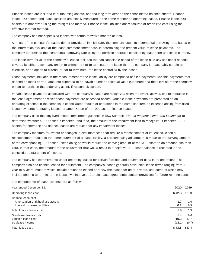Finance leases are included in outsourcing assets, net and long-term debt on the consolidated balance sheets. Finance lease ROU assets and lease liabilities are initially measured in the same manner as operating leases. Finance lease ROU assets are amortized using the straight-line method. Finance lease liabilities are measured at amortized cost using the effective interest method.

The company has not capitalized leases with terms of twelve months or less.

As most of the company's leases do not provide an implicit rate, the company uses its incremental borrowing rate, based on the information available at the lease commencement date, in determining the present value of lease payments. The company determines the incremental borrowing rate using the portfolio approach considering lease term and lease currency.

The lease term for all of the company's leases includes the non-cancelable period of the lease plus any additional periods covered by either a company option to extend (or not to terminate) the lease that the company is reasonably certain to exercise, or an option to extend (or not to terminate) the lease controlled by the lessor.

Lease payments included in the measurement of the lease liability are comprised of fixed payments, variable payments that depend on index or rate, amounts expected to be payable under a residual value guarantee and the exercise of the company option to purchase the underlying asset, if reasonably certain.

Variable lease payments associated with the company's leases are recognized when the event, activity, or circumstance in the lease agreement on which those payments are assessed occurs. Variable lease payments are presented as an operating expense in the company's consolidated results of operations in the same line item as expense arising from fixed lease payments (operating leases) or amortization of the ROU asset (finance leases).

The company uses the long-lived assets impairment guidance in ASC Subtopic 360-10 *Property, Plant, and Equipment* to determine whether a ROU asset is impaired, and if so, the amount of the impairment loss to recognize. If impaired, ROU assets for operating and finance leases are reduced for any impairment losses.

The company monitors for events or changes in circumstances that require a reassessment of its leases. When a reassessment results in the remeasurement of a lease liability, a corresponding adjustment is made to the carrying amount of the corresponding ROU asset unless doing so would reduce the carrying amount of the ROU asset to an amount less than zero. In that case, the amount of the adjustment that would result in a negative ROU asset balance is recorded in the consolidated statement of income.

The company has commitments under operating leases for certain facilities and equipment used in its operations. The company also has finance leases for equipment. The company's leases generally have initial lease terms ranging from 1 year to 8 years, most of which include options to extend or renew the leases for up to 5 years, and some of which may include options to terminate the leases within 1 year. Certain lease agreements contain provisions for future rent increases.

The components of lease expense are as follows:

| Year ended December 31,                                                                    | 2020                    | 2019                 |
|--------------------------------------------------------------------------------------------|-------------------------|----------------------|
| Operating lease cost                                                                       | \$42.3                  | \$37.9               |
| Finance lease cost<br>Amortization of right-of-use assets<br>Interest on lease liabilities | 1.7<br>0.2 <sub>0</sub> | 1.6<br>0.3           |
| Total finance lease cost                                                                   | 1.9                     | 1.9                  |
| Short-term lease costs<br>Variable lease cost<br>Sublease income                           | 1.4<br>10.3<br>(12.1)   | 0.6<br>13.7<br>(0.7) |
| Total lease cost                                                                           | \$43.8                  | \$53.4               |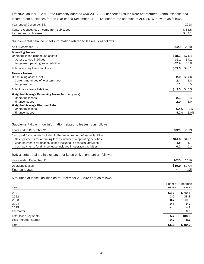Effective January 1, 2019, the Company adopted ASU 2016-02. Prior-period results were not restated. Rental expense and income from subleases for the year ended December 31, 2018, prior to the adoption of ASU 2016-02 were as follows:

| Year ended December 31.                    | 2018   |
|--------------------------------------------|--------|
| Rental expense, less income from subleases | S 55.5 |
| Income from subleases                      |        |

Supplemental balance sheet information related to leases is as follows:

| As of December 31,                               | 2020   | 2019       |
|--------------------------------------------------|--------|------------|
| <b>Operating Leases</b>                          |        |            |
| Operating lease right-of-use assets              | \$79.3 | \$71.4     |
| Other accrued liabilities                        | 37.1   | 34.1       |
| Long-term operating lease liabilities            | 62.4   | 56.0       |
| Total operating lease liabilities                | \$99.5 | \$90.1     |
| <b>Finance Leases</b>                            |        |            |
| Outsourcing assets, net                          | \$2.9  | Ŝ.<br>-4.6 |
| Current maturities of long-term debt             | 2.4    | 1.8        |
| Long-term debt                                   | 3.1    | 3.5        |
| Total finance lease liabilities                  | \$5.5  | \$5.3      |
| Weighted-Average Remaining Lease Term (in years) |        |            |
| Operating leases                                 | 2.3    | 3.4        |
| Finance leases                                   | 2.0    | 3.0        |
| Weighted-Average Discount Rate                   |        |            |
| Operating leases                                 | 6.4%   | 6.4%       |
| Finance leases                                   | 5.2%   | 5.0%       |

Supplemental cash flow information related to leases is as follows:

| Years ended December 31,                                                | 2020  | 2019  |
|-------------------------------------------------------------------------|-------|-------|
| Cash paid for amounts included in the measurement of lease liabilities: |       |       |
| Cash payments for operating leases included in operating activities     | S41.6 | S42.1 |
| Cash payments for finance leases included in financing activities       | 1.8   | 1.7   |
| Cash payments for finance lease included in operating activities        | 0.2   | 0.3   |

ROU assets obtained in exchange for lease obligations are as follows:

| Years ended December 31, | 2020           | 2019 |
|--------------------------|----------------|------|
| Operating leases         | $$40.9$ \$17.4 |      |
| Finance leases           | -              | 1.5  |

Maturities of lease liabilities as of December 31, 2020 are as follows:

| Year                  | Finance<br>Leases        | Operating<br>Leases |
|-----------------------|--------------------------|---------------------|
| 2021                  | \$2.6                    | \$40.8              |
| 2022                  | 2.0                      | 33.6                |
| 2023                  | 0.7                      | 19.6                |
| 2024                  | 0.4                      | 9.0                 |
| 2025                  | $\overline{\phantom{a}}$ | 4.4                 |
| Thereafter            |                          | 0.8                 |
| Total lease payments  | 5.7                      | 108.2               |
| Less imputed interest | 0.2                      | 8.7                 |
| Total                 | \$5.5                    | \$99.5              |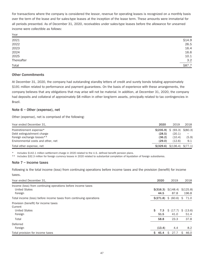For transactions where the company is considered the lessor, revenue for operating leases is recognized on a monthly basis over the term of the lease and for sales-type leases at the inception of the lease term. These amounts were immaterial for all periods presented. As of December 31, 2020, receivables under sales-type leases before the allowance for unearned income were collectible as follows:

| Year       |        |
|------------|--------|
| 2021       | \$14.9 |
| 2022       | 26.5   |
| 2023       | 16.4   |
| 2024       | 16.6   |
| 2025       | 10.1   |
| Thereafter | 3.2    |
| Total      | \$87.7 |

#### **Other Commitments**

At December 31, 2020, the company had outstanding standby letters of credit and surety bonds totaling approximately \$191 million related to performance and payment guarantees. On the basis of experience with these arrangements, the company believes that any obligations that may arise will not be material. In addition, at December 31, 2020, the company had deposits and collateral of approximately \$8 million in other long-term assets, principally related to tax contingencies in Brazil.

#### **Note 6 – Other (expense), net**

Other (expense), net is comprised of the following:

| Year ended December 31,            | 2020   | 2019                                                                                             | 2018                     |
|------------------------------------|--------|--------------------------------------------------------------------------------------------------|--------------------------|
| Postretirement expense*            |        | $\$(235.9)$ $\$(93.3)$ $\$(80.3)$                                                                |                          |
| Debt extinguishment charge         | (28.5) | (20.1)                                                                                           | $\overline{\phantom{m}}$ |
| Foreign exchange losses**          | (36.2) | (10.4)                                                                                           | (5.9)                    |
| Environmental costs and other, net | (29.0) | (12.6)                                                                                           | 9.1                      |
| Total other expense, net           |        | $\textbf{\$}(\textbf{329.6}) \quad \textbf{\$}(\textbf{136.4}) \quad \textbf{\$}(\textbf{77.1})$ |                          |

Includes \$142.1 million settlement charge in 2020 related to the U.S. defined benefit pension plans.

\*\* Includes \$32.3 million for foreign currency losses in 2020 related to substantial completion of liquidation of foreign subsidiaries.

#### **Note 7 – Income taxes**

Following is the total income (loss) from continuing operations before income taxes and the provision (benefit) for income taxes.

| Year ended December 31,                                                                  | 2020              | 2019                                                                                                          | 2018           |
|------------------------------------------------------------------------------------------|-------------------|---------------------------------------------------------------------------------------------------------------|----------------|
| Income (loss) from continuing operations before income taxes<br>United States<br>Foreign | 44.5              | $\textbf{\$}(\textbf{316.3}) \quad \textbf{\$}(\textbf{148.4}) \quad \textbf{\$}(\textbf{125.8})$<br>87.8     | 196.8          |
| Total income (loss) before income taxes from continuing operations                       |                   | $\textcolor{blue}{\mathsf{S}(271.8)} \ \textcolor{red}{\mathsf{S}(60.6)} \ \textcolor{red}{\mathsf{S}(71.0)}$ |                |
| Provision (benefit) for income taxes<br>Current<br>United States<br>Foreign              | Ŝ.<br>7.3<br>51.5 | $$(17.7)$ $$$<br>41.0                                                                                         | (13.6)<br>51.4 |
| Total                                                                                    | 58.8              | 23.3                                                                                                          | 37.8           |
| Deferred<br>Foreign                                                                      | (13.4)            | 4.4                                                                                                           | 8.2            |
| Total provision for income taxes                                                         | 45.4<br>S.        | 27.7<br>S                                                                                                     | 46.0<br>S      |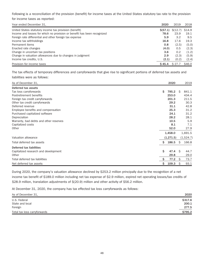Following is a reconciliation of the provision (benefit) for income taxes at the United States statutory tax rate to the provision for income taxes as reported:

| Year ended December 31,                                                 | 2020      | 2019     | 2018   |
|-------------------------------------------------------------------------|-----------|----------|--------|
| United States statutory income tax provision (benefit)                  | \$ (57.1) | \$(12.7) | \$14.9 |
| Income and losses for which no provision or benefit has been recognized | 78.6      | 23.9     | 19.1   |
| Foreign rate differential and other foreign tax expense                 | 5.9       | 3.2      | 9.5    |
| Income tax withholdings                                                 | 16.8      | 17.6     | 19.3   |
| Permanent items                                                         | 0.8       | (2.5)    | (5.0)  |
| Enacted rate changes                                                    | (4.0)     | 0.5      | (2.3)  |
| Change in uncertain tax positions                                       | 3.6       | 0.2      | (1.2)  |
| Change in valuation allowances due to changes in judgment               | 2.9       | (2.3)    | (5.9)  |
| Income tax credits, U.S.                                                | (2.1)     | (0.2)    | (2.4)  |
| Provision for income taxes                                              | \$45.4    | \$27.7   | \$46.0 |

The tax effects of temporary differences and carryforwards that give rise to significant portions of deferred tax assets and liabilities were as follows:

| As of December 31,                     | 2020        | 2019        |
|----------------------------------------|-------------|-------------|
| Deferred tax assets                    |             |             |
| Tax loss carryforwards                 | Ś.<br>795.2 | 841.1<br>S  |
| Postretirement benefits                | 253.0       | 434.4       |
| Foreign tax credit carryforwards       | 201.3       | 211.5       |
| Other tax credit carryforwards         | 29.2        | 30.3        |
| Deferred revenue                       | 31.1        | 42.8        |
| Employee benefits and compensation     | 25.3        | 31.2        |
| Purchased capitalized software         | 24.1        | 31.2        |
| Depreciation                           | 28.2        | 28.1        |
| Warranty, bad debts and other reserves | 10.5        | 5.9         |
| Capitalized costs                      | 8.1         | 7.1         |
| Other                                  | 52.0        | 27.9        |
|                                        | 1,458.0     | 1,691.5     |
| Valuation allowance                    | (1,271.5)   | (1,524.7)   |
| Total deferred tax assets              | 186.5<br>Ŝ. | Ŝ.<br>166.8 |
| Deferred tax liabilities               |             |             |
| Capitalized research and development   | Ś.<br>47.4  | Ŝ.<br>44.7  |
| Other                                  | 29.8        | 29.0        |
| Total deferred tax liabilities         | \$.<br>77.2 | Ŝ.<br>73.7  |
| Net deferred tax assets                | \$<br>109.3 | 93.1<br>S   |

During 2020, the company's valuation allowance declined by \$253.2 million principally due to the recognition of a net income tax benefit of \$189.0 million including net tax expense of \$2.9 million, expired net operating losses/tax credits of \$28.9 million, translation adjustments of \$(20.9) million and other activity of \$56.2 million.

At December 31, 2020, the company has tax effected tax loss carryforwards as follows:

| As of December 31,           | 2020                                       |
|------------------------------|--------------------------------------------|
| U.S. Federal                 | \$317.6                                    |
| State and local              | 200.1                                      |
| Foreign                      | 277.5<br>the control of the control of the |
| Total tax loss carryforwards | \$795.2                                    |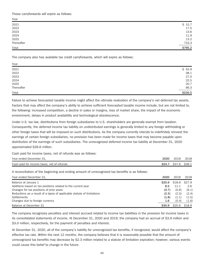These carryforwards will expire as follows:

 $\mathbf{y}$ 

 $\overline{Y}$ 

| Year         |                        |
|--------------|------------------------|
| 2021         | \$15.7                 |
| 2022         | 17.5                   |
| 2023<br>2024 | 13.6                   |
|              | 11.9                   |
| 2025         | 13.2                   |
| Thereafter   |                        |
| Total        | $\frac{723.3}{5795.2}$ |

The company also has available tax credit carryforwards, which will expire as follows:

| \$55.9                                                                                                                                                                                                                                                                                                                                                                                                                                                                             |
|------------------------------------------------------------------------------------------------------------------------------------------------------------------------------------------------------------------------------------------------------------------------------------------------------------------------------------------------------------------------------------------------------------------------------------------------------------------------------------|
| 38.1                                                                                                                                                                                                                                                                                                                                                                                                                                                                               |
| 27.0                                                                                                                                                                                                                                                                                                                                                                                                                                                                               |
| 22.5                                                                                                                                                                                                                                                                                                                                                                                                                                                                               |
| 20.7                                                                                                                                                                                                                                                                                                                                                                                                                                                                               |
| 66.3<br>$\frac{1}{2} \left( \frac{1}{2} \right) \left( \frac{1}{2} \right) \left( \frac{1}{2} \right) \left( \frac{1}{2} \right) \left( \frac{1}{2} \right) \left( \frac{1}{2} \right) \left( \frac{1}{2} \right) \left( \frac{1}{2} \right) \left( \frac{1}{2} \right) \left( \frac{1}{2} \right) \left( \frac{1}{2} \right) \left( \frac{1}{2} \right) \left( \frac{1}{2} \right) \left( \frac{1}{2} \right) \left( \frac{1}{2} \right) \left( \frac{1}{2} \right) \left( \frac$ |
| \$230.5                                                                                                                                                                                                                                                                                                                                                                                                                                                                            |
|                                                                                                                                                                                                                                                                                                                                                                                                                                                                                    |

Failure to achieve forecasted taxable income might affect the ultimate realization of the company's net deferred tax assets. Factors that may affect the company's ability to achieve sufficient forecasted taxable income include, but are not limited to, the following: increased competition, a decline in sales or margins, loss of market share, the impact of the economic environment, delays in product availability and technological obsolescence.

Under U.S. tax law, distributions from foreign subsidiaries to U.S. shareholders are generally exempt from taxation. Consequently, the deferred income tax liability on undistributed earnings is generally limited to any foreign withholding or other foreign taxes that will be imposed on such distributions. As the company currently intends to indefinitely reinvest the earnings of certain foreign subsidiaries, no provision has been made for income taxes that may become payable upon distribution of the earnings of such subsidiaries. The unrecognized deferred income tax liability at December 31, 2020 approximated \$26.6 million.

Cash paid for income taxes, net of refunds was as follows:

| Year ended December 31,                    | 2020 | 2019                        | 2018 |
|--------------------------------------------|------|-----------------------------|------|
| Cash paid for income taxes, net of refunds |      | <b>\$24.7</b> \$37.6 \$39.1 |      |

A reconciliation of the beginning and ending amount of unrecognized tax benefits is as follows:

| Year ended December 31,                                                | 2020   | 2019          | 2018   |
|------------------------------------------------------------------------|--------|---------------|--------|
| Balance at January 1                                                   |        | \$25.6 \$18.9 | S27.9  |
| Additions based on tax positions related to the current year           | 8.5    | 11.1          | 2.6    |
| Changes for tax positions of prior years                               | (0.7)  | (0.6)         | (6.1)  |
| Reductions as a result of a lapse of applicable statute of limitations | (2.3)  | (2.3)         | (2.4)  |
| Settlements                                                            | (1.8)  | (1.1)         | (1.5)  |
| Changes due to foreign currency                                        | 1.6    | (0.4)         | (1.6)  |
| Balance at December 31                                                 | \$30.9 | \$25.6        | \$18.9 |

The company recognizes penalties and interest accrued related to income tax liabilities in the provision for income taxes in its consolidated statements of income. At December 31, 2020 and 2019, the company had an accrual of \$3.9 million and \$3.0 million, respectively, for the payment of penalties and interest.

At December 31, 2020, all of the company's liability for unrecognized tax benefits, if recognized, would affect the company's effective tax rate. Within the next 12 months, the company believes that it is reasonably possible that the amount of unrecognized tax benefits may decrease by \$2.3 million related to a statute of limitation expiration; however, various events could cause this belief to change in the future.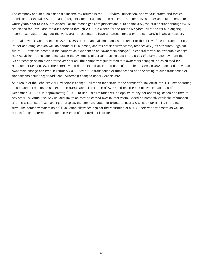The company and its subsidiaries file income tax returns in the U.S. federal jurisdiction, and various states and foreign jurisdictions. Several U.S. state and foreign income tax audits are in process. The company is under an audit in India, for which years prior to 2007 are closed. For the most significant jurisdictions outside the U.S., the audit periods through 2015 are closed for Brazil, and the audit periods through 2016 are closed for the United Kingdom. All of the various ongoing income tax audits throughout the world are not expected to have a material impact on the company's financial position.

Internal Revenue Code Sections 382 and 383 provide annual limitations with respect to the ability of a corporation to utilize its net operating loss (as well as certain built-in losses) and tax credit carryforwards, respectively (Tax Attributes), against future U.S. taxable income, if the corporation experiences an "ownership change." In general terms, an ownership change may result from transactions increasing the ownership of certain stockholders in the stock of a corporation by more than 50 percentage points over a three-year period. The company regularly monitors ownership changes (as calculated for purposes of Section 382). The company has determined that, for purposes of the rules of Section 382 described above, an ownership change occurred in February 2011. Any future transaction or transactions and the timing of such transaction or transactions could trigger additional ownership changes under Section 382.

As a result of the February 2011 ownership change, utilization for certain of the company's Tax Attributes, U.S. net operating losses and tax credits, is subject to an overall annual limitation of \$70.6 million. The cumulative limitation as of December 31, 2020 is approximately \$346.1 million. This limitation will be applied to any net operating losses and then to any other Tax Attributes. Any unused limitation may be carried over to later years. Based on presently available information and the existence of tax planning strategies, the company does not expect to incur a U.S. cash tax liability in the near term. The company maintains a full valuation allowance against the realization of all U.S. deferred tax assets as well as certain foreign deferred tax assets in excess of deferred tax liabilities.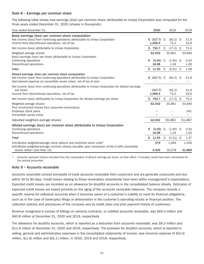#### **Note 8 – Earnings per common share**

The following table shows how earnings (loss) per common share attributable to Unisys Corporation was computed for the three years ended December 31, 2020 (shares in thousands).

| Year ended December 31,                                                                                                                                                                                                               |    | 2020                           |    | 2019                          | 2018                   |
|---------------------------------------------------------------------------------------------------------------------------------------------------------------------------------------------------------------------------------------|----|--------------------------------|----|-------------------------------|------------------------|
| Basic earnings (loss) per common share computation:<br>Net income (loss) from continuing operations attributable to Unisys Corporation<br>Income from discontinued operations, net of tax                                             |    | \$ (317.7) \$<br>1,068.4       |    | $(92.2)$ \$<br>75.0           | 21.6<br>53.9           |
| Net income (loss) attributable to Unisys Corporation                                                                                                                                                                                  |    | \$750.7                        | Ŝ. | $(17.2)$ \$                   | 75.5                   |
| Weighted average shares<br>Basic earnings (loss) per share attributable to Unisys Corporation<br>Continuing operations<br>Discontinued operations                                                                                     | S  | 62,932<br>$(5.05)$ \$<br>16.98 |    | 55,961<br>$(1.65)$ \$<br>1.34 | 50,946<br>0.42<br>1.06 |
| Total                                                                                                                                                                                                                                 | \$ | 11.93                          | Ŝ. | $(0.31)$ \$                   | 1.48                   |
| Diluted earnings (loss) per common share computation:<br>Net income (loss) from continuing operations attributable to Unisys Corporation<br>Add interest expense on convertible senior notes, net of tax of zero                      | S. | $(317.7)$ \$                   |    | $(92.2)$ \$                   | 21.6                   |
| Net income (loss) from continuing operations attributable to Unisys Corporation for diluted earnings<br>per share<br>Income from discontinued operations, net of tax                                                                  |    | (317.7)<br>1,068.4             |    | (92.2)<br>75.0                | 21.6<br>53.9           |
| Net income (loss) attributable to Unisys Corporation for diluted earnings per share                                                                                                                                                   |    | \$750.7                        | Ŝ. | $(17.2)$ \$                   | 75.5                   |
| Weighted average shares<br>Plus incremental shares from assumed conversions:<br>Employee stock plans<br>Convertible senior notes                                                                                                      |    | 62,932                         |    | 55,961                        | 50,946<br>541          |
| Adjusted weighted average shares                                                                                                                                                                                                      |    | 62,932                         |    | 55,961                        | 51,487                 |
| Diluted earnings (loss) per common share attributable to Unisys Corporation<br>Continuing operations<br>Discontinued operations                                                                                                       | \$ | $(5.05)$ \$<br>16.98           |    | $(1.65)$ \$<br>1.34           | 0.42<br>1.05           |
| <b>Total</b>                                                                                                                                                                                                                          | \$ | 11.93                          | Ŝ. | $(0.31)$ \$                   | 1.47                   |
| Anti-dilutive weighted-average stock options and restricted stock units <sup>(i)</sup><br>Anti-dilutive weighted-average common shares issuable upon conversion of the 5.50% convertible<br>senior notes <sup>(i)</sup> (see Note 15) |    | 579<br>3,425                   |    | 1,393<br>16,578               | 1,226<br>21,868        |

(i) Amounts represent shares excluded from the computation of diluted earnings per share, as their effect, if included, would have been anti-dilutive for the periods presented.

#### **Note 9 – Accounts receivable**

Accounts receivable consist principally of trade accounts receivable from customers and are generally unsecured and due within 30 to 90 days. Credit losses relating to these receivables consistently have been within management's expectations. Expected credit losses are recorded as an allowance for doubtful accounts in the consolidated balance sheets. Estimates of expected credit losses are based primarily on the aging of the accounts receivable balances. The company records a specific reserve for individual accounts when it becomes aware of a customer's inability to meet its financial obligations, such as in the case of bankruptcy filings or deterioration in the customer's operating results or financial position. The collection policies and procedures of the company vary by credit class and prior payment history of customers.

Revenue recognized in excess of billings on services contracts, or unbilled accounts receivable, was \$63.3 million and \$60.8 million at December 31, 2020 and 2019, respectively.

The allowance for doubtful accounts, which is reported as a deduction from accounts receivable, was \$9.2 million and \$11.8 million at December 31, 2020 and 2019, respectively. The provision for doubtful accounts, which is reported in selling, general and administrative expenses in the consolidated statements of income, was (income) expense of \$(0.3) million, \$(1.6) million and \$(5.1) million, in 2020, 2019 and 2018, respectively.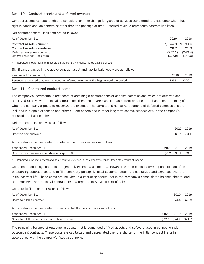#### **Note 10 – Contract assets and deferred revenue**

Contract assets represent rights to consideration in exchange for goods or services transferred to a customer when that right is conditional on something other than the passage of time. Deferred revenue represents contract liabilities.

Net contract assets (liabilities) are as follows:

| As of December 31,                         | 2020    | 2019          |
|--------------------------------------------|---------|---------------|
| Contract assets - current                  |         | \$44.3\$538.4 |
| Contract assets - long-term <sup>(i)</sup> | 20.7    | 21.6          |
| Deferred revenue - current                 | (257.1) | (246.4)       |
| Deferred revenue - long-term               | (137.9) | (147.0)       |

(i) Reported in other long-term assets on the company's consolidated balance sheets

Significant changes in the above contract asset and liability balances were as follows:

| Year ended December 31,                                                                 | 2020                   | 2019 |
|-----------------------------------------------------------------------------------------|------------------------|------|
| Revenue recognized that was included in deferred revenue at the beginning of the period | <b>\$236.1</b> \$270.1 |      |

#### **Note 11 – Capitalized contract costs**

The company's incremental direct costs of obtaining a contract consist of sales commissions which are deferred and amortized ratably over the initial contract life. These costs are classified as current or noncurrent based on the timing of when the company expects to recognize the expense. The current and noncurrent portions of deferred commissions are included in prepaid expenses and other current assets and in other long-term assets, respectively, in the company's consolidated balance sheets.

Deferred commissions were as follows:

| As of December 31,                                                   | 2020 | 2019 |
|----------------------------------------------------------------------|------|------|
| Deferred commissions                                                 | S8.7 | S9.1 |
| Amortization expense related to deferred commissions was as follows: |      |      |

| Year ended December 31.                                    | 2020.            | 2019 | 2018        |
|------------------------------------------------------------|------------------|------|-------------|
| Deferred commissions - amortization expense <sup>(i)</sup> | S <sub>3.2</sub> | S3.1 | <b>S6.5</b> |

(i) Reported in selling, general and administrative expense in the company's consolidated statements of income

Costs on outsourcing contracts are generally expensed as incurred. However, certain costs incurred upon initiation of an outsourcing contract (costs to fulfill a contract), principally initial customer setup, are capitalized and expensed over the initial contract life. These costs are included in outsourcing assets, net in the company's consolidated balance sheets, and are amortized over the initial contract life and reported in Services cost of sales.

Costs to fulfill a contract were as follows:

| As of December 31,                                                          | 2020 | 2019          |
|-----------------------------------------------------------------------------|------|---------------|
| Costs to fulfill a contract                                                 |      | \$74.4 \$75.8 |
| Amortization expense related to costs to fulfill a contract was as follows: |      |               |

| Year ended December 31,                            | 2020  | 2019        | 2018 |
|----------------------------------------------------|-------|-------------|------|
| Costs to fulfill a contract - amortization expense | S27.5 | S24.2 S21.7 |      |

The remaining balance of outsourcing assets, net is comprised of fixed assets and software used in connection with outsourcing contracts. These costs are capitalized and depreciated over the shorter of the initial contract life or in accordance with the company's fixed asset policy.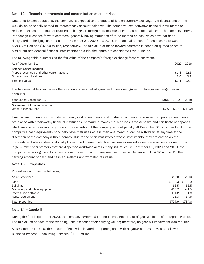#### **Note 12 – Financial instruments and concentration of credit risks**

Due to its foreign operations, the company is exposed to the effects of foreign currency exchange rate fluctuations on the U.S. dollar, principally related to intercompany account balances. The company uses derivative financial instruments to reduce its exposure to market risks from changes in foreign currency exchange rates on such balances. The company enters into foreign exchange forward contracts, generally having maturities of three months or less, which have not been designated as hedging instruments. At December 31, 2020 and 2019, the notional amount of these contracts was \$588.5 million and \$437.0 million, respectively. The fair value of these forward contracts is based on quoted prices for similar but not identical financial instruments; as such, the inputs are considered Level 2 inputs.

The following table summarizes the fair value of the company's foreign exchange forward contracts.

| As of December 31,                        | 2020        | 2019  |
|-------------------------------------------|-------------|-------|
| <b>Balance Sheet Location</b>             |             |       |
| Prepaid expenses and other current assets | \$1.4       | \$2.1 |
| Other accrued liabilities                 | 1.0         |       |
| Total fair value                          | <b>SO.4</b> | \$2.0 |

The following table summarizes the location and amount of gains and losses recognized on foreign exchange forward contracts.

| Year Ended December 31,      | 2020 | 2019        | 2018        |
|------------------------------|------|-------------|-------------|
| Statement of Income Location |      |             |             |
| Other (expense), net         |      | \$7.6 \$1.7 | $\Im(14.2)$ |

Financial instruments also include temporary cash investments and customer accounts receivable. Temporary investments are placed with creditworthy financial institutions, primarily in money market funds, time deposits and certificate of deposits which may be withdrawn at any time at the discretion of the company without penalty. At December 31, 2020 and 2019, the company's cash equivalents principally have maturities of less than one month or can be withdrawn at any time at the discretion of the company without penalty. Due to the short maturities of these instruments, they are carried on the consolidated balance sheets at cost plus accrued interest, which approximates market value. Receivables are due from a large number of customers that are dispersed worldwide across many industries. At December 31, 2020 and 2019, the company had no significant concentrations of credit risk with any one customer. At December 31, 2020 and 2019, the carrying amount of cash and cash equivalents approximated fair value.

#### **Note 13 – Properties**

Properties comprise the following:

| As of December 31,             | 2020     | 2019    |
|--------------------------------|----------|---------|
| Land                           | 2.3<br>s | 2.3     |
| <b>Buildings</b>               | 63.5     | 63.5    |
| Machinery and office equipment | 466.7    | 521.5   |
| Internal-use software          | 171.2    | 161.8   |
| Rental equipment               | 23.3     | 34.9    |
| Total properties               | \$727.0  | \$784.0 |

#### **Note 14 – Goodwill**

During the fourth quarter of 2020, the company performed its annual impairment test of goodwill for all of its reporting units. The fair values of each of the reporting units exceeded their carrying values; therefore, no goodwill impairment was required.

At December 31, 2020, the amount of goodwill allocated to reporting units with negative net assets was as follows: Business Process Outsourcing Services, \$10.3 million.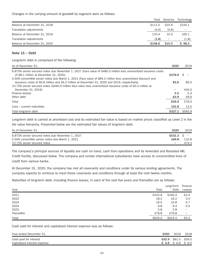Changes in the carrying amount of goodwill by segment were as follows:

|                              | Total   | Services | Technology |
|------------------------------|---------|----------|------------|
| Balance at December 31, 2018 | \$111.0 | \$10.9   | \$100.1    |
| Translation adjustments      | (0.6)   | (0.6)    |            |
| Balance at December 31, 2019 | 110.4   | 10.3     | 100.1      |
| Translation adjustments      | (1.8)   | -        | (1.8)      |
| Balance at December 31, 2020 | \$108.6 | \$10.3   | \$98.3     |

#### **Note 15 – Debt**

Long-term debt is comprised of the following:

| As of December 31.                                                                                                                                                                                                                                                        | 2020    | 2019    |
|---------------------------------------------------------------------------------------------------------------------------------------------------------------------------------------------------------------------------------------------------------------------------|---------|---------|
| 6.875% senior secured notes due November 1, 2027 (Face value of \$485.0 million less unamortized issuance costs<br>of \$8.1 million at December 31, 2020)<br>5.50% convertible senior notes due March 1, 2021 (Face value of \$84.2 million less unamortized discount and | \$476.9 |         |
| issuance costs of \$0.6 million and \$4.2 million at December 31, 2020 and 2019, respectively)                                                                                                                                                                            | 83.6    | 80.0    |
| 10.75% senior secured notes (\$440.0 million face value less unamortized issuance costs of \$5.5 million at                                                                                                                                                               |         |         |
| December 31, 2019)                                                                                                                                                                                                                                                        |         | 434.5   |
| Finance leases                                                                                                                                                                                                                                                            | 5.5     | 5.3     |
| Other debt                                                                                                                                                                                                                                                                | 63.9    | 59.6    |
| Total                                                                                                                                                                                                                                                                     | 629.9   | 579.4   |
| $Less - current$ maturities                                                                                                                                                                                                                                               | 102.8   | 13.5    |
| Total long-term debt                                                                                                                                                                                                                                                      | \$527.1 | \$565.9 |

Long-term debt is carried at amortized cost and its estimated fair value is based on market prices classified as Level 2 in the fair value hierarchy. Presented below are the estimated fair values of long-term debt.

| As of December 31.                               | 2020              | 2019  |
|--------------------------------------------------|-------------------|-------|
| 6.875% senior secured notes due November 1, 2027 | $$532.3$ S $-$    |       |
| 5.50% convertible senior notes due March 1, 2021 | 169.8             | 115.8 |
| 10.75% senior secured notes                      | $\qquad \qquad -$ | 474.2 |

The company's principal sources of liquidity are cash on hand, cash from operations and its Amended and Restated ABL Credit Facility, discussed below. The company and certain international subsidiaries have access to uncommitted lines of credit from various banks.

At December 31, 2020, the company has met all covenants and conditions under its various lending agreements. The company expects to continue to meet these covenants and conditions through at least the next twelve months.

Maturities of long-term debt, including finance leases, in each of the next five years and thereafter are as follows:

| Year       | Total   | Long-Term<br>Debt | Finance<br>Leases        |
|------------|---------|-------------------|--------------------------|
| 2021       | \$102.8 | \$100.4           | \$2.4                    |
| 2022       | 18.2    | 16.2              | 2.0                      |
| 2023       | 16.5    | 15.8              | 0.7                      |
| 2024       | 9.8     | 9.4               | 0.4                      |
| 2025       | 2.8     | 2.8               | $\overline{\phantom{m}}$ |
| Thereafter | 479.8   | 479.8             | $\qquad \qquad -$        |
| Total      | \$629.9 | \$624.4           | \$5.5                    |

Cash paid for interest and capitalized interest expense was as follows:

| Year ended December 31.      | 2020 | 2019                 | 2018 |
|------------------------------|------|----------------------|------|
| Cash paid for interest       |      | \$32.9 \$61.5 \$59.5 |      |
| Capitalized interest expense |      | $$4.6$ \$6.6 \$6.0   |      |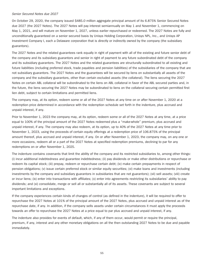#### *Senior Secured Notes due 2027*

On October 29, 2020, the company issued \$485.0 million aggregate principal amount of its 6.875% Senior Secured Notes due 2027 (the 2027 Notes). The 2027 Notes will pay interest semiannually on May 1 and November 1, commencing on May 1, 2021, and will mature on November 1, 2027, unless earlier repurchased or redeemed. The 2027 Notes are fully and unconditionally guaranteed on a senior secured basis by Unisys Holding Corporation, Unisys NPL, Inc., and Unisys AP Investment Company I, each a Delaware corporation that is directly or indirectly owned by the company (the subsidiary guarantors).

The 2027 Notes and the related guarantees rank equally in right of payment with all of the existing and future senior debt of the company and its subsidiary guarantors and senior in right of payment to any future subordinated debt of the company and its subsidiary guarantors. The 2027 Notes and the related guarantees are structurally subordinated to all existing and future liabilities (including preferred stock, trade payables and pension liabilities) of the subsidiaries of the company that are not subsidiary guarantors. The 2027 Notes and the guarantees will be secured by liens on substantially all assets of the company and the subsidiary guarantors, other than certain excluded assets (the collateral). The liens securing the 2027 Notes on certain ABL collateral will be subordinated to the liens on ABL collateral in favor of the ABL secured parties and, in the future, the liens securing the 2027 Notes may be subordinated to liens on the collateral securing certain permitted first lien debt, subject to certain limitations and permitted liens.

The company may, at its option, redeem some or all of the 2027 Notes at any time on or after November 1, 2020 at a redemption price determined in accordance with the redemption schedule set forth in the indenture, plus accrued and unpaid interest, if any.

Prior to November 1, 2023 the company may, at its option, redeem some or all of the 2027 Notes at any time, at a price equal to 100% of the principal amount of the 2027 Notes redeemed plus a "make-whole" premium, plus accrued and unpaid interest, if any. The company may also redeem, at its option, up to 40% of the 2027 Notes at any time prior to November 1, 2023, using the proceeds of certain equity offerings at a redemption price of 106.875% of the principal amount thereof, plus accrued and unpaid interest, if any. On or after November 1, 2023, the company may, on any one or more occasions, redeem all or a part of the 2027 Notes at specified redemption premiums, declining to par for any redemptions on or after November 1, 2025.

The indenture contains covenants that limit the ability of the company and its restricted subsidiaries to, among other things: (i) incur additional indebtedness and guarantee indebtedness; (ii) pay dividends or make other distributions or repurchase or redeem its capital stock; (iii) prepay, redeem or repurchase certain debt; (iv) make certain prepayments in respect of pension obligations; (v) issue certain preferred stock or similar equity securities; (vi) make loans and investments (including investments by the company and subsidiary guarantors in subsidiaries that are not guarantors); (vii) sell assets; (viii) create or incur liens; (ix) enter into transactions with affiliates; (x) enter into agreements restricting its subsidiaries' ability to pay dividends; and (xi) consolidate, merge or sell all or substantially all of its assets. These covenants are subject to several important limitations and exceptions.

If the company experiences certain kinds of changes of control (as defined in the indenture), it will be required to offer to repurchase the 2027 Notes at 101% of the principal amount of the 2027 Notes, plus accrued and unpaid interest as of the repurchase date, if any. In addition, if the company sells assets under certain circumstances it must apply the proceeds towards an offer to repurchase the 2027 Notes at a price equal to par plus accrued and unpaid interest, if any.

The indenture also provides for events of default, which, if any of them occur, would permit or require the principal, premium, if any, interest and any other monetary obligations on all the then outstanding 2027 Notes to be due and payable immediately.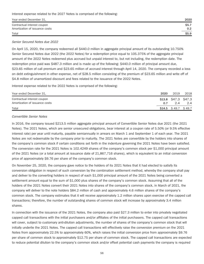Interest expense related to the 2027 Notes is comprised of the following:

| Year ended December 31,        | 2020                                         |
|--------------------------------|----------------------------------------------|
| Contractual interest coupon    | \$5.7                                        |
| Amortization of issuance costs | 0.2 <sub>0</sub><br>$\sim$ - $\sim$ - $\sim$ |
| Total                          | \$5.9                                        |

#### *Senior Secured Notes due 2022*

On April 15, 2020, the company redeemed all \$440.0 million in aggregate principal amount of its outstanding 10.750% Senior Secured Notes due 2022 (the 2022 Notes) for a redemption price equal to 105.375% of the aggregate principal amount of the 2022 Notes redeemed plus accrued but unpaid interest to, but not including, the redemption date. The redemption price paid was \$487.3 million and is made up of the following: \$440.0 million of principal amount due, \$23.65 million of call premium and \$23.65 million of accrued interest through April 14, 2020. The company recorded a loss on debt extinguishment in other expense, net of \$28.5 million consisting of the premium of \$23.65 million and write off of \$4.8 million of unamortized discount and fees related to the issuance of the 2022 Notes.

Interest expense related to the 2022 Notes is comprised of the following:

| Year ended December 31,        | 2020 | 2019                    | 2018 |
|--------------------------------|------|-------------------------|------|
| Contractual interest coupon    |      | \$13.8 \$47.3 \$47.3    |      |
| Amortization of issuance costs | 0.7  | 24                      | 2.4  |
| Total                          |      | $$14.5 \t$49.7 \t$49.7$ |      |

#### *Convertible Senior Notes*

In 2016, the company issued \$213.5 million aggregate principal amount of Convertible Senior Notes due 2021 (the 2021 Notes). The 2021 Notes, which are senior unsecured obligations, bear interest at a coupon rate of 5.50% (or 9.5% effective interest rate) per year until maturity, payable semiannually in arrears on March 1 and September 1 of each year. The 2021 Notes are not redeemable by the company prior to maturity. The 2021 Notes are convertible by the holders into shares of the company's common stock if certain conditions set forth in the indenture governing the 2021 Notes have been satisfied. The conversion rate for the 2021 Notes is 102.4249 shares of the company's common stock per \$1,000 principal amount of the 2021 Notes (or a total amount at issuance date of 21,867,716 shares), which is equivalent to an initial conversion price of approximately \$9.76 per share of the company's common stock.

On November 25, 2020, the company gave notice to the holders of its 2021 Notes that it had elected to satisfy its conversion obligation in respect of such conversion by the combination settlement method, whereby the company shall pay and deliver to the converting holders in respect of each \$1,000 principal amount of the 2021 Notes being converted a settlement amount equal to the sum of \$1,000 plus shares of the company's common stock. Assuming that all of the holders of the 2021 Notes convert their 2021 Notes into shares of the company's common stock, in March of 2021, the company will deliver to the note holders \$84.2 million of cash and approximately 4.6 million shares of the company's common stock. The company estimates that it will receive approximately 1.2 million shares upon exercise of the capped call transactions; therefore, the number of outstanding shares of common stock will increase by approximately 3.4 million shares.

In connection with the issuance of the 2021 Notes, the company also paid \$27.3 million to enter into privately negotiated capped call transactions with the initial purchasers and/or affiliates of the initial purchasers. The capped call transactions will cover, subject to customary anti-dilution adjustments, the number of shares of the company's common stock that will initially underlie the 2021 Notes. The capped call transactions will effectively raise the conversion premium on the 2021 Notes from approximately 22.5% to approximately 60%, which raises the initial conversion price from approximately \$9.76 per share of common stock to approximately \$12.75 per share of common stock. The capped call transactions are expected to reduce potential dilution to the company's common stock and/or offset potential cash payments the company is required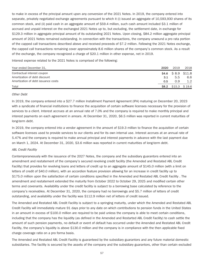to make in excess of the principal amount upon any conversion of the 2021 Notes. In 2019, the company entered into separate, privately negotiated exchange agreements pursuant to which it (i) issued an aggregate of 10,593,930 shares of its common stock, and (ii) paid cash in an aggregate amount of \$59.4 million, such cash amount included \$3.1 million of accrued and unpaid interest on the exchanged 2021 Notes up to, but excluding, the settlement date, in exchange for \$129.3 million in aggregate principal amount of its outstanding 2021 Notes. Upon closing, \$84.2 million aggregate principal amount of 2021 Notes remained outstanding. In connection with the transactions, the company unwound a pro rata portion of the capped call transactions described above and received proceeds of \$7.2 million. Following the 2021 Notes exchange, the capped call transactions remaining cover approximately 8.6 million shares of the company's common stock. As a result of the exchange, the company recognized a charge of \$20.1 million in other expense, net in 2019.

Interest expense related to the 2021 Notes is comprised of the following:

| Year ended December 31,             | 2020          | 2019                   | 2018 |
|-------------------------------------|---------------|------------------------|------|
| Contractual interest coupon         |               | $$4.6$ $$8.9$ $$11.8$  |      |
| Amortization of debt discount       | 3.1           | 5.5                    | 6.6  |
| Amortization of debt issuance costs | $0.5^{\circ}$ | 0.9                    | 1.2  |
| Total                               |               | $$8.2$ $$15.3$ $$19.6$ |      |

#### *Other Debt*

In 2019, the company entered into a \$27.7 million Installment Payment Agreement (IPA) maturing on December 20, 2023 with a syndicate of financial institutions to finance the acquisition of certain software licenses necessary for the provision of services to a client. Interest accrues at an annual rate of 7.0% and the company is required to make monthly principal and interest payments on each agreement in arrears. At December 31, 2020, \$6.5 million was reported in current maturities of long-term debt.

In 2019, the company entered into a vendor agreement in the amount of \$19.3 million to finance the acquisition of certain software licenses used to provide services to our clients and for its own internal use. Interest accrues at an annual rate of 5.47% and the company is required to make annual principal and interest payments in advance with the last payment due on March 1, 2024. At December 31, 2020, \$3.6 million was reported in current maturities of long-term debt.

#### *ABL Credit Facility*

Contemporaneously with the issuance of the 2027 Notes, the company and the subsidiary guarantors entered into an amendment and restatement of the company's secured revolving credit facility (the Amended and Restated ABL Credit Facility) that provides for revolving loans and letters of credit up to an aggregate amount of \$145.0 million (with a limit on letters of credit of \$40.0 million), with an accordion feature provision allowing for an increase in credit facility up to \$175.0 million upon the satisfaction of certain conditions specified in the Amended and Restated ABL Credit Facility . The amendment and restatement extended the maturity from October 2022 to October 29, 2025 and modified certain other terms and covenants. Availability under the credit facility is subject to a borrowing base calculated by reference to the company's receivables. At December 31, 2020, the company had no borrowings and \$5.7 million of letters of credit outstanding, and availability under the facility was \$112.9 million net of letters of credit issued.

The Amended and Restated ABL Credit Facility is subject to a springing maturity, under which the Amended and Restated ABL Credit Facility will immediately mature 91 days prior to any date on which contributions to pension funds in the United States in an amount in excess of \$100.0 million are required to be paid unless the company is able to meet certain conditions, including that the company has the liquidity (as defined in the Amended and Restarted ABL Credit Facility) to cash settle the amount of such pension payments, no default or event of default has occurred under the Amended and Restated ABL Credit Facility, the company's liquidity is above \$130.0 million and the company is in compliance with the then applicable fixed charge coverage ratio on a pro forma basis.

The Amended and Restated ABL Credit Facility is guaranteed by the subsidiary guarantors and any future material domestic subsidiaries. The facility is secured by the assets of the company and the subsidiary guarantors, other than certain excluded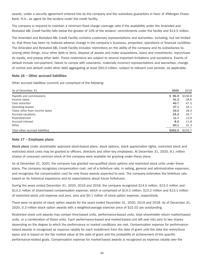assets, under a security agreement entered into by the company and the subsidiary guarantors in favor of JPMorgan Chase Bank, N.A., as agent for the lenders under the credit facility.

The company is required to maintain a minimum fixed charge coverage ratio if the availability under the Amended and Restated ABL Credit Facility falls below the greater of 10% of the lenders' commitments under the facility and \$14.5 million.

The Amended and Restated ABL Credit Facility contains customary representations and warranties, including, but not limited to, that there has been no material adverse change in the company's business, properties, operations or financial condition. The Amended and Restated ABL Credit Facility includes restrictions on the ability of the company and its subsidiaries to, among other things, incur other debt or liens, dispose of assets and make acquisitions, loans and investments, repurchase its equity, and prepay other debt. These restrictions are subject to several important limitations and exceptions. Events of default include non-payment, failure to comply with covenants, materially incorrect representations and warranties, change of control and default under other debt aggregating at least \$50.0 million, subject to relevant cure periods, as applicable.

#### **Note 16 – Other accrued liabilities**

Other accrued liabilities (current) are comprised of the following:

| As of December 31.              | 2020    | 2019    |
|---------------------------------|---------|---------|
| Payrolls and commissions        | \$95.9  | \$106.8 |
| Income taxes                    | 41.2    | 28.6    |
| Cost reduction                  | 40.7    | 47.5    |
| Operating leases                | 37.1    | 34.1    |
| Taxes other than income taxes   | 33.0    | 18.3    |
| Accrued vacations               | 24.3    | 24.7    |
| Postretirement                  | 11.7    | 13.6    |
| Accrued interest                | 8.0     | 11.8    |
| Other                           | 60.1    | 31.3    |
| Total other accrued liabilities | \$352.0 | \$316.7 |

#### **Note 17 – Employee plans**

**Stock plans** Under stockholder approved stock-based plans, stock options, stock appreciation rights, restricted stock and restricted stock units may be granted to officers, directors and other key employees. At December 31, 2020, 8.1 million shares of unissued common stock of the company were available for granting under these plans.

As of December 31, 2020, the company has granted non-qualified stock options and restricted stock units under these plans. The company recognizes compensation cost, net of a forfeiture rate, in selling, general and administrative expenses, and recognizes the compensation cost for only those awards expected to vest. The company estimates the forfeiture rate based on its historical experience and its expectations about future forfeitures.

During the years ended December 31, 2020, 2019 and 2018, the company recognized \$14.5 million, \$13.2 million and \$13.2 million of share-based compensation expense, which is comprised of \$14.5 million, \$13.2 million and \$13.1 million of restricted stock unit expense and zero, zero and \$0.1 million of stock option expense, respectively.

There were no grants of stock option awards for the years ended December 31, 2020, 2019 and 2018. As of December 31, 2020, 0.3 million stock option awards with a weighted-average exercise price of \$22.02 are outstanding.

Restricted stock unit awards may contain time-based units, performance-based units, total shareholder return market-based units, or a combination of these units. Each performance-based and market-based unit will vest into zero to two shares depending on the degree to which the performance or market conditions are met. Compensation expense for performancebased awards is recognized as expense ratably for each installment from the date of grant until the date the restrictions lapse and is based on the fair market value at the date of grant and the probability of achievement of the specific performance-related goals. Compensation expense for market-based awards is recognized as expense ratably over the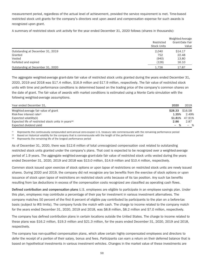measurement period, regardless of the actual level of achievement, provided the service requirement is met. Time-based restricted stock unit grants for the company's directors vest upon award and compensation expense for such awards is recognized upon grant.

A summary of restricted stock unit activity for the year ended December 31, 2020 follows (shares in thousands):

|                                  | Restricted<br><b>Stock Units</b> | Weighted-Average<br>Grant-Date Fair<br>Value |
|----------------------------------|----------------------------------|----------------------------------------------|
| Outstanding at December 31, 2019 | 2,040                            | \$14.17                                      |
| Granted                          | 752                              | 22.48                                        |
| Vested                           | (940)                            | 13.80                                        |
| Forfeited and expired            | (126)                            | 16.10                                        |
| Outstanding at December 31, 2020 | 1,726                            | 17.87                                        |

The aggregate weighted-average grant-date fair value of restricted stock units granted during the years ended December 31, 2020, 2019 and 2018 was \$17.4 million, \$16.9 million and \$17.9 million, respectively. The fair value of restricted stock units with time and performance conditions is determined based on the trading price of the company's common shares on the date of grant. The fair value of awards with market conditions is estimated using a Monte Carlo simulation with the following weighted-average assumptions.

| Year ended December 31,                                           | 2020            | 2019          |
|-------------------------------------------------------------------|-----------------|---------------|
| Weighted-average fair value of grant                              | \$28.33 \$16.58 |               |
| Risk-free interest rate <sup>(i)</sup>                            | 1.35%           | 2.49%         |
| Expected volatility(ii)                                           |                 | 51.81% 47.91% |
| Expected life of restricted stock units in years <sup>(iii)</sup> | 2.86            | 2.87          |
| Expected dividend yield                                           | $-$ %           | $-$ %         |

(i) Represents the continuously compounded semi-annual zero-coupon U.S. treasury rate commensurate with the remaining performance period

(ii) Based on historical volatility for the company that is commensurate with the length of the performance period

(iii) Represents the remaining life of the longest performance period

As of December 31, 2020, there was \$12.6 million of total unrecognized compensation cost related to outstanding restricted stock units granted under the company's plans. That cost is expected to be recognized over a weighted-average period of 1.9 years. The aggregate weighted-average grant-date fair value of restricted stock units vested during the years ended December 31, 2020, 2019 and 2018 was \$13.0 million, \$14.9 million and \$10.4 million, respectively.

Common stock issued upon exercise of stock options or upon lapse of restrictions on restricted stock units are newly issued shares. During 2020 and 2019, the company did not recognize any tax benefits from the exercise of stock options or upon issuance of stock upon lapse of restrictions on restricted stock units because of its tax position. Any such tax benefits resulting from tax deductions in excess of the compensation costs recognized are classified as operating cash flows.

**Defined contribution and compensation plans** U.S. employees are eligible to participate in an employee savings plan. Under this plan, employees may contribute a percentage of their pay for investment in various investment alternatives. The company matches 50 percent of the first 6 percent of eligible pay contributed by participants to the plan on a before-tax basis (subject to IRS limits). The company funds the match with cash. The charge to income related to the company match for the years ended December 31, 2020, 2019 and 2018, was \$8.8 million, \$8.2 million and \$7.0 million, respectively.

The company has defined contribution plans in certain locations outside the United States. The charge to income related to these plans was \$16.2 million, \$19.3 million and \$21.3 million, for the years ended December 31, 2020, 2019 and 2018, respectively.

The company has non-qualified compensation plans, which allow certain highly compensated employees and directors to defer the receipt of a portion of their salary, bonus and fees. Participants can earn a return on their deferred balance that is based on hypothetical investments in various investment vehicles. Changes in the market value of these investments are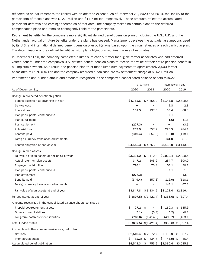reflected as an adjustment to the liability with an offset to expense. As of December 31, 2020 and 2019, the liability to the participants of these plans was \$12.7 million and \$14.7 million, respectively. These amounts reflect the accumulated participant deferrals and earnings thereon as of that date. The company makes no contributions to the deferred compensation plans and remains contingently liable to the participants.

**Retirement benefits** For the company's more significant defined benefit pension plans, including the U.S., U.K. and the Netherlands, accrual of future benefits under the plans has ceased. Management develops the actuarial assumptions used by its U.S. and international defined benefit pension plan obligations based upon the circumstances of each particular plan. The determination of the defined benefit pension plan obligations requires the use of estimates.

In December 2020, the company completed a lump-sum cash-out offer for eligible former associates who had deferred vested benefit under the company's U.S. defined benefit pension plans to receive the value of their entire pension benefit in a lump-sum payment. As a result, the pension plan trust made lump sum payments to approximately 3,500 former associates of \$276.0 million and the company recorded a non-cash pre-tax settlement charge of \$142.1 million.

Retirement plans' funded status and amounts recognized in the company's consolidated balance sheets follows:

| U.S. Plans                                                        |                                 |                                     |                          | <b>International Plans</b> |  |
|-------------------------------------------------------------------|---------------------------------|-------------------------------------|--------------------------|----------------------------|--|
| As of December 31,                                                | 2020                            | 2019                                | 2020                     | 2019                       |  |
| Change in projected benefit obligation                            |                                 |                                     |                          |                            |  |
| Benefit obligation at beginning of year                           | \$4,755.6                       | \$4,558.0                           | \$3,143.8                | \$2,829.5                  |  |
| Service cost                                                      |                                 |                                     | 2.8                      | 2.8                        |  |
| Interest cost                                                     | 162.5                           | 197.5                               | 53.4                     | 68.3                       |  |
| Plan participants' contributions                                  |                                 |                                     | 1.1                      | 1.3                        |  |
| Plan curtailment                                                  |                                 |                                     | (1.6)                    | (1.6)                      |  |
| Plan settlement                                                   | (277.3)                         |                                     | $\overline{\phantom{0}}$ | (3.5)                      |  |
| <b>Actuarial loss</b>                                             | 253.9                           | 357.7                               | 226.5                    | 284.1                      |  |
| Benefits paid                                                     | (349.4)                         | (357.6)                             | (119.0)                  | (118.1)                    |  |
| Foreign currency translation adjustments                          |                                 | $\overline{\phantom{0}}$            | 161.0                    | 81.0                       |  |
| Benefit obligation at end of year                                 | \$4,545.3                       | \$4,755.6                           | \$3,468.0                | \$3,143.8                  |  |
| Change in plan assets                                             |                                 |                                     |                          |                            |  |
| Fair value of plan assets at beginning of year                    | \$3,334.2                       | \$3,112.8                           | \$2,816.4                | \$2,539.4                  |  |
| Actual return on plan assets                                      | 347.2                           | 505.2                               | 254.7                    | 300.0                      |  |
| Employer contribution                                             | 793.1                           | 73.8                                | 33.1                     | 30.1                       |  |
| Plan participants' contributions                                  |                                 |                                     | 1.1                      | 1.3                        |  |
| Plan settlement                                                   | (277.3)                         | $\overline{\phantom{0}}$            | ۳                        | (3.5)                      |  |
| Benefits paid                                                     | (349.4)                         | (357.6)                             | (119.0)                  | (118.1)                    |  |
| Foreign currency translation adjustments                          | $\overbrace{\phantom{1232211}}$ | —                                   | 143.1                    | 67.2                       |  |
| Fair value of plan assets at end of year                          | \$3,847.8                       | \$3,334.2                           | \$3,129.4                | \$2,816.4                  |  |
| Funded status at end of year                                      |                                 | \$ (697.5) \$\$(1,421.4)            | \$ (338.6)               | \$ (327.4)                 |  |
| Amounts recognized in the consolidated balance sheets consist of: |                                 |                                     |                          |                            |  |
| Prepaid postretirement assets                                     | \$<br>27.2                      | Ŝ                                   | 160.3<br>Ŝ               | Ŝ.<br>135.9                |  |
| Other accrued liabilities                                         | (6.1)                           | (6.8)                               | (0.2)                    | (0.2)                      |  |
| Long-term postretirement liabilities                              | (718.6)                         | (1,414.6)                           | (498.7)                  | (463.1)                    |  |
| Total funded status                                               | \$ (697.5)                      | $\$(1,421.4)$ \$ (338.6) \$ (327.4) |                          |                            |  |
| Accumulated other comprehensive loss, net of tax                  |                                 |                                     |                          |                            |  |
| Net loss                                                          | \$2,510.4                       | \$2,672.7                           | \$1,116.9                | \$1,067.2                  |  |
| Prior service credit                                              | $(32.3)$ \$<br>s                | (34.8)                              | $$$ (45.9) $$$ (46.4)    |                            |  |
| Accumulated benefit obligation                                    |                                 | $$4,545.3 \$4,755.6 \$3,360.4$      |                          | \$3,035.3                  |  |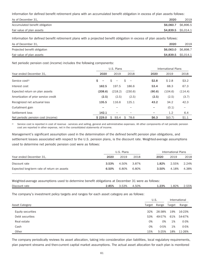Information for defined benefit retirement plans with an accumulated benefit obligation in excess of plan assets follows:

| As of December 31,             | 2020                | 2019                |
|--------------------------------|---------------------|---------------------|
| Accumulated benefit obligation | \$6,060.7 \$6,896.5 |                     |
| Fair value of plan assets      |                     | \$4,839.5 \$5,014.1 |

Information for defined benefit retirement plans with a projected benefit obligation in excess of plan assets follows:

| As of December 31,           | 2020                | 2019 |
|------------------------------|---------------------|------|
| Projected benefit obligation | \$6,063.0 \$6,898.7 |      |
| Fair value of plan assets    | \$4,839.5 \$5,014.1 |      |

Net periodic pension cost (income) includes the following components:

|                                      | U.S. Plans |                        |            |        | International Plans |                          |
|--------------------------------------|------------|------------------------|------------|--------|---------------------|--------------------------|
| Year ended December 31.              | 2020       | 2019                   | 2018       | 2020   | 2019                | 2018                     |
| Service cost <sup>(i)</sup>          | Ś.         | S<br>$\qquad \qquad -$ | Ŝ.         | \$2.8  | \$2.8               | \$3.2                    |
| Interest cost                        | 162.5      | 197.5                  | 186.6      | 53.4   | 68.3                | 67.3                     |
| Expected return on plan assets       | (208.6)    | (218.2)                | (230.6)    | (90.6) | (104.6)             | (114.4)                  |
| Amortization of prior service credit | (2.5)      | (2.5)                  | (2.5)      | (2.5)  | (2.5)               | (3.7)                    |
| Recognized net actuarial loss        | 135.5      | 116.6                  | 125.1      | 43.2   | 34.2                | 42.3                     |
| Curtailment gain                     |            |                        |            |        | (0.1)               | $\overline{\phantom{m}}$ |
| Settlement loss                      | 142.1      | $\qquad \qquad -$      |            |        | 1.2                 | 6.4                      |
| Net periodic pension cost (income)   | \$229.0    | S.<br>93.4             | 78.6<br>-S | \$6.3  | \$(0.7)             | \$1.1                    |

(i) Service cost is reported in cost of revenue - services and selling, general and administrative expenses. All other components of net periodic pension cost are reported in other expense, net in the consolidated statements of income.

Management's significant assumption used in the determination of the defined benefit pension plan obligations, and settlement losses associated with respect to the U.S. pension plans, is the discount rate. Weighted-average assumptions used to determine net periodic pension cost were as follows:

|                                             |       | U.S. Plans |       |       | International Plans |       |  |
|---------------------------------------------|-------|------------|-------|-------|---------------------|-------|--|
| Year ended December 31,                     | 2020  | 2019       | 2018  | 2020  | 2019                | 2018  |  |
| Discount rate                               | 3.53% | 4.50%      | 3.87% | 1.82% | 2.55%               | 2.24% |  |
| Expected long-term rate of return on assets | 6.50% | 6.80%      | 6.80% | 3.50% | 4.18%               | 4.38% |  |

Weighted-average assumptions used to determine benefit obligations at December 31 were as follows:

| <b>Discount</b><br>rate | $\sim$ $\sim$ $\sim$<br>. .<br>oə | <b>LOO</b><br><i></i> | EOM<br>א טעי | 1.23% | Q'' | $- - -$<br>JJ 70 |
|-------------------------|-----------------------------------|-----------------------|--------------|-------|-----|------------------|
|                         |                                   |                       |              |       |     |                  |

The company's investment policy targets and ranges for each asset category are as follows:

|                       | U.S.   |          | International |          |
|-----------------------|--------|----------|---------------|----------|
| <b>Asset Category</b> | Target | Range    | Target        | Range    |
| Equity securities     | 32%    | 26-38%   | 19%           | 16-23%   |
| Debt securities       | 53%    | 49-57%   | 61%           | 54-67%   |
| Real estate           | 0%     | 0%       | 1%            | $0 - 3%$ |
| Cash                  | 0%     | $0 - 5%$ | 1%            | $0 - 5%$ |
| Other                 | 15%    | 5-25%    | 18%           | 11-26%   |

The company periodically reviews its asset allocation, taking into consideration plan liabilities, local regulatory requirements, plan payment streams and then-current capital market assumptions. The actual asset allocation for each plan is monitored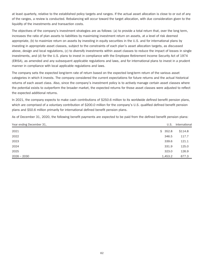at least quarterly, relative to the established policy targets and ranges. If the actual asset allocation is close to or out of any of the ranges, a review is conducted. Rebalancing will occur toward the target allocation, with due consideration given to the liquidity of the investments and transaction costs.

The objectives of the company's investment strategies are as follows: (a) to provide a total return that, over the long term, increases the ratio of plan assets to liabilities by maximizing investment return on assets, at a level of risk deemed appropriate, (b) to maximize return on assets by investing in equity securities in the U.S. and for international plans by investing in appropriate asset classes, subject to the constraints of each plan's asset allocation targets, as discussed above, design and local regulations, (c) to diversify investments within asset classes to reduce the impact of losses in single investments, and (d) for the U.S. plans to invest in compliance with the Employee Retirement Income Security Act of 1974 (ERISA), as amended and any subsequent applicable regulations and laws, and for international plans to invest in a prudent manner in compliance with local applicable regulations and laws.

The company sets the expected long-term rate of return based on the expected long-term return of the various asset categories in which it invests. The company considered the current expectations for future returns and the actual historical returns of each asset class. Also, since the company's investment policy is to actively manage certain asset classes where the potential exists to outperform the broader market, the expected returns for those asset classes were adjusted to reflect the expected additional returns.

In 2021, the company expects to make cash contributions of \$250.6 million to its worldwide defined benefit pension plans, which are comprised of a voluntary contribution of \$200.0 million for the company's U.S. qualified defined benefit pension plans and \$50.6 million primarily for international defined benefit pension plans.

As of December 31, 2020, the following benefit payments are expected to be paid from the defined benefit pension plans:

| Year ending December 31, | U.S.    | International |
|--------------------------|---------|---------------|
| 2021                     | \$352.8 | \$114.8       |
| 2022                     | 346.5   | 117.7         |
| 2023                     | 339.6   | 121.1         |
| 2024                     | 331.9   | 125.0         |
| 2025                     | 323.0   | 126.9         |
| $2026 - 2030$            | 1,453.2 | 677.3         |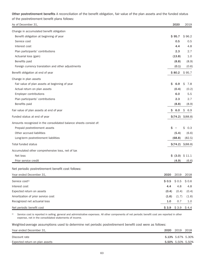**Other postretirement benefits** A reconciliation of the benefit obligation, fair value of the plan assets and the funded status of the postretirement benefit plans follows:

| As of December 31,                                                | 2020           | 2019                  |
|-------------------------------------------------------------------|----------------|-----------------------|
| Change in accumulated benefit obligation                          |                |                       |
| Benefit obligation at beginning of year                           | \$95.7         | \$96.2                |
| Service cost                                                      | 0.5            | 0.5                   |
| Interest cost                                                     | 4.4            | 4.8                   |
| Plan participants' contributions                                  | 2.3            | 2.7                   |
| Actuarial loss (gain)                                             | (13.8)         | 1.0                   |
| Benefits paid                                                     | (8.8)          | (8.9)                 |
| Foreign currency translation and other adjustments                | (0.1)          | (0.6)                 |
| Benefit obligation at end of year                                 | \$80.2         | \$95.7                |
| Change in plan assets                                             |                |                       |
| Fair value of plan assets at beginning of year                    | \$<br>6.9      | \$<br>7.8             |
| Actual return on plan assets                                      | (0.4)          | (0.2)                 |
| Employer contributions                                            | 6.0            | 5.5                   |
| Plan participants' contributions                                  | 2.3            | 2.7                   |
| Benefits paid                                                     | (8.8)          | (8.9)                 |
| Fair value of plan assets at end of year                          | \$6.0          | \$<br>6.9             |
| Funded status at end of year                                      | \$(74.2)       | $$^{(88.8)}$          |
| Amounts recognized in the consolidated balance sheets consist of: |                |                       |
| Prepaid postretirement assets                                     | \$             | \$<br>0.3             |
| Other accrued liabilities                                         | (5.4)          | (6.6)                 |
| Long-term postretirement liabilities                              | (68.8)         | (82.5)                |
| Total funded status                                               |                | $$$ (74.2) $$$ (88.8) |
| Accumulated other comprehensive loss, net of tax                  |                |                       |
| Net loss                                                          |                | \$ (3.0) \$11.1       |
| Prior service credit                                              | (4.9)          | (6.6)                 |
| Net periodic postretirement benefit cost follows:                 |                |                       |
| Year ended December 31,                                           | 2020<br>2019   | 2018                  |
| Service cost(i)                                                   | \$0.5<br>\$0.5 | \$0.6                 |
| Interest cost                                                     | 4.4<br>4.8     | 4.8                   |
| Expected return on assets                                         | (0.4)<br>(0.4) | (0.4)                 |
| Amortization of prior service cost                                | (1.6)<br>(1.7) | (1.6)                 |
| Recognized net actuarial loss                                     | 0.7<br>1.0     | 1.0                   |
| Net periodic benefit cost                                         | \$3.9<br>\$3.9 | \$4.4                 |

(i) Service cost is reported in selling, general and administrative expenses. All other components of net periodic benefit cost are reported in other expense, net in the consolidated statements of income.

Weighted-average assumptions used to determine net periodic postretirement benefit cost were as follows:

| Year ended December 31,        | 2020 | 2019 2018         |  |
|--------------------------------|------|-------------------|--|
| Discount rate                  |      | 5.13% 5.67% 5.30% |  |
| Expected return on plan assets |      | 5.50% 5.50% 5.50% |  |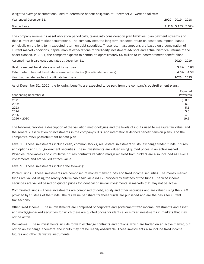Weighted-average assumptions used to determine benefit obligation at December 31 were as follows:

| Year ended December 31, | 2020  | 2019 | 2018        |
|-------------------------|-------|------|-------------|
| Discount rate           | 2.21% |      | 5.13% 5.67% |

The company reviews its asset allocation periodically, taking into consideration plan liabilities, plan payment streams and then-current capital market assumptions. The company sets the long-term expected return on asset assumption, based principally on the long-term expected return on debt securities. These return assumptions are based on a combination of current market conditions, capital market expectations of third-party investment advisors and actual historical returns of the asset classes. In 2021, the company expects to contribute approximately \$5 million to its postretirement benefit plans.

| Assumed health care cost trend rates at December 31,                              | 2020 2019 |           |
|-----------------------------------------------------------------------------------|-----------|-----------|
| Health care cost trend rate assumed for next year                                 |           | 5.4% 5.8% |
| Rate to which the cost trend rate is assumed to decline (the ultimate trend rate) |           | 4.5% 4.5% |
| Year that the rate reaches the ultimate trend rate                                | 2025 2025 |           |

As of December 31, 2020, the following benefits are expected to be paid from the company's postretirement plans:

| Year ending December 31, | Expected<br>Payments |
|--------------------------|----------------------|
| 2021                     | \$6.3                |
| 2022                     | 6.0                  |
| 2023                     | 5.6                  |
| 2024                     | 5.3                  |
| 2025                     | 4.9                  |
| $2026 - 2030$            | 19.9                 |

The following provides a description of the valuation methodologies and the levels of inputs used to measure fair value, and the general classification of investments in the company's U.S. and international defined benefit pension plans, and the company's other postretirement benefit plan.

Level 1 – These investments include cash, common stocks, real estate investment trusts, exchange traded funds, futures and options and U.S. government securities. These investments are valued using quoted prices in an active market. Payables, receivables and cumulative futures contracts variation margin received from brokers are also included as Level 1 investments and are valued at face value.

Level 2 – These investments include the following:

Pooled Funds – These investments are comprised of money market funds and fixed income securities. The money market funds are valued using the readily determinable fair value (RDFV) provided by trustees of the funds. The fixed income securities are valued based on quoted prices for identical or similar investments in markets that may not be active.

Commingled Funds – These investments are comprised of debt, equity and other securities and are valued using the RDFV provided by trustees of the funds. The fair value per share for these funds are published and are the basis for current transactions.

Other Fixed Income – These investments are comprised of corporate and government fixed income investments and asset and mortgage-backed securities for which there are quoted prices for identical or similar investments in markets that may not be active.

Derivatives – These investments include forward exchange contracts and options, which are traded on an active market, but not on an exchange; therefore, the inputs may not be readily observable. These investments also include fixed income futures and other derivative instruments.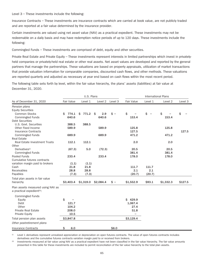Level 3 – These investments include the following:

Insurance Contracts – These investments are insurance contracts which are carried at book value, are not publicly traded and are reported at a fair value determined by the insurance provider.

Certain investments are valued using net asset value (NAV) as a practical expedient. These investments may not be redeemable on a daily basis and may have redemption notice periods of up to 120 days. These investments include the following:

Commingled Funds – These investments are comprised of debt, equity and other securities.

Private Real Estate and Private Equity – These investments represent interests in limited partnerships which invest in privatelyheld companies or privately-held real estate or other real assets. Net asset values are developed and reported by the general partners that manage the partnerships. These valuations are based on property appraisals, utilization of market transactions that provide valuation information for comparable companies, discounted cash flows, and other methods. These valuations are reported quarterly and adjusted as necessary at year end based on cash flows within the most recent period.

The following table sets forth by level, within the fair value hierarchy, the plans' assets (liabilities) at fair value at December 31, 2020.

|                                         |             | U.S. Plans    |                 |        | <b>International Plans</b> |         |           |         |  |
|-----------------------------------------|-------------|---------------|-----------------|--------|----------------------------|---------|-----------|---------|--|
| As of December 31, 2020                 | Fair Value  | Level 1       | Level 2 Level 3 |        | Fair Value                 | Level 1 | Level 2   | Level 3 |  |
| Pension plans                           |             |               |                 |        |                            |         |           |         |  |
| <b>Equity Securities</b>                |             |               |                 |        |                            |         |           |         |  |
| Common Stocks                           | 774.1<br>Ŝ. | 771.2 \$<br>Ŝ | 2.9             | $\sin$ | \$                         | \$      | \$        | \$      |  |
| Commingled Funds                        | 640.6       |               | 640.6           |        | 153.4                      |         | 153.4     |         |  |
| <b>Debt Securities</b>                  |             |               |                 |        |                            |         |           |         |  |
| U.S. Govt. Securities                   | 388.5       | 388.5         |                 |        |                            |         |           |         |  |
| Other Fixed Income                      | 589.9       |               | 589.9           |        | 125.8                      |         | 125.8     |         |  |
| Insurance Contracts                     |             |               |                 |        | 127.5                      |         |           | 127.5   |  |
| Commingled Funds                        | 689.9       |               | 689.9           |        | 471.2                      |         | 471.2     |         |  |
| <b>Real Estate</b>                      |             |               |                 |        |                            |         |           |         |  |
| Real Estate Investment Trusts           | 112.1       | 112.1         |                 |        | 2.0                        |         | 2.0       |         |  |
| Other                                   |             |               |                 |        |                            |         |           |         |  |
| Derivatives <sup>(i)</sup>              | (67.3)      | 5.0           | (72.3)          |        | 20.5                       |         | 20.5      |         |  |
| Commingled Funds                        |             |               |                 |        | 381.4                      |         | 381.4     |         |  |
| Pooled Funds                            | 233.4       |               | 233.4           |        | 178.0                      |         | 178.0     |         |  |
| Cumulative futures contracts            |             |               |                 |        |                            |         |           |         |  |
| variation margin paid to brokers        | (1.1)       | (1.1)         |                 |        |                            |         |           |         |  |
| Cash                                    | 21.8        | 21.8          |                 |        | 111.7                      | 111.7   |           |         |  |
| Receivables                             | 28.8        | 28.8          |                 |        | 2.1                        | 2.1     |           |         |  |
| Payables                                | (7.3)       | (7.3)         |                 |        | (20.7)                     | (20.7)  |           |         |  |
| Total plan assets in fair value         |             |               |                 |        |                            |         |           |         |  |
| hierarchy                               | \$3,403.4   | \$1,319.0     | \$2,084.4       | $\sin$ | \$1,552.9                  | \$93.1  | \$1,332.3 | \$127.5 |  |
| Plan assets measured using NAV as       |             |               |                 |        |                            |         |           |         |  |
| a practical expedient <sup>(ii)</sup> : |             |               |                 |        |                            |         |           |         |  |
|                                         |             |               |                 |        |                            |         |           |         |  |
| Commingled Funds<br>Equity              | Ś           |               |                 |        | Ś.<br>429.9                |         |           |         |  |
| Debt                                    | 121.7       |               |                 |        | 1,067.4                    |         |           |         |  |
| Other                                   | 104.2       |               |                 |        | 27.4                       |         |           |         |  |
| <b>Private Real Estate</b>              | 208.0       |               |                 |        | 51.8                       |         |           |         |  |
| <b>Private Equity</b>                   | 10.5        |               |                 |        | $\overline{\phantom{0}}$   |         |           |         |  |
|                                         |             |               |                 |        |                            |         |           |         |  |
| Total pension plan assets               | \$3,847.8   |               |                 |        | \$3,129.4                  |         |           |         |  |
| Other postretirement plans              |             |               |                 |        |                            |         |           |         |  |
| Insurance Contracts                     | \$<br>6.0   |               |                 | \$6.0  |                            |         |           |         |  |

<sup>(i)</sup> Level 1 derivatives represent unrealized appreciation or depreciation on open futures contracts. The value of open futures contracts includes derivatives and the cumulative futures contracts variation margin paid to or received from brokers.

(ii) Investments measured at fair value using NAV as a practical expedient have not been classified in the fair value hierarchy. The fair value amounts presented in this table for these investments are included to permit reconciliation of the fair value hierarchy to the total plan assets.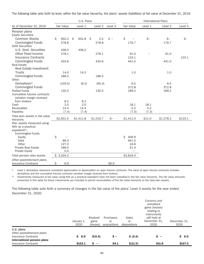The following table sets forth by level, within the fair value hierarchy, the plans' assets (liabilities) at fair value at December 31, 2019.

|                                      |            | U.S. Plans |         |            |  |           |                 |    | <b>International Plans</b> |         |           |         |  |
|--------------------------------------|------------|------------|---------|------------|--|-----------|-----------------|----|----------------------------|---------|-----------|---------|--|
| As of December 31, 2019              | Fair Value |            | Level 1 |            |  |           | Level 2 Level 3 |    | Fair Value                 | Level 1 | Level 2   | Level 3 |  |
| Pension plans                        |            |            |         |            |  |           |                 |    |                            |         |           |         |  |
| <b>Equity Securities</b>             |            |            |         |            |  |           |                 |    |                            |         |           |         |  |
| <b>Common Stocks</b>                 | \$         | 955.3      | \$      | $952.8$ \$ |  | 2.5       | $\sin 5 -$      | \$ |                            | $S-$    | $S-$      | $S-$    |  |
| Commingled Funds                     |            | 578.8      |         |            |  | 578.8     |                 |    | 176.7                      |         | 176.7     |         |  |
| <b>Debt Securities</b>               |            |            |         |            |  |           |                 |    |                            |         |           |         |  |
| U.S. Govt. Securities                |            | 436.0      |         | 436.0      |  |           |                 |    |                            |         |           |         |  |
| Other Fixed Income                   |            | 278.1      |         |            |  | 278.1     |                 |    | 91.0                       |         | 91.0      |         |  |
| Insurance Contracts                  |            |            |         |            |  |           |                 |    | 123.1                      |         |           | 123.1   |  |
| Commingled Funds                     |            | 433.6      |         |            |  | 433.6     |                 |    | 441.0                      |         | 441.0     |         |  |
| <b>Real Estate</b>                   |            |            |         |            |  |           |                 |    |                            |         |           |         |  |
| Real Estate Investment               |            |            |         |            |  |           |                 |    |                            |         |           |         |  |
| Trusts                               |            | 14.0       |         | 14.0       |  |           |                 |    | 1.0                        |         | 1.0       |         |  |
| Commingled Funds                     |            | 186.5      |         |            |  | 186.5     |                 |    |                            |         |           |         |  |
| Other                                |            |            |         |            |  |           |                 |    |                            |         |           |         |  |
| Derivatives <sup>(i)</sup>           |            | (103.5)    |         | (8.2)      |  | (95.3)    |                 |    | 6.5                        |         | 6.5       |         |  |
| Commingled Funds                     |            |            |         |            |  |           |                 |    | 372.8                      |         | 372.8     |         |  |
| Pooled Funds                         |            | 135.5      |         |            |  | 135.5     |                 |    | 189.2                      |         | 189.2     |         |  |
| Cumulative futures contracts         |            |            |         |            |  |           |                 |    |                            |         |           |         |  |
| variation margin received            |            |            |         |            |  |           |                 |    |                            |         |           |         |  |
| from brokers                         |            | 8.2        |         | 8.2        |  |           |                 |    |                            |         |           |         |  |
| Cash                                 |            | 2.0        |         | 2.0        |  |           |                 |    | 18.1                       | 18.1    |           |         |  |
| Receivables                          |            | 14.4       |         | 14.4       |  |           |                 |    | 0.2                        | 0.2     |           |         |  |
| Payables                             |            | (7.4)      |         | (7.4)      |  |           |                 |    | (7.3)                      | (7.3)   |           |         |  |
| Total plan assets in fair value      |            | \$2,931.5  |         | \$1,411.8  |  | \$1,519.7 | $S-$            |    | \$1,412.3                  | \$11.0  | \$1,278.2 | \$123.1 |  |
| hierarchy                            |            |            |         |            |  |           |                 |    |                            |         |           |         |  |
| Plan assets measured using           |            |            |         |            |  |           |                 |    |                            |         |           |         |  |
| NAV as a practical<br>expedient(ii): |            |            |         |            |  |           |                 |    |                            |         |           |         |  |
| Commingled Funds                     |            |            |         |            |  |           |                 |    |                            |         |           |         |  |
| Equity                               | \$         |            |         |            |  |           |                 | \$ | 406.9                      |         |           |         |  |
| Debt                                 |            | 86.3       |         |            |  |           |                 |    | 941.0                      |         |           |         |  |
| Other                                |            | 127.0      |         |            |  |           |                 |    | 24.8                       |         |           |         |  |
| Private Real Estate                  |            | 189.0      |         |            |  |           |                 |    | 31.4                       |         |           |         |  |
| <b>Private Equity</b>                |            | 0.4        |         |            |  |           |                 |    | $\qquad \qquad -$          |         |           |         |  |
| Total pension plan assets            |            | \$3,334.2  |         |            |  |           |                 |    | \$2,816.4                  |         |           |         |  |
| Other postretirement plans           |            |            |         |            |  |           |                 |    |                            |         |           |         |  |
| <b>Insurance Contracts</b>           | \$         | 6.9        |         |            |  |           | \$6.9           |    |                            |         |           |         |  |

(i) Level 1 derivatives represent unrealized appreciation or depreciation on open futures contracts. The value of open futures contracts includes derivatives and the cumulative futures contracts variation margin received from brokers.

(ii) Investments measured at fair value using NAV as a practical expedient have not been classified in the fair value hierarchy. The fair value amounts presented in this table for these investments are included to permit reconciliation of the fair value hierarchy to the total plan assets.

The following table sets forth a summary of changes in the fair value of the plans' Level 3 assets for the year ended December 31, 2020.

|                                                                 | January 1,<br>2020 | Realized<br>gains<br>(losses) | Purchases<br>or<br>acquisitions | <b>Sales</b><br>or<br>dispositions | Currency and<br>unrealized<br>gains (losses)<br>relating to<br>instruments<br>still held at<br>December 31,<br>2020 | December 31,<br>2020 |
|-----------------------------------------------------------------|--------------------|-------------------------------|---------------------------------|------------------------------------|---------------------------------------------------------------------------------------------------------------------|----------------------|
| U.S. plans<br>Other postretirement plans<br>Insurance Contracts | \$6.9              | \$(0.4)                       | \$ –                            | \$ (0.5)                           | $s -$                                                                                                               | \$6.0                |
| International pension plans<br>Insurance Contracts              | \$123.1            | \$                            | \$4.1                           | \$(11.5)                           | \$11.8                                                                                                              | \$127.5              |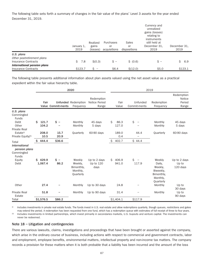The following table sets forth a summary of changes in the fair value of the plans' Level 3 assets for the year ended December 31, 2019.

|                             | January 1,<br>2019 | Realized<br>gains<br>(losses) | Purchases<br>or<br>acquisitions | Sales<br>or<br>dispositions | Currency and<br>unrealized<br>gains (losses)<br>relating to<br>instruments<br>still held at<br>December 31.<br>2019 | December 31,<br>2019 |
|-----------------------------|--------------------|-------------------------------|---------------------------------|-----------------------------|---------------------------------------------------------------------------------------------------------------------|----------------------|
| U.S. plans                  |                    |                               |                                 |                             |                                                                                                                     |                      |
| Other postretirement plans  |                    |                               |                                 |                             |                                                                                                                     |                      |
| Insurance Contracts         | 7.8<br>\$          | \$(0.3)                       | $S -$                           | \$ (0.6)                    | $S -$                                                                                                               | \$<br>6.9            |
| International pension plans |                    |                               |                                 |                             |                                                                                                                     |                      |
| Insurance Contracts         | \$123.7            | Ś<br>$\qquad \qquad -$        | \$6.4                           | \$(12.0)                    | \$5.0                                                                                                               | \$123.1              |

The following table presents additional information about plan assets valued using the net asset value as a practical expedient within the fair value hierarchy table.

|                                                              |    |                    |                    | 2020                                                     |                                      |    | 2019           |                          |                                                                                 |                                         |  |  |  |
|--------------------------------------------------------------|----|--------------------|--------------------|----------------------------------------------------------|--------------------------------------|----|----------------|--------------------------|---------------------------------------------------------------------------------|-----------------------------------------|--|--|--|
|                                                              |    | Fair               | Value Commit-ments | <b>Unfunded</b> Redemption<br>Frequency                  | Redemption<br>Notice Period<br>Range |    | Fair<br>Value  | Unfunded<br>Commit-ments | Redemption<br>Frequency                                                         | Redemption<br>Notice<br>Period<br>Range |  |  |  |
| U.S. plans<br>Commingled<br>Funds                            |    |                    |                    |                                                          |                                      |    |                |                          |                                                                                 |                                         |  |  |  |
| Debt<br>Other<br><b>Private Real</b>                         | Ś. | 121.7<br>104.2     | $\sin 5 -$         | Monthly<br>Monthly                                       | 45 days<br>5 days                    | \$ | 86.3<br>127.0  | \$                       | Monthly<br>Monthly                                                              | 45 days<br>5 days                       |  |  |  |
| Estate <sup>(i)</sup><br>Private Equity(ii)                  |    | 208.0<br>10.5      | 15.7<br>20.9       | Quarterly                                                | 60-90 days                           |    | 189.0<br>0.4   | 44.4                     | Quarterly                                                                       | 60-90 days                              |  |  |  |
| Total                                                        | Ŝ. | 444.4              | \$36.6             |                                                          |                                      | Ś  | 402.7          | \$44.4                   |                                                                                 |                                         |  |  |  |
| <b>International</b><br>pension plans<br>Commingled<br>Funds |    |                    |                    |                                                          |                                      |    |                |                          |                                                                                 |                                         |  |  |  |
| Equity<br>Debt                                               |    | \$429.9<br>1,067.4 | $\sin 5 -$<br>86.2 | Weekly<br>Weekly,<br>Bimonthly,<br>Monthly,<br>Quarterly | Up to 2 days<br>Up to 120<br>days    | Ś  | 406.9<br>941.0 | \$<br>117.9              | Weekly<br>Daily,<br>Weekly,<br>Biweekly.<br>Bimonthly,<br>Monthly,<br>Quarterly | Up to 2 days<br>Up to<br>120 days       |  |  |  |
| Other                                                        |    | 27.4               |                    | Monthly                                                  | Up to 30 days                        |    | 24.8           |                          | Monthly                                                                         | Up to<br>30 days                        |  |  |  |
| <b>Private Real</b><br>Estate                                |    | 51.8               |                    | Monthly                                                  | Up to 90 days                        |    | 31.4           |                          | Monthly                                                                         | Up to<br>90 days                        |  |  |  |
| Total                                                        |    | \$1,576.5          | \$86.2             |                                                          |                                      |    | \$1,404.1      | \$117.9                  |                                                                                 |                                         |  |  |  |

(i) Includes investments in private real estate funds. The funds invest in U.S. real estate and allow redemptions quarterly, though queues, restrictions and gates may extend the period. A redemption has been requested from one fund, which has a redemption queue with estimates of full receipt of three to four years.

(ii) Includes investments in limited partnerships, which invest primarily in secondaries markets, U.S. buyouts and venture capital. The investments can never be redeemed.

#### **Note 18 – Litigation and contingencies**

There are various lawsuits, claims, investigations and proceedings that have been brought or asserted against the company, which arise in the ordinary course of business, including actions with respect to commercial and government contracts, labor and employment, employee benefits, environmental matters, intellectual property and non-income tax matters. The company records a provision for these matters when it is both probable that a liability has been incurred and the amount of the loss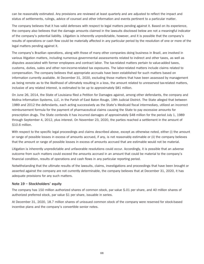can be reasonably estimated. Any provisions are reviewed at least quarterly and are adjusted to reflect the impact and status of settlements, rulings, advice of counsel and other information and events pertinent to a particular matter.

The company believes that it has valid defenses with respect to legal matters pending against it. Based on its experience, the company also believes that the damage amounts claimed in the lawsuits disclosed below are not a meaningful indicator of the company's potential liability. Litigation is inherently unpredictable, however, and it is possible that the company's results of operations or cash flow could be materially affected in any particular period by the resolution of one or more of the legal matters pending against it.

The company's Brazilian operations, along with those of many other companies doing business in Brazil, are involved in various litigation matters, including numerous governmental assessments related to indirect and other taxes, as well as disputes associated with former employees and contract labor. The tax-related matters pertain to value-added taxes, customs, duties, sales and other non-income-related tax exposures. The labor-related matters include claims related to compensation. The company believes that appropriate accruals have been established for such matters based on information currently available. At December 31, 2020, excluding those matters that have been assessed by management as being remote as to the likelihood of ultimately resulting in a loss, the amount related to unreserved tax-related matters, inclusive of any related interest, is estimated to be up to approximately \$81 million.

On June 26, 2014, the State of Louisiana filed a Petition for Damages against, among other defendants, the company and Molina Information Systems, LLC, in the Parish of East Baton Rouge, 19th Judicial District. The State alleged that between 1989 and 2012 the defendants, each acting successively as the State's Medicaid fiscal intermediary, utilized an incorrect reimbursement formula for the payment of pharmaceutical claims causing the State to pay excessive amounts for prescription drugs. The State contends it has incurred damages of approximately \$48 million for the period July 1, 1989 through September 4, 2012, plus interest. On November 23, 2020, the parties reached a settlement in the amount of \$10.6 million.

With respect to the specific legal proceedings and claims described above, except as otherwise noted, either (i) the amount or range of possible losses in excess of amounts accrued, if any, is not reasonably estimable or (ii) the company believes that the amount or range of possible losses in excess of amounts accrued that are estimable would not be material.

Litigation is inherently unpredictable and unfavorable resolutions could occur. Accordingly, it is possible that an adverse outcome from such matters could exceed the amounts accrued in an amount that could be material to the company's financial condition, results of operations and cash flows in any particular reporting period.

Notwithstanding that the ultimate results of the lawsuits, claims, investigations and proceedings that have been brought or asserted against the company are not currently determinable, the company believes that at December 31, 2020, it has adequate provisions for any such matters.

#### **Note 19 – Stockholders' equity**

The company has 150 million authorized shares of common stock, par value \$.01 per share, and 40 million shares of authorized preferred stock, par value \$1 per share, issuable in series.

At December 31, 2020, 18.7 million shares of unissued common stock of the company were reserved for stock-based incentive plans and the company's convertible senior notes.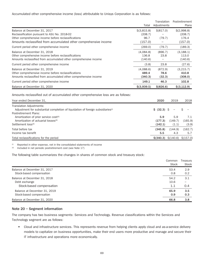Accumulated other comprehensive income (loss) attributable to Unisys Corporation is as follows:

|                                                                  | Total        | Translation<br>Adjustments | Postretirement<br>Plans |
|------------------------------------------------------------------|--------------|----------------------------|-------------------------|
| Balance at December 31, 2017                                     | \$ (3,815.8) | \$ (817.0)                 | \$(2,998.8)             |
| Reclassification pursuant to ASU No. 2018-02                     | (208.7)      |                            | (208.7)                 |
| Other comprehensive income before reclassifications              | 96.7         | (79.7)                     | 176.4                   |
| Amounts reclassified from accumulated other comprehensive income | (157.0)      |                            | (157.0)                 |
| Current period other comprehensive income                        | (269.0)      | (79.7)                     | (189.3)                 |
| Balance at December 31, 2018                                     | (4,084.8)    | (896.7)                    | (3, 188.1)              |
| Other comprehensive income before reclassifications              | 136.8        | 23.8                       | 113.0                   |
| Amounts reclassified from accumulated other comprehensive income | (140.6)      |                            | (140.6)                 |
| Current period other comprehensive income                        | (3.8)        | 23.8                       | (27.6)                  |
| Balance at December 31, 2019                                     | (4,088.6)    | (872.9)                    | (3,215.7)               |
| Other comprehensive income before reclassifications              | 489.4        | 78.6                       | 410.8                   |
| Amounts reclassified from accumulated other comprehensive income | (340.3)      | (32.3)                     | (308.0)                 |
| Current period other comprehensive income                        | 149.1        | 46.3                       | 102.8                   |
| Balance at December 31, 2020                                     | \$(3,939.5)  | \$ (826.6)                 | \$ (3, 112.9)           |

Amounts reclassified out of accumulated other comprehensive loss are as follows:

| Year ended December 31,                                                                                                 | 2020         | 2019                    | 2018    |
|-------------------------------------------------------------------------------------------------------------------------|--------------|-------------------------|---------|
| Translation Adjustments:<br>Adjustment for substantial completion of liquidation of foreign subsidiaries <sup>(i)</sup> | \$ (32.3) \$ |                         |         |
| Postretirement Plans:                                                                                                   |              |                         |         |
| Amortization of prior service cost <sup>(ii)</sup>                                                                      | 5.9          | 5.9                     | 7.1     |
| Amortization of actuarial losses <sup>(ii)</sup>                                                                        | (177.3)      | (149.7)                 | (165.9) |
| Settlement loss(ii)                                                                                                     | (142.1)      | (1.1)                   | (3.9)   |
| Total before tax                                                                                                        | (345.8)      | (144.9)                 | (162.7) |
| Income tax benefit                                                                                                      | 5.5          | 4.3                     | 5.7     |
| Total reclassifications for the period                                                                                  | $$$ (340.3)  | $\$(140.6)$ $\$(157.0)$ |         |

 $(ii)$  Reported in other expense, net in the consolidated statements of income

(ii) Included in net periodic postretirement cost (see Note 17)

The following table summarizes the changes in shares of common stock and treasury stock:

|                                                                           | Common<br><b>Stock</b> | Treasury<br>Stock |
|---------------------------------------------------------------------------|------------------------|-------------------|
| Balance at December 31, 2017<br>Stock-based compensation                  | 53.4<br>0.8            | 2.9<br>0.2        |
| Balance at December 31, 2018<br>Debt exchange<br>Stock-based compensation | 54.2<br>10.6<br>1.1    | 3.1<br>0.4        |
| Balance at December 31, 2019<br>Stock-based compensation                  | 65.9<br>0.9            | 3.5<br>0.3        |
| Balance at December 31, 2020                                              | 66.8                   | 3.8               |

#### **Note 20 – Segment information**

The company has two business segments: Services and Technology. Revenue classifications within the Services and Technology segment are as follows:

• Cloud and infrastructure services. This represents revenue from helping clients apply cloud and as-a-service delivery models to capitalize on business opportunities, make their end users more productive and manage and secure their IT infrastructure and operations more economically.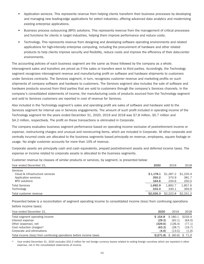- Application services. This represents revenue from helping clients transform their business processes by developing and managing new leading-edge applications for select industries, offering advanced data analytics and modernizing existing enterprise applications.
- Business process outsourcing (BPO) solutions. This represents revenue from the management of critical processes and functions for clients in target industries, helping them improve performance and reduce costs.
- Technology. This represents revenue from designing and developing software operating environments and related applications for high-intensity enterprise computing, including the procurement of hardware and other related products to help clients improve security and flexibility, reduce costs and improve the efficiency of their data-center environments.

The accounting policies of each business segment are the same as those followed by the company as a whole. Intersegment sales and transfers are priced as if the sales or transfers were to third parties. Accordingly, the Technology segment recognizes intersegment revenue and manufacturing profit on software and hardware shipments to customers under Services contracts. The Services segment, in turn, recognizes customer revenue and marketing profits on such shipments of company software and hardware to customers. The Services segment also includes the sale of software and hardware products sourced from third parties that are sold to customers through the company's Services channels. In the company's consolidated statements of income, the manufacturing costs of products sourced from the Technology segment and sold to Services customers are reported in cost of revenue for Services.

Also included in the Technology segment's sales and operating profit are sales of software and hardware sold to the Services segment for internal use in Services engagements. The amount of such profit included in operating income of the Technology segment for the years ended December 31, 2020, 2019 and 2018 was \$7.8 million, \$5.7 million and \$4.2 million, respectively. The profit on these transactions is eliminated in Corporate.

The company evaluates business segment performance based on operating income exclusive of postretirement income or expense, restructuring charges and unusual and nonrecurring items, which are included in Corporate. All other corporate and centrally incurred costs are allocated to the business segments based principally on revenue, employees, square footage or usage. No single customer accounts for more than 10% of revenue.

Corporate assets are principally cash and cash equivalents, prepaid postretirement assets and deferred income taxes. The expense or income related to corporate assets is allocated to the business segments.

Customer revenue by classes of similar products or services, by segment, is presented below:

| Year ended December 31,                                                                     | 2020                        | 2019                                  | 2018             |
|---------------------------------------------------------------------------------------------|-----------------------------|---------------------------------------|------------------|
| Services<br>Cloud & infrastructure services<br>Application services<br><b>BPO</b> solutions | \$1,178.1<br>350.2<br>164.6 | \$1,287.2 \$1,225.4<br>370.9<br>234.6 | 381.7<br>250.5   |
| <b>Total Services</b><br>Technology                                                         | 1,692.9<br>333.4            | 1.892.7<br>330.1                      | 1,857.6<br>393.6 |
| Total customer revenue                                                                      | \$2,026.3                   | \$2,222.8                             | \$2.251.2        |

Presented below is a reconciliation of segment operating income to consolidated income (loss) from continuing operations before income taxes:

| Year ended December 31,                                            | 2020    | 2019                            | 2018    |
|--------------------------------------------------------------------|---------|---------------------------------|---------|
| Total segment operating income                                     |         | $$154.8 \t$180.1$               | \$233.4 |
| Interest expense                                                   | (29.2)  | (62.1)                          | (64.0)  |
| Other (expense), net                                               | (329.6) | (136.4)                         | (77.1)  |
| Cost reduction charges <sup>(i)</sup>                              | (63.2)  | (28.7)                          | (19.7)  |
| Corporate and eliminations                                         | (4.6)   | (13.5)                          | (1.6)   |
| Total income (loss) from continuing operations before income taxes |         | $$$ (271.8) $$$ (60.6) $$$ 71.0 |         |

<sup>(i)</sup> Year ended December 31, 2020 excludes \$32.3 million for net foreign currency losses related to exiting foreign countries which are reported in other expense, net in the consolidated statements of income.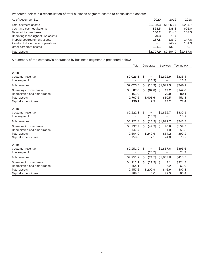Presented below is a reconciliation of total business segment assets to consolidated assets:

| As of December 31.                  | 2020      | 2019      | 2018      |
|-------------------------------------|-----------|-----------|-----------|
| Total segment assets                | \$1,302.3 | \$1,263.4 | \$1,254.7 |
| Cash and cash equivalents           | 898.5     | 538.8     | 605.0     |
| Deferred income taxes               | 136.2     | 114.0     | 109.3     |
| Operating lease right-of-use assets | 79.3      | 71.4      |           |
| Prepaid postretirement assets       | 187.5     | 136.2     | 147.6     |
| Assets of discontinued operations   | -         | 243.2     | 181.9     |
| Other corporate assets              | 104.1     | 137.0     | 159.1     |
| Total assets                        | \$2,707.9 | \$2,504.0 | \$2,457.6 |

A summary of the company's operations by business segment is presented below:

|                                                                                                         | Total                                    | Corporate                                | Services                              | Technology                       |
|---------------------------------------------------------------------------------------------------------|------------------------------------------|------------------------------------------|---------------------------------------|----------------------------------|
| 2020<br>Customer revenue<br>Intersegment                                                                | \$2,026.3                                | Ŝ.<br>(16.3)                             | \$1,692.9                             | \$333.4<br>16.3                  |
| Total revenue                                                                                           | \$2,026.3                                | Ŝ.<br>(16.3)                             | \$1,692.9                             | \$349.7                          |
| Operating income (loss)<br>Depreciation and amortization<br><b>Total assets</b><br>Capital expenditures | Ś.<br>87.0<br>161.0<br>2,707.9<br>130.1  | Ś<br>(67.8)<br>1,405.6<br>2.5            | - \$<br>12.2<br>70.9<br>850.5<br>49.2 | \$142.6<br>90.1<br>451.8<br>78.4 |
| 2019<br>Customer revenue<br>Intersegment                                                                | \$2,222.8                                | -Ŝ<br>$\overline{\phantom{m}}$<br>(15.2) | \$1,892.7                             | \$330.1<br>15.2                  |
| Total revenue                                                                                           | \$2,222.8                                | Ŝ.<br>(15.2)                             | \$1,892.7                             | \$345.3                          |
| Operating income (loss)<br>Depreciation and amortization<br><b>Total assets</b><br>Capital expenditures | Ś.<br>137.9<br>147.4<br>2,504.0<br>159.8 | Ś.<br>(42.2)<br>1,240.6<br>7.1           | -Ŝ<br>20.8<br>91.9<br>864.2<br>74.0   | \$159.3<br>55.5<br>399.2<br>78.7 |
| 2018<br>Customer revenue<br>Intersegment                                                                | \$2,251.2                                | -Ŝ<br>(24.7)                             | \$1,857.6                             | \$393.6<br>24.7                  |
| Total revenue                                                                                           | \$2,251.2                                | Ŝ<br>(24.7)                              | \$1,857.6                             | \$418.3                          |
| Operating income (loss)<br>Depreciation and amortization<br><b>Total assets</b><br>Capital expenditures | 212.1<br>Ś.<br>164.1<br>2,457.6<br>189.3 | \$<br>(21.3)<br>1,202.9<br>8.0           | -Ŝ<br>9.1<br>97.2<br>846.9<br>92.9    | \$224.3<br>66.9<br>407.8<br>88.4 |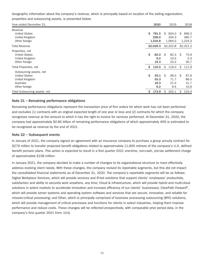Geographic information about the company's revenue, which is principally based on location of the selling organization, properties and outsourcing assets, is presented below:

| Year ended December 31,                                                                  | 2020                              | 2019                                   |                                 |  |  |  |
|------------------------------------------------------------------------------------------|-----------------------------------|----------------------------------------|---------------------------------|--|--|--|
| Revenue<br><b>United States</b><br>United Kingdom<br>Other foreign                       | 781.5<br>Ŝ.<br>228.0<br>1,016.8   | Ś<br>824.0<br>334.3<br>1,064.5         | 666.2<br>Ŝ.<br>360.7<br>1,224.3 |  |  |  |
| <b>Total Revenue</b>                                                                     | \$2,026.3                         | \$2,222.8                              | \$2,251.2                       |  |  |  |
| Properties, net<br>United States<br>United Kingdom<br>Other foreign                      | Ŝ.<br>82.0<br>9.2<br>19.3         | Ŝ.<br>$82.3$ \$<br>10.5<br>23.2        | 75.9<br>5.3<br>30.7             |  |  |  |
| Total Properties, net                                                                    | 110.5<br>Ŝ.                       | Ŝ.<br>116.0                            | 111.9<br>Ŝ                      |  |  |  |
| Outsourcing assets, net<br>United States<br>United Kingdom<br>Australia<br>Other foreign | \$<br>93.1<br>55.3<br>19.3<br>6.2 | Ŝ.<br>$99.5$ \$<br>71.7<br>21.5<br>9.4 | 97.6<br>86.5<br>21.7<br>10.6    |  |  |  |
| Total Outsourcing assets, net                                                            | 173.9<br>Ŝ.                       | 202.1<br>Ś                             | 216.4<br>S                      |  |  |  |

#### **Note 21 – Remaining performance obligations**

Remaining performance obligations represent the transaction price of firm orders for which work has not been performed and excludes (1) contracts with an original expected length of one year or less and (2) contracts for which the company recognizes revenue at the amount to which it has the right to invoice for services performed. At December 31, 2020, the company had approximately \$0.85 billion of remaining performance obligations of which approximately 40% is estimated to be recognized as revenue by the end of 2021.

#### **Note 22 – Subsequent events**

In January of 2021, the company signed an agreement with an insurance company to purchase a group annuity contract for \$279 million to transfer projected benefit obligations related to approximately 11,600 retirees of the company's U.S. defined benefit pension plans. This action is expected to result in a first quarter 2021 one-time, non-cash, pre-tax settlement charge of approximately \$158 million.

In January 2021, the company decided to make a number of changes to its organizational structure to more effectively address evolving client needs. With these changes, the company revised its reportable segments, but this did not impact the consolidated financial statements as of December 31, 2020. The company's reportable segments will be as follows: Digital Workplace Services, which will provide services and IP-led solutions that support clients' employees' productivity, satisfaction and ability to securely work anywhere, any time; Cloud & Infrastructure, which will provide hybrid and multi-cloud solutions in select markets to accelerate innovation and increase efficiency of our clients' businesses; ClearPath Forward®, which will provide server systems and operating system software and services that are secure, innovative, and reliable for mission-critical processing; and Other, which is principally comprised of business processing outsourcing (BPO) solutions, which will provide management of critical processes and functions for clients in select industries, helping them improve performance and reduce costs. These changes will be reflected prospectively, with comparable prior period data, in the company's first quarter 2021 Form 10-Q.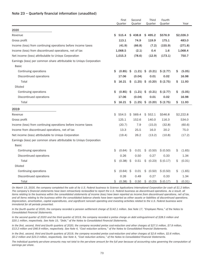| Note 23 - Quarterly financial information (unaudited) |  |  |  |
|-------------------------------------------------------|--|--|--|
|-------------------------------------------------------|--|--|--|

|                                                                     |     | First<br>Quarter |     | Second<br>Quarter | Third<br>Quarter     | Fourth<br>Quarter |     | Year      |
|---------------------------------------------------------------------|-----|------------------|-----|-------------------|----------------------|-------------------|-----|-----------|
| 2020                                                                |     |                  |     |                   |                      |                   |     |           |
| Revenue                                                             | Ś.  | 515.4            |     | \$438.8           | \$495.2              | \$576.9           |     | \$2,026.3 |
| Gross profit                                                        |     | 113.1            |     | 74.9              | 119.9                | 175.1             |     | 483.0     |
| Income (loss) from continuing operations before income taxes        |     | (41.9)           |     | (66.8)            | (7.2)                | (155.9)           |     | (271.8)   |
| Income (loss) from discontinued operations, net of tax              |     | 1,068.5          |     | (2.1)             | 0.4                  | 1.6               |     | 1,068.4   |
| Net income (loss) attributable to Unisys Corporation                |     | 1,015.3          |     | (78.6)            | (12.9)               | (173.1)           |     | 750.7     |
| Earnings (loss) per common share attributable to Unisys Corporation |     |                  |     |                   |                      |                   |     |           |
| Basic                                                               |     |                  |     |                   |                      |                   |     |           |
| Continuing operations                                               | S   | (0.85)           | S   | $(1.21)$ \$       | (0.21)               | \$ (2.77)         | S   | (5.05)    |
| Discontinued operations                                             |     | 17.06            |     | (0.04)            | 0.01                 | 0.02              |     | 16.98     |
| Total                                                               | Ś   | 16.21            | \$  |                   | $(1.25)$ \$ $(0.20)$ | \$ (2.75)         | \$  | 11.93     |
| Diluted                                                             |     |                  |     |                   |                      |                   |     |           |
| Continuing operations                                               | \$  | $(0.85)$ \$      |     | $(1.21)$ \$       | (0.21)               | \$ (2.77)         | \$  | (5.05)    |
| Discontinued operations                                             |     | 17.06            |     | (0.04)            | 0.01                 | 0.02              |     | 16.98     |
| Total                                                               | \$. | 16.21            | \$. | (1.25)            | \$ (0.20)            | \$ (2.75)         | \$. | 11.93     |
| 2019                                                                |     |                  |     |                   |                      |                   |     |           |
| Revenue                                                             | \$  | 554.5            |     | \$569.4           | \$552.1              | \$546.8           |     | \$2,222.8 |
| Gross profit                                                        |     | 125.1            |     | 152.6             | 140.0                | 116.3             |     | 534.0     |
| Income (loss) from continuing operations before income taxes        |     | (20.7)           |     | 7.9               | (15.0)               | (32.8)            |     | (60.6)    |
| Income from discontinued operations, net of tax                     |     | 13.3             |     | 25.5              | 16.0                 | 20.2              |     | 75.0      |
| Net income (loss) attributable to Unisys Corporation                |     | (19.4)           |     | 26.2              | (13.2)               | (10.8)            |     | (17.2)    |
| Earnings (loss) per common share attributable to Unisys Corporation |     |                  |     |                   |                      |                   |     |           |
| <b>Basic</b>                                                        |     |                  |     |                   |                      |                   |     |           |
| Continuing operations                                               | Ś.  | (0.64)           | \$. | 0.01              | \$<br>(0.50)         | \$ (0.50)         | \$  | (1.65)    |
| Discontinued operations                                             |     | 0.26             |     | 0.50              | 0.27                 | 0.33              |     | 1.34      |
| Total                                                               | \$  | $(0.38)$ \$      |     | 0.51              | \$<br>(0.23)         | \$ (0.17)         | \$  | (0.31)    |
| <b>Diluted</b>                                                      |     |                  |     |                   |                      |                   |     |           |
| Continuing operations                                               | \$  | (0.64)           | Ŝ   | 0.01              | \$<br>(0.50)         | \$ (0.50)         | S   | (1.65)    |
| Discontinued operations                                             |     | 0.26             |     | 0.49              | 0.27                 | 0.33              |     | 1.34      |
| Total                                                               | \$  | (0.38)           | \$. | 0.50              | \$ (0.23)            | \$ (0.17)         | \$  | (0.31)    |

*On March 13, 2020, the company completed the sale of its U.S. Federal business to Science Applications International Corporation for cash of \$1.2 billion. The company's financial statements have been retroactively reclassified to report the U.S. Federal business as discontinued operations. As a result, all items relating to the business within the consolidated statements of income (loss) have been reported as income from discontinued operations, net of tax, and all items relating to the business within the consolidated balance sheets have been reported as either assets or liabilities of discontinued operations. Depreciation, amortization, capital expenditures, and significant noncash operating and investing activities related to the U.S. Federal business were immaterial for all periods presented.*

*In the fourth quarter of 2020, the company recorded a pension settlement charge of \$142.1 million. See Note 17, "Employee Plans," of the Notes to Consolidated Financial Statements.*

*In the second quarter of 2020 and the third quarter of 2019, the company recorded a pretax charge on debt extinguishment of \$28.5 million and \$20.1 million, respectively. See Note 15, "Debt," of the Notes to Consolidated Financial Statements.*

*In the first, second, third and fourth quarters of 2020, the company recorded pretax cost-reduction and other charges of \$27.5 million, \$7.9 million, \$13.2 million and \$46.9 million, respectively. See Note 4, "Cost reduction actions," of the Notes to Consolidated Financial Statements.*

*In the first, second, third and fourth quarters of 2019, the company recorded pretax cost-reduction and other charges of \$2.6 million, \$2.6 million, \$0.2 million and \$23.3 million, respectively. See Note 4, "Cost reduction actions," of the Notes to Consolidated Financial Statements.*

*The individual quarterly per-share amounts may not total to the per-share amount for the full year because of accounting rules governing the computation of earnings per share.*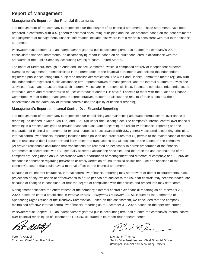## **Report of Management**

#### **Management's Report on the Financial Statements**

The management of the company is responsible for the integrity of its financial statements. These statements have been prepared in conformity with U.S. generally accepted accounting principles and include amounts based on the best estimates and judgments of management. Financial information included elsewhere in this report is consistent with that in the financial statements.

PricewaterhouseCoopers LLP, an independent registered public accounting firm, has audited the company's 2020 consolidated financial statements. Its accompanying report is based on an audit conducted in accordance with the standards of the Public Company Accounting Oversight Board (United States).

The Board of Directors, through its Audit and Finance Committee, which is composed entirely of independent directors, oversees management's responsibilities in the preparation of the financial statements and selects the independent registered public accounting firm, subject to stockholder ratification. The Audit and Finance Committee meets regularly with the independent registered public accounting firm, representatives of management, and the internal auditors to review the activities of each and to assure that each is properly discharging its responsibilities. To ensure complete independence, the internal auditors and representatives of PricewaterhouseCoopers LLP have full access to meet with the Audit and Finance Committee, with or without management representatives present, to discuss the results of their audits and their observations on the adequacy of internal controls and the quality of financial reporting.

#### **Management's Report on Internal Control Over Financial Reporting**

The management of the company is responsible for establishing and maintaining adequate internal control over financial reporting, as defined in Rules 13a-15(f) and 15d-15(f) under the Exchange Act. The company's internal control over financial reporting is a process designed to provide reasonable assurance regarding the reliability of financial reporting and the preparation of financial statements for external purposes in accordance with U.S. generally accepted accounting principles. Internal control over financial reporting includes those policies and procedures that (1) pertain to the maintenance of records that in reasonable detail accurately and fairly reflect the transactions and dispositions of the assets of the company; (2) provide reasonable assurance that transactions are recorded as necessary to permit preparation of the financial statements in accordance with U.S. generally accepted accounting principles, and that receipts and expenditures of the company are being made only in accordance with authorizations of management and directors of company; and (3) provide reasonable assurance regarding prevention or timely detection of unauthorized acquisition, use or disposition of the company's assets that could have a material effect on the financial statements.

Because of its inherent limitations, internal control over financial reporting may not prevent or detect misstatements. Also, projections of any evaluation of effectiveness to future periods are subject to the risk that controls may become inadequate because of changes in conditions, or that the degree of compliance with the policies and procedures may deteriorate.

Management assessed the effectiveness of the company's internal control over financial reporting as of December 31, 2020, based on criteria established in *Internal Control – Integrated Framework (2013)* issued by the Committee of Sponsoring Organizations of the Treadway Commission. Based on this assessment, we concluded that the company maintained effective internal control over financial reporting as of December 31, 2020, based on the specified criteria.

PricewaterhouseCoopers LLP, an independent registered public accounting firm, has audited the company's internal control over financial reporting as of December 31, 2020, as stated in its report that appears herein.

Peter A. Altabef Michael M. Thomson

That P

Chair and Chief Executive Officer Senior Senior Vice President and Chief Financial Officer (Principal Financial and Accounting Officer)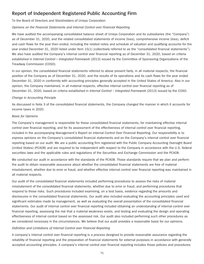## **Report of Independent Registered Public Accounting Firm**

To the Board of Directors and Stockholders of Unisys Corporation

#### *Opinions on the Financial Statements and Internal Control over Financial Reporting*

We have audited the accompanying consolidated balance sheet of Unisys Corporation and its subsidiaries (the "Company") as of December 31, 2020, and the related consolidated statements of income (loss), comprehensive income (loss), deficit and cash flows for the year then ended, including the related notes and schedule of valuation and qualifying accounts for the year ended December 31, 2020 listed under Item 15(1) (collectively referred to as the "consolidated financial statements"). We also have audited the Company's internal control over financial reporting as of December 31, 2020, based on criteria established in *Internal Control—Integrated Framework* (2013) issued by the Committee of Sponsoring Organizations of the Treadway Commission (COSO).

In our opinion, the consolidated financial statements referred to above present fairly, in all material respects, the financial position of the Company as of December 31, 2020, and the results of its operations and its cash flows for the year ended December 31, 2020 in conformity with accounting principles generally accepted in the United States of America. Also in our opinion, the Company maintained, in all material respects, effective internal control over financial reporting as of December 31, 2020, based on criteria established in *Internal Control – Integrated Framework* (2013) issued by the COSO.

#### *Change in Accounting Principle*

As discussed in Note 3 of the consolidated financial statements, the Company changed the manner in which it accounts for income taxes in 2020.

#### *Basis for Opinions*

The Company's management is responsible for these consolidated financial statements, for maintaining effective internal control over financial reporting, and for its assessment of the effectiveness of internal control over financial reporting, included in the accompanying Management's Report on Internal Control Over Financial Reporting. Our responsibility is to express opinions on the Company's consolidated financial statements and on the Company's internal control over financial reporting based on our audit. We are a public accounting firm registered with the Public Company Accounting Oversight Board (United States) (PCAOB) and are required to be independent with respect to the Company in accordance with the U.S. federal securities laws and the applicable rules and regulations of the Securities and Exchange Commission and the PCAOB.

We conducted our audit in accordance with the standards of the PCAOB. Those standards require that we plan and perform the audit to obtain reasonable assurance about whether the consolidated financial statements are free of material misstatement, whether due to error or fraud, and whether effective internal control over financial reporting was maintained in all material respects.

Our audit of the consolidated financial statements included performing procedures to assess the risks of material misstatement of the consolidated financial statements, whether due to error or fraud, and performing procedures that respond to those risks. Such procedures included examining, on a test basis, evidence regarding the amounts and disclosures in the consolidated financial statements. Our audit also included evaluating the accounting principles used and significant estimates made by management, as well as evaluating the overall presentation of the consolidated financial statements. Our audit of internal control over financial reporting included obtaining an understanding of internal control over financial reporting, assessing the risk that a material weakness exists, and testing and evaluating the design and operating effectiveness of internal control based on the assessed risk. Our audit also included performing such other procedures as we considered necessary in the circumstances. We believe that our audit provides a reasonable basis for our opinions.

#### *Definition and Limitations of Internal Control over Financial Reporting*

A company's internal control over financial reporting is a process designed to provide reasonable assurance regarding the reliability of financial reporting and the preparation of financial statements for external purposes in accordance with generally accepted accounting principles. A company's internal control over financial reporting includes those policies and procedures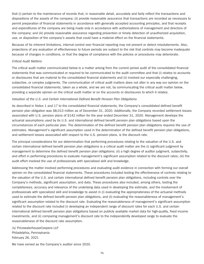that (i) pertain to the maintenance of records that, in reasonable detail, accurately and fairly reflect the transactions and dispositions of the assets of the company; (ii) provide reasonable assurance that transactions are recorded as necessary to permit preparation of financial statements in accordance with generally accepted accounting principles, and that receipts and expenditures of the company are being made only in accordance with authorizations of management and directors of the company; and (iii) provide reasonable assurance regarding prevention or timely detection of unauthorized acquisition, use, or disposition of the company's assets that could have a material effect on the financial statements.

Because of its inherent limitations, internal control over financial reporting may not prevent or detect misstatements. Also, projections of any evaluation of effectiveness to future periods are subject to the risk that controls may become inadequate because of changes in conditions, or that the degree of compliance with the policies or procedures may deteriorate.

#### *Critical Audit Matters*

The critical audit matter communicated below is a matter arising from the current period audit of the consolidated financial statements that was communicated or required to be communicated to the audit committee and that (i) relates to accounts or disclosures that are material to the consolidated financial statements and (ii) involved our especially challenging, subjective, or complex judgments. The communication of critical audit matters does not alter in any way our opinion on the consolidated financial statements, taken as a whole, and we are not, by communicating the critical audit matter below, providing a separate opinion on the critical audit matter or on the accounts or disclosures to which it relates.

#### *Valuation of the U.S. and Certain International Defined Benefit Pension Plan Obligations*

As described in Notes 1 and 17 to the consolidated financial statements, the Company's consolidated defined benefit pension plan obligation was \$8,013 million as of December 31, 2020. Additionally, the Company recorded settlement losses associated with U.S. pension plans of \$142 million for the year ended December 31, 2020. Management develops the actuarial assumptions used by its U.S. and international defined benefit pension plan obligations based upon the circumstances of each particular plan. The determination of the defined benefit pension plan obligations requires the use of estimates. Management's significant assumption used in the determination of the defined benefit pension plan obligations, and settlement losses associated with respect to the U.S. pension plans, is the discount rate.

The principal considerations for our determination that performing procedures relating to the valuation of the U.S. and certain international defined benefit pension plan obligations is a critical audit matter are the (i) significant judgment by management to determine the defined benefit pension plan obligations; (ii) a high degree of auditor judgment, subjectivity, and effort in performing procedures to evaluate management's significant assumption related to the discount rates; (iii) the audit effort involved the use of professionals with specialized skill and knowledge.

Addressing the matter involved performing procedures and evaluating audit evidence in connection with forming our overall opinion on the consolidated financial statements. These procedures included testing the effectiveness of controls relating to the valuation of the U.S. and certain international defined benefit pension plan obligations, including controls over the Company's methods, significant assumption, and data. These procedures also included, among others, testing the completeness, accuracy and relevance of the underlying data used in developing the estimate, and the involvement of professionals with specialized skill and knowledge to assist in (i) evaluating the appropriateness of the actuarial methods used to estimate the defined benefit pension plan obligations, and (ii) evaluating the reasonableness of management's significant assumption related to the discount rate. Evaluating the reasonableness of management's significant assumption related to the discount rate included (i) developing an independent range of discount rates for each U.S. and certain international defined benefit pension plan obligations based on publicly available market data for high-quality, fixed income investments, and (ii) comparing management's discount rate to the independently developed range to evaluate the reasonableness of the discount rate assumption.

/s/ PricewaterhouseCoopers LLP Philadelphia, Pennsylvania February 26, 2021

We have served as the Company's auditor since 2020.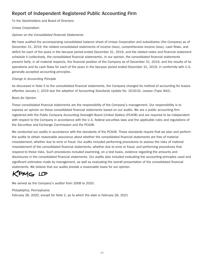## **Report of Independent Registered Public Accounting Firm**

To the Stockholders and Board of Directors

#### Unisys Corporation:

#### *Opinion on the Consolidated Financial Statements*

We have audited the accompanying consolidated balance sheet of Unisys Corporation and subsidiaries (the Company) as of December 31, 2019, the related consolidated statements of income (loss), comprehensive income (loss), cash flows, and deficit for each of the years in the two-year period ended December 31, 2019, and the related notes and financial statement schedule II (collectively, the consolidated financial statements). In our opinion, the consolidated financial statements present fairly, in all material respects, the financial position of the Company as of December 31, 2019, and the results of its operations and its cash flows for each of the years in the two-year period ended December 31, 2019, in conformity with U.S. generally accepted accounting principles.

#### *Change in Accounting Principle*

As discussed in Note 5 to the consolidated financial statements, the Company changed its method of accounting for leases effective January 1, 2019 due the adoption of Accounting Standards Update No. 2016-02, *Leases* (Topic 842).

#### *Basis for Opinion*

These consolidated financial statements are the responsibility of the Company's management. Our responsibility is to express an opinion on these consolidated financial statements based on our audits. We are a public accounting firm registered with the Public Company Accounting Oversight Board (United States) (PCAOB) and are required to be independent with respect to the Company in accordance with the U.S. federal securities laws and the applicable rules and regulations of the Securities and Exchange Commission and the PCAOB.

We conducted our audits in accordance with the standards of the PCAOB. Those standards require that we plan and perform the audits to obtain reasonable assurance about whether the consolidated financial statements are free of material misstatement, whether due to error or fraud. Our audits included performing procedures to assess the risks of material misstatement of the consolidated financial statements, whether due to error or fraud, and performing procedures that respond to those risks. Such procedures included examining, on a test basis, evidence regarding the amounts and disclosures in the consolidated financial statements. Our audits also included evaluating the accounting principles used and significant estimates made by management, as well as evaluating the overall presentation of the consolidated financial statements. We believe that our audits provide a reasonable basis for our opinion.

## KPMG LLP

We served as the Company's auditor from 2008 to 2020.

Philadelphia, Pennsylvania February 28, 2020, except for Note 2, as to which the date is February 26, 2021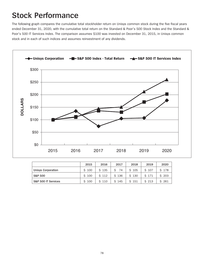# **Stock Performance**

The following graph compares the cumulative total stockholder return on Unisys common stock during the five fiscal years ended December 31, 2020, with the cumulative total return on the Standard & Poor's 500 Stock Index and the Standard & Poor's 500 IT Services Index. The comparison assumes \$100 was invested on December 31, 2015, in Unisys common stock and in each of such indices and assumes reinvestment of any dividends.



|                           | 2015  | 2016  | 2017     | 2018         | 2019  | 2020  |
|---------------------------|-------|-------|----------|--------------|-------|-------|
| <b>Unisys Corporation</b> | \$100 | S 135 | 74<br>Ŝ. | \$105        | \$107 | \$178 |
| <b>S&amp;P 500</b>        | \$100 | \$112 | \$136    | S 130        | S 171 | \$203 |
| S&P 500 IT Services       | \$100 | \$110 | \$145    | <b>S</b> 151 | \$213 | \$261 |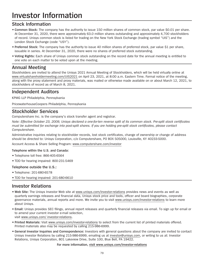## **Investor Information**

## **Stock Information**

- **Common Stock:** The company has the authority to issue 150 million shares of common stock, par value \$0.01 per share. At December 31, 2020, there were approximately 63.0 million shares outstanding and approximately 4,700 stockholders of record. Unisys common stock is listed for trading on the New York Stock Exchange (trading symbol "UIS") and the London Stock Exchange (code "USY").
- **Preferred Stock:** The company has the authority to issue 40 million shares of preferred stock, par value \$1 per share, issuable in series. At December 31, 2020, there were no shares of preferred stock outstanding.
- **Voting Rights:** Each share of Unisys common stock outstanding on the record date for the annual meeting is entitled to one vote on each matter to be voted upon at the meeting.

## **Annual Meeting**

Stockholders are invited to attend the Unisys 2021 Annual Meeting of Stockholders, which will be held virtually online at www.virtualshareholdermeeting.com/UIS2021 on April 23, 2021, at 8:00 a.m. Eastern Time. Formal notice of the meeting, along with the proxy statement and proxy materials, was mailed or otherwise made available on or about March 12, 2021, to stockholders of record as of March 8, 2021.

### **Independent Auditors**

KPMG LLP Philadelphia, Pennsylvania

PricewaterhouseCoopers Philadelphia, Pennsylvania

## **Stockholder Services**

Computershare Inc. is the company's stock transfer agent and registrar.

*Note: Effective October 23, 2009, Unisys declared a one-for-ten reverse split of its common stock. Pre-split stock certificates must be submitted for exchange into post-split shares. If you are holding pre-split stock certificates, please contact Computershare.*

Administrative inquiries relating to stockholder records, lost stock certificates, change of ownership or change of address should be directed to: Unisys Corporation, c/o Computershare, PO BOX 505000, Louisville, KY 40233-5000.

Account Access & Share Selling Program: www.computershare.com/investor

#### **Telephone within the U.S. and Canada:**

- Telephone toll free: 866-405-6564
- TDD for hearing impaired: 800-231-5469

#### **Telephone outside the U.S.:**

- Telephone: 201-680-6578
- TDD for hearing impaired: 201-680-6610

### **Investor Relations**

- **Web Site:** The Unisys Investor Web site at www.unisys.com/investor-relations provides news and events as well as quarterly earnings releases and financial data, Unisys stock price and tools, officer and board biographies, corporate governance materials, annual reports and more. We invite you to visit www.unisys.com/investor-relations to learn more about Unisys.
- **Email:** Unisys provides SEC filings, annual report releases and quarterly financial releases via email. To sign up for email or to amend your current investor e-mail selection, visit www.unisys.com/ investor-relations.
- **Printed Materials:** Visit www.unisys.com/investor-relations to select from the current list of printed materials offered. Printed materials also may be requested by calling 215-986-6999.
- **General Investor Inquiries and Correspondence:** Investors with general questions about the company are invited to contact Unisys Investor Relations by calling 215-986-6999, emailing us at investor@unisys.com, or writing to us at: Investor Relations, Unisys Corporation, 801 Lakeview Drive, Suite 100, Blue Bell, PA 19422.

#### **For more information, visit www.unisys.com/investor-relations**